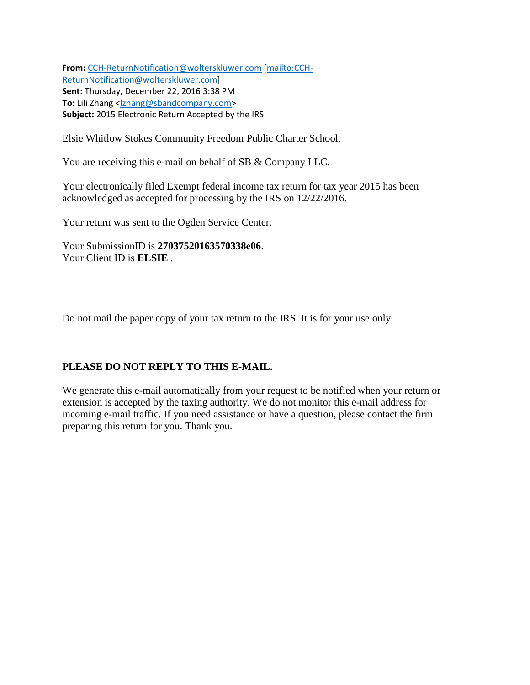**From:** [CCH-ReturnNotification@wolterskluwer.com](mailto:CCH-ReturnNotification@wolterskluwer.com) [\[mailto:CCH-](mailto:CCH-ReturnNotification@wolterskluwer.com)[ReturnNotification@wolterskluwer.com\]](mailto:CCH-ReturnNotification@wolterskluwer.com) **Sent:** Thursday, December 22, 2016 3:38 PM To: Lili Zhang [<lzhang@sbandcompany.com>](mailto:lzhang@sbandcompany.com) **Subject:** 2015 Electronic Return Accepted by the IRS

Elsie Whitlow Stokes Community Freedom Public Charter School,

You are receiving this e-mail on behalf of SB & Company LLC.

Your electronically filed Exempt federal income tax return for tax year 2015 has been acknowledged as accepted for processing by the IRS on 12/22/2016.

Your return was sent to the Ogden Service Center.

Your SubmissionID is **27037520163570338e06**. Your Client ID is **ELSIE** .

Do not mail the paper copy of your tax return to the IRS. It is for your use only.

# **PLEASE DO NOT REPLY TO THIS E-MAIL.**

We generate this e-mail automatically from your request to be notified when your return or extension is accepted by the taxing authority. We do not monitor this e-mail address for incoming e-mail traffic. If you need assistance or have a question, please contact the firm preparing this return for you. Thank you.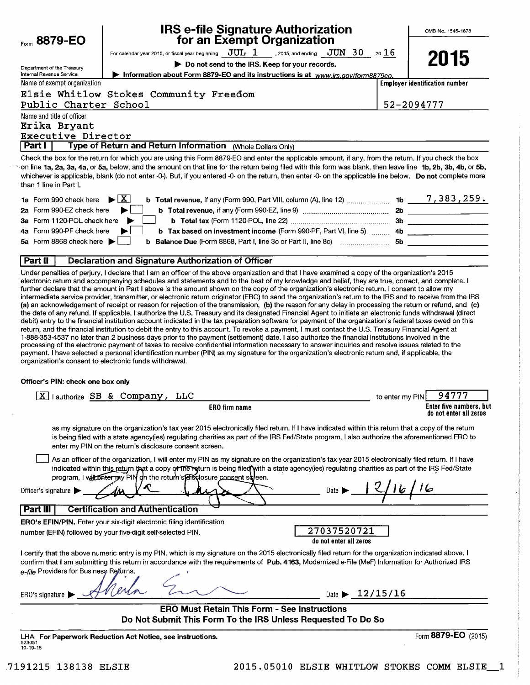| Form 8879-EO                                                    | <b>IRS e-file Signature Authorization</b><br>for an Exempt Organization                                                                                                                                                                                                                                                                                                                                                                                                                                                                                                                                                                                                                                                                                                                                                               |                 | OMB No. 1545-1878                                 |
|-----------------------------------------------------------------|---------------------------------------------------------------------------------------------------------------------------------------------------------------------------------------------------------------------------------------------------------------------------------------------------------------------------------------------------------------------------------------------------------------------------------------------------------------------------------------------------------------------------------------------------------------------------------------------------------------------------------------------------------------------------------------------------------------------------------------------------------------------------------------------------------------------------------------|-----------------|---------------------------------------------------|
|                                                                 | For calendar year 2015, or fiscal year beginning $\rm\bf\,JUL\_1$ , 2015, and ending $\rm\,JUN\_30$ , 20 $16$                                                                                                                                                                                                                                                                                                                                                                                                                                                                                                                                                                                                                                                                                                                         |                 |                                                   |
| Department of the Treasury                                      | Do not send to the IRS. Keep for your records.                                                                                                                                                                                                                                                                                                                                                                                                                                                                                                                                                                                                                                                                                                                                                                                        |                 | 2015                                              |
| Internal Revenue Service                                        | Information about Form 8879-EO and its instructions is at www.jrs.gov/form8879eo.                                                                                                                                                                                                                                                                                                                                                                                                                                                                                                                                                                                                                                                                                                                                                     |                 |                                                   |
| Name of exempt organization                                     |                                                                                                                                                                                                                                                                                                                                                                                                                                                                                                                                                                                                                                                                                                                                                                                                                                       |                 | <b>Employer identification number</b>             |
| Public Charter School                                           | Elsie Whitlow Stokes Community Freedom                                                                                                                                                                                                                                                                                                                                                                                                                                                                                                                                                                                                                                                                                                                                                                                                |                 | 52-2094777                                        |
| Name and title of officer<br>Erika Bryant<br>Executive Director |                                                                                                                                                                                                                                                                                                                                                                                                                                                                                                                                                                                                                                                                                                                                                                                                                                       |                 |                                                   |
| <b>Part I</b>                                                   | Type of Return and Return Information (Whole Dollars Only)                                                                                                                                                                                                                                                                                                                                                                                                                                                                                                                                                                                                                                                                                                                                                                            |                 |                                                   |
| than 1 line in Part I.                                          | Check the box for the return for which you are using this Form 8879-EO and enter the applicable amount, if any, from the return. If you check the box<br>on line 1a, 2a, 3a, 4a, or 5a, below, and the amount on that line for the return being filed with this form was blank, then leave line 1b, 2b, 3b, 4b, or 5b,<br>whichever is applicable, blank (do not enter -0-). But, if you entered -0- on the return, then enter -0- on the applicable line below. Do not complete more                                                                                                                                                                                                                                                                                                                                                 |                 |                                                   |
| 1a Form 990 check here                                          | <b>b</b> Total revenue, if any (Form 990, Part VIII, column (A), line 12)  1b $\frac{7}{100}$ , 383, 259.<br>$\blacktriangleright$ $\mid$ $\bf{X}\mid$                                                                                                                                                                                                                                                                                                                                                                                                                                                                                                                                                                                                                                                                                |                 |                                                   |
| 2a Form 990-EZ check here                                       |                                                                                                                                                                                                                                                                                                                                                                                                                                                                                                                                                                                                                                                                                                                                                                                                                                       |                 |                                                   |
| 3a Form 1120-POL check here                                     |                                                                                                                                                                                                                                                                                                                                                                                                                                                                                                                                                                                                                                                                                                                                                                                                                                       |                 |                                                   |
| 4a Form 990-PF check here                                       |                                                                                                                                                                                                                                                                                                                                                                                                                                                                                                                                                                                                                                                                                                                                                                                                                                       |                 |                                                   |
| 5a Form 8868 check here                                         |                                                                                                                                                                                                                                                                                                                                                                                                                                                                                                                                                                                                                                                                                                                                                                                                                                       |                 |                                                   |
| Part II                                                         | <b>Declaration and Signature Authorization of Officer</b>                                                                                                                                                                                                                                                                                                                                                                                                                                                                                                                                                                                                                                                                                                                                                                             |                 |                                                   |
| Officer's PIN: check one box only                               | debit) entry to the financial institution account indicated in the tax preparation software for payment of the organization's federal taxes owed on this<br>return, and the financial institution to debit the entry to this account. To revoke a payment, I must contact the U.S. Treasury Financial Agent at<br>1-888-353-4537 no later than 2 business days prior to the payment (settlement) date. I also authorize the financial institutions involved in the<br>processing of the electronic payment of taxes to receive confidential information necessary to answer inquiries and resolve issues related to the<br>payment. I have selected a personal identification number (PIN) as my signature for the organization's electronic return and, if applicable, the<br>organization's consent to electronic funds withdrawal. |                 |                                                   |
|                                                                 | $\overline{X}$ lauthorize SB & Company, LLC                                                                                                                                                                                                                                                                                                                                                                                                                                                                                                                                                                                                                                                                                                                                                                                           |                 | 94777                                             |
|                                                                 | <b>ERO</b> firm name                                                                                                                                                                                                                                                                                                                                                                                                                                                                                                                                                                                                                                                                                                                                                                                                                  | to enter my PIN | Enter five numbers, but<br>do not enter all zeros |
|                                                                 | as my signature on the organization's tax year 2015 electronically filed return. If I have indicated within this return that a copy of the return<br>is being filed with a state agency(ies) regulating charities as part of the IRS Fed/State program, I also authorize the aforementioned ERO to<br>enter my PIN on the return's disclosure consent screen.                                                                                                                                                                                                                                                                                                                                                                                                                                                                         |                 |                                                   |
| Officer's signature                                             | As an officer of the organization, I will enter my PIN as my signature on the organization's tax year 2015 electronically filed return. If I have<br>indicated within this return that a copy of the return is being filed with a state agency(ies) regulating charities as part of the IRS Fed/State<br>program, I will september (PIN on the return's ensemble consent suffeen.<br>Date                                                                                                                                                                                                                                                                                                                                                                                                                                             |                 |                                                   |
|                                                                 |                                                                                                                                                                                                                                                                                                                                                                                                                                                                                                                                                                                                                                                                                                                                                                                                                                       |                 |                                                   |
| <b>Part III</b>                                                 | <b>Certification and Authentication</b>                                                                                                                                                                                                                                                                                                                                                                                                                                                                                                                                                                                                                                                                                                                                                                                               |                 |                                                   |
|                                                                 | <b>ERO's EFIN/PIN.</b> Enter your six-digit electronic filing identification                                                                                                                                                                                                                                                                                                                                                                                                                                                                                                                                                                                                                                                                                                                                                          |                 |                                                   |
|                                                                 | 27037520721<br>number (EFIN) followed by your five-digit self-selected PIN.<br>do not enter all zeros                                                                                                                                                                                                                                                                                                                                                                                                                                                                                                                                                                                                                                                                                                                                 |                 |                                                   |
| e-file Providers for Business Returns.                          | I certify that the above numeric entry is my PIN, which is my signature on the 2015 electronically filed return for the organization indicated above. I<br>confirm that I am submitting this return in accordance with the requirements of Pub. 4163, Modernized e-File (MeF) Information for Authorized IRS                                                                                                                                                                                                                                                                                                                                                                                                                                                                                                                          |                 |                                                   |
| ERO's signature                                                 | Date $\triangleright$ 12/15/16                                                                                                                                                                                                                                                                                                                                                                                                                                                                                                                                                                                                                                                                                                                                                                                                        |                 |                                                   |
|                                                                 | <b>ERO Must Retain This Form - See Instructions</b><br>Do Not Submit This Form To the IRS Unless Requested To Do So                                                                                                                                                                                                                                                                                                                                                                                                                                                                                                                                                                                                                                                                                                                   |                 |                                                   |
|                                                                 |                                                                                                                                                                                                                                                                                                                                                                                                                                                                                                                                                                                                                                                                                                                                                                                                                                       |                 |                                                   |
| 523051<br>$10 - 19 - 15$                                        | LHA For Paperwork Reduction Act Notice, see instructions.                                                                                                                                                                                                                                                                                                                                                                                                                                                                                                                                                                                                                                                                                                                                                                             |                 | Form 8879-EO (2015)                               |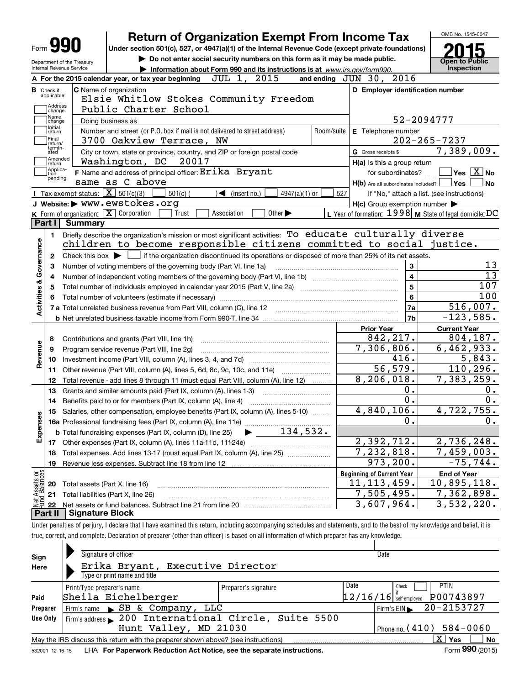| Form JY                                                  |                                                   | <b>Return of Organization Exempt From Income Tax</b>                                                                                                |                                                                             |                                                                   |                                |                 |            |                                                     |                           |                         |                                                           |
|----------------------------------------------------------|---------------------------------------------------|-----------------------------------------------------------------------------------------------------------------------------------------------------|-----------------------------------------------------------------------------|-------------------------------------------------------------------|--------------------------------|-----------------|------------|-----------------------------------------------------|---------------------------|-------------------------|-----------------------------------------------------------|
|                                                          |                                                   | Under section 501(c), 527, or 4947(a)(1) of the Internal Revenue Code (except private foundations)                                                  |                                                                             |                                                                   |                                |                 |            |                                                     |                           |                         |                                                           |
|                                                          | Department of the Treasury                        |                                                                                                                                                     | Do not enter social security numbers on this form as it may be made public. |                                                                   |                                |                 |            |                                                     |                           |                         | <b>Open to Public</b>                                     |
|                                                          | Internal Revenue Service                          |                                                                                                                                                     | Information about Form 990 and its instructions is at www.irs.gov/form990.  |                                                                   |                                |                 |            |                                                     |                           |                         | Inspection                                                |
|                                                          |                                                   | A For the 2015 calendar year, or tax year beginning                                                                                                 |                                                                             | JUL 1, 2015                                                       |                                |                 |            | and ending $J\overline{U}N$ 30, 2016                |                           |                         |                                                           |
| <b>B</b> Check if<br>applicable:                         |                                                   | C Name of organization<br>Elsie Whitlow Stokes Community Freedom                                                                                    |                                                                             |                                                                   |                                |                 |            |                                                     |                           |                         | D Employer identification number                          |
| Address                                                  |                                                   | Public Charter School                                                                                                                               |                                                                             |                                                                   |                                |                 |            |                                                     |                           |                         |                                                           |
| change<br>Name                                           |                                                   |                                                                                                                                                     |                                                                             |                                                                   |                                |                 |            |                                                     |                           |                         | 52-2094777                                                |
| change<br>Initial                                        |                                                   | Doing business as                                                                                                                                   |                                                                             |                                                                   |                                |                 |            |                                                     |                           |                         |                                                           |
| return<br>Final                                          |                                                   | Number and street (or P.O. box if mail is not delivered to street address)<br>3700 Oakview Terrace, NW                                              |                                                                             |                                                                   |                                |                 | Room/suite | E Telephone number                                  |                           |                         | $202 - 265 - 7237$                                        |
| return/<br>termin-<br>ated                               |                                                   | City or town, state or province, country, and ZIP or foreign postal code                                                                            |                                                                             |                                                                   |                                |                 |            | G Gross receipts \$                                 |                           |                         | 7,389,009.                                                |
| Amended                                                  |                                                   | Washington, DC                                                                                                                                      | 20017                                                                       |                                                                   |                                |                 |            | H(a) Is this a group return                         |                           |                         |                                                           |
| return<br>Applica-                                       |                                                   | F Name and address of principal officer: Erika Bryant                                                                                               |                                                                             |                                                                   |                                |                 |            |                                                     | for subordinates?         |                         | $\sqrt{}$ Yes $\sqrt{X}$ No                               |
| tion<br>pending                                          |                                                   | same as C above                                                                                                                                     |                                                                             |                                                                   |                                |                 |            |                                                     |                           |                         | $H(b)$ Are all subordinates included? $\Box$ Yes          |
|                                                          | Tax-exempt status: $\boxed{\mathbf{X}}$ 501(c)(3) |                                                                                                                                                     | $501(c)$ (                                                                  | $\sqrt{\frac{1}{1}}$ (insert no.)                                 |                                | $4947(a)(1)$ or | 527        |                                                     |                           |                         | If "No," attach a list. (see instructions)                |
|                                                          |                                                   | J Website: WWW.ewstokes.org                                                                                                                         |                                                                             |                                                                   |                                |                 |            | $H(c)$ Group exemption number $\blacktriangleright$ |                           |                         |                                                           |
|                                                          |                                                   | K Form of organization: X Corporation                                                                                                               | Trust                                                                       | Association                                                       | Other $\blacktriangleright$    |                 |            |                                                     |                           |                         | L Year of formation: $1998$ M State of legal domicile: DC |
| Part I                                                   | Summary                                           |                                                                                                                                                     |                                                                             |                                                                   |                                |                 |            |                                                     |                           |                         |                                                           |
| 1.                                                       |                                                   | Briefly describe the organization's mission or most significant activities: To educate culturally diverse                                           |                                                                             |                                                                   |                                |                 |            |                                                     |                           |                         |                                                           |
|                                                          |                                                   | children to become responsible citizens committed to social justice.                                                                                |                                                                             |                                                                   |                                |                 |            |                                                     |                           |                         |                                                           |
| 2                                                        |                                                   | Check this box $\blacktriangleright$ $\blacksquare$ if the organization discontinued its operations or disposed of more than 25% of its net assets. |                                                                             |                                                                   |                                |                 |            |                                                     |                           |                         |                                                           |
| З                                                        |                                                   |                                                                                                                                                     |                                                                             |                                                                   |                                |                 |            |                                                     |                           |                         |                                                           |
|                                                          |                                                   |                                                                                                                                                     |                                                                             |                                                                   |                                |                 |            |                                                     |                           |                         |                                                           |
|                                                          |                                                   |                                                                                                                                                     |                                                                             | Number of voting members of the governing body (Part VI, line 1a) |                                |                 |            |                                                     | 3                         |                         |                                                           |
| 4                                                        |                                                   |                                                                                                                                                     |                                                                             |                                                                   |                                |                 |            |                                                     |                           | $\overline{\mathbf{4}}$ |                                                           |
| 5                                                        |                                                   |                                                                                                                                                     |                                                                             |                                                                   |                                |                 |            |                                                     |                           | 5                       | 107                                                       |
| 6                                                        |                                                   | Total number of volunteers (estimate if necessary)                                                                                                  |                                                                             |                                                                   |                                |                 |            |                                                     |                           | 6                       | 100                                                       |
|                                                          |                                                   | 7 a Total unrelated business revenue from Part VIII, column (C), line 12                                                                            |                                                                             |                                                                   |                                |                 |            |                                                     |                           | 7a                      | 516,007.                                                  |
|                                                          |                                                   |                                                                                                                                                     |                                                                             |                                                                   |                                |                 |            |                                                     |                           | 7b                      | $-123,585.$                                               |
|                                                          |                                                   |                                                                                                                                                     |                                                                             |                                                                   |                                |                 |            | <b>Prior Year</b>                                   |                           |                         | <b>Current Year</b>                                       |
| 8                                                        |                                                   | Contributions and grants (Part VIII, line 1h)                                                                                                       |                                                                             |                                                                   |                                |                 |            |                                                     | 842, 217.                 |                         | 804, 187.                                                 |
| 9                                                        |                                                   | Program service revenue (Part VIII, line 2g)                                                                                                        |                                                                             |                                                                   |                                |                 |            |                                                     | $\overline{7,306}$ , 806. |                         | 6,462,933.                                                |
| 10                                                       |                                                   |                                                                                                                                                     |                                                                             |                                                                   |                                |                 |            |                                                     | 416.                      |                         | $\overline{5,843}$ .                                      |
| 11                                                       |                                                   | Other revenue (Part VIII, column (A), lines 5, 6d, 8c, 9c, 10c, and 11e)                                                                            |                                                                             |                                                                   |                                |                 |            |                                                     | 56, 579.                  |                         | 110, 296.                                                 |
| 12                                                       |                                                   | Total revenue - add lines 8 through 11 (must equal Part VIII, column (A), line 12)                                                                  |                                                                             |                                                                   |                                |                 |            |                                                     | 8,206,018.                |                         | 7,383,259.                                                |
| 13                                                       |                                                   | Grants and similar amounts paid (Part IX, column (A), lines 1-3)                                                                                    |                                                                             |                                                                   |                                |                 |            |                                                     | 0.                        |                         |                                                           |
| 14                                                       |                                                   | Benefits paid to or for members (Part IX, column (A), line 4)                                                                                       |                                                                             |                                                                   |                                |                 |            |                                                     | 0.                        |                         |                                                           |
|                                                          |                                                   | 15 Salaries, other compensation, employee benefits (Part IX, column (A), lines 5-10)                                                                |                                                                             |                                                                   |                                |                 |            |                                                     | 4,840,106.                |                         | 4,722,755.                                                |
|                                                          |                                                   |                                                                                                                                                     |                                                                             |                                                                   |                                |                 |            |                                                     | 0.                        |                         |                                                           |
|                                                          |                                                   | <b>b</b> Total fundraising expenses (Part IX, column (D), line 25)                                                                                  |                                                                             |                                                                   | $\blacktriangleright$ 134,532. |                 |            |                                                     |                           |                         |                                                           |
| 17                                                       |                                                   |                                                                                                                                                     |                                                                             |                                                                   |                                |                 |            |                                                     | 2,392,712.                |                         | 2,736,248.                                                |
| 18                                                       |                                                   | Total expenses. Add lines 13-17 (must equal Part IX, column (A), line 25)                                                                           |                                                                             |                                                                   |                                |                 |            |                                                     | 7,232,818.                |                         | $\overline{7,459}$ , 003.                                 |
| 19                                                       |                                                   |                                                                                                                                                     |                                                                             |                                                                   |                                |                 |            |                                                     | 973,200.                  |                         | $-75,744.$                                                |
|                                                          |                                                   |                                                                                                                                                     |                                                                             |                                                                   |                                |                 |            | <b>Beginning of Current Year</b>                    |                           |                         | <b>End of Year</b>                                        |
| Activities & Governance<br>Revenue<br>w<br>Expense<br>20 | Total assets (Part X, line 16)                    |                                                                                                                                                     |                                                                             |                                                                   |                                |                 |            | 11, 113, 459.                                       |                           |                         | $\overline{10}$ , 895, 118.                               |
| : Assets or<br>dBalances<br>21<br><u> 홍겸</u>             |                                                   | Total liabilities (Part X, line 26)                                                                                                                 |                                                                             |                                                                   |                                |                 |            |                                                     | 7,505,495.<br>3,607,964.  |                         | 7,362,898.<br>3,532,220.                                  |

| Sign<br>Here | Signature of officer<br>Erika Bryant, Executive Director<br>Type or print name and title                                |                      | Date                                      |                          |  |  |  |  |  |  |
|--------------|-------------------------------------------------------------------------------------------------------------------------|----------------------|-------------------------------------------|--------------------------|--|--|--|--|--|--|
| Paid         | Print/Type preparer's name<br>Sheila Eichelberger                                                                       | Preparer's signature | Date<br>Check<br>$12/16/16$ self-employed | <b>PTIN</b><br>P00743897 |  |  |  |  |  |  |
| Preparer     | Firm's name $\blacktriangleright$ SB & Company,<br>LLC                                                                  |                      | Firm's $EIN$                              | 20-2153727               |  |  |  |  |  |  |
| Use Only     | Firm's address > 200 International Circle, Suite 5500                                                                   |                      |                                           |                          |  |  |  |  |  |  |
|              | Hunt Valley, MD 21030<br>Phone no. $(410)$ 584-0060                                                                     |                      |                                           |                          |  |  |  |  |  |  |
|              | X <sub>1</sub><br>Yes<br><b>No</b><br>May the IRS discuss this return with the preparer shown above? (see instructions) |                      |                                           |                          |  |  |  |  |  |  |
|              |                                                                                                                         |                      |                                           | $000 \div 100$           |  |  |  |  |  |  |

532001 12-16-15 **For Paperwork Reduction Act Notice, see the separate instructions.** LHA Form (2015)

**990**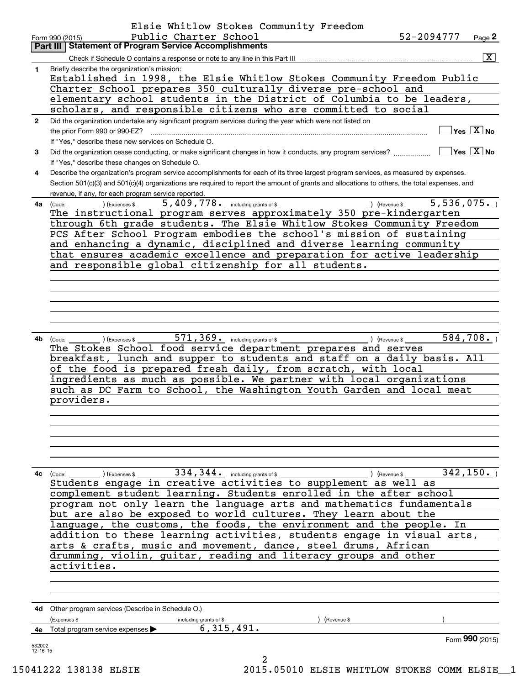|              | Elsie Whitlow Stokes Community Freedom                                                                                                       |                  |                                        |                                               |
|--------------|----------------------------------------------------------------------------------------------------------------------------------------------|------------------|----------------------------------------|-----------------------------------------------|
|              | Public Charter School<br>Form 990 (2015)                                                                                                     | 52-2094777       |                                        | Page 2                                        |
|              | Part III   Statement of Program Service Accomplishments                                                                                      |                  |                                        |                                               |
|              | Check if Schedule O contains a response or note to any line in this Part III                                                                 |                  |                                        | $\overline{\mathbf{x}}$                       |
| 1            | Briefly describe the organization's mission:                                                                                                 |                  |                                        |                                               |
|              | Established in 1998, the Elsie Whitlow Stokes Community Freedom Public                                                                       |                  |                                        |                                               |
|              | Charter School prepares 350 culturally diverse pre-school and                                                                                |                  |                                        |                                               |
|              | elementary school students in the District of Columbia to be leaders,                                                                        |                  |                                        |                                               |
|              | scholars, and responsible citizens who are committed to social                                                                               |                  |                                        |                                               |
| $\mathbf{2}$ | Did the organization undertake any significant program services during the year which were not listed on<br>the prior Form 990 or 990-EZ?    |                  |                                        | $\overline{\,}$ Yes $\overline{\,\rm X\,}$ No |
|              | If "Yes," describe these new services on Schedule O.                                                                                         |                  |                                        |                                               |
| 3            | Did the organization cease conducting, or make significant changes in how it conducts, any program services?                                 |                  | $\sqrt{}$ Yes $\sqrt{}$ X $\sqrt{}$ No |                                               |
|              | If "Yes," describe these changes on Schedule O.                                                                                              |                  |                                        |                                               |
| 4            | Describe the organization's program service accomplishments for each of its three largest program services, as measured by expenses.         |                  |                                        |                                               |
|              | Section 501(c)(3) and 501(c)(4) organizations are required to report the amount of grants and allocations to others, the total expenses, and |                  |                                        |                                               |
|              | revenue, if any, for each program service reported.                                                                                          |                  |                                        |                                               |
| 4a           | (Code: ) (Expenses \$5,409,778. including grants of \$) (Revenue \$)                                                                         |                  | 5,536,075.                             |                                               |
|              | The instructional program serves approximately 350 pre-kindergarten                                                                          |                  |                                        |                                               |
|              | through 6th grade students. The Elsie Whitlow Stokes Community Freedom                                                                       |                  |                                        |                                               |
|              | PCS After School Program embodies the school's mission of sustaining                                                                         |                  |                                        |                                               |
|              | and enhancing a dynamic, disciplined and diverse learning community                                                                          |                  |                                        |                                               |
|              | that ensures academic excellence and preparation for active leadership                                                                       |                  |                                        |                                               |
|              | and responsible global citizenship for all students.                                                                                         |                  |                                        |                                               |
|              |                                                                                                                                              |                  |                                        |                                               |
|              |                                                                                                                                              |                  |                                        |                                               |
|              |                                                                                                                                              |                  |                                        |                                               |
|              |                                                                                                                                              |                  |                                        |                                               |
|              |                                                                                                                                              |                  |                                        |                                               |
| 4b           | ) (Expenses \$ $571$ , $369$ and including grants of \$ $($ Revenue \$<br>(Code:                                                             |                  | 584,708.                               |                                               |
|              | The Stokes School food service department prepares and serves                                                                                |                  |                                        |                                               |
|              | breakfast, lunch and supper to students and staff on a daily basis. All                                                                      |                  |                                        |                                               |
|              | of the food is prepared fresh daily, from scratch, with local                                                                                |                  |                                        |                                               |
|              | ingredients as much as possible. We partner with local organizations                                                                         |                  |                                        |                                               |
|              | such as DC Farm to School, the Washington Youth Garden and local meat                                                                        |                  |                                        |                                               |
|              | providers.                                                                                                                                   |                  |                                        |                                               |
|              |                                                                                                                                              |                  |                                        |                                               |
|              |                                                                                                                                              |                  |                                        |                                               |
|              |                                                                                                                                              |                  |                                        |                                               |
|              |                                                                                                                                              |                  |                                        |                                               |
|              |                                                                                                                                              |                  |                                        |                                               |
|              |                                                                                                                                              |                  | 342, 150.                              |                                               |
| 4с           |                                                                                                                                              |                  |                                        |                                               |
|              | complement student learning. Students enrolled in the after school                                                                           |                  |                                        |                                               |
|              | program not only learn the language arts and mathematics fundamentals                                                                        |                  |                                        |                                               |
|              | but are also be exposed to world cultures. They learn about the                                                                              |                  |                                        |                                               |
|              | language, the customs, the foods, the environment and the people. In                                                                         |                  |                                        |                                               |
|              | addition to these learning activities, students engage in visual arts,                                                                       |                  |                                        |                                               |
|              | arts & crafts, music and movement, dance, steel drums, African                                                                               |                  |                                        |                                               |
|              | drumming, violin, guitar, reading and literacy groups and other                                                                              |                  |                                        |                                               |
|              | activities.                                                                                                                                  |                  |                                        |                                               |
|              |                                                                                                                                              |                  |                                        |                                               |
|              |                                                                                                                                              |                  |                                        |                                               |
|              |                                                                                                                                              |                  |                                        |                                               |
|              | 4d Other program services (Describe in Schedule O.)                                                                                          |                  |                                        |                                               |
|              | (Expenses \$<br>(Revenue \$<br>including grants of \$                                                                                        |                  |                                        |                                               |
|              | 6,315,491.<br>4e Total program service expenses                                                                                              |                  |                                        |                                               |
| 532002       |                                                                                                                                              |                  |                                        | Form 990 (2015)                               |
| 12-16-15     | 2                                                                                                                                            |                  |                                        |                                               |
|              | $11000$ 100100 $\pi$ r CT $\pi$<br>ON1E AEA1A EIGIE                                                                                          | MITTMI OM CMOVEC |                                        |                                               |

15041222 138138 ELSIE 2015.05010 ELSIE WHITLOW STOKES COMM ELSIE\_\_1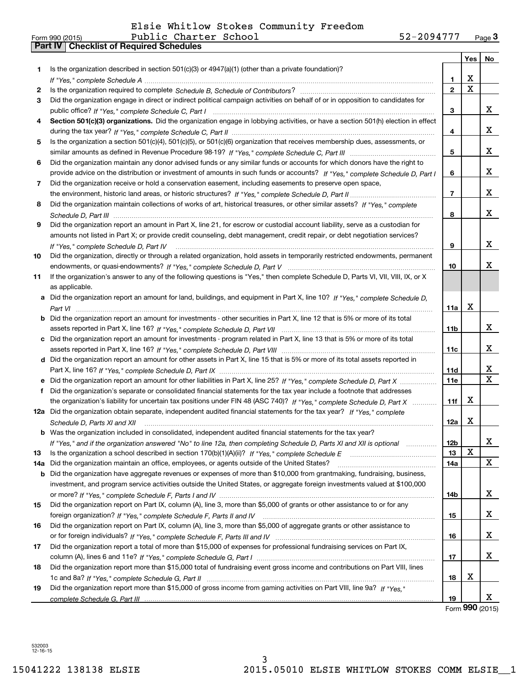|        |                                                                                                                                      |                 | Yes         | No                           |
|--------|--------------------------------------------------------------------------------------------------------------------------------------|-----------------|-------------|------------------------------|
| 1.     | Is the organization described in section $501(c)(3)$ or $4947(a)(1)$ (other than a private foundation)?                              | 1               | х           |                              |
|        |                                                                                                                                      | $\overline{2}$  | $\mathbf X$ |                              |
| 2<br>3 | Did the organization engage in direct or indirect political campaign activities on behalf of or in opposition to candidates for      |                 |             |                              |
|        |                                                                                                                                      | 3               |             | X.                           |
| 4      | Section 501(c)(3) organizations. Did the organization engage in lobbying activities, or have a section 501(h) election in effect     |                 |             |                              |
|        |                                                                                                                                      | 4               |             | x                            |
| 5      | Is the organization a section 501(c)(4), 501(c)(5), or 501(c)(6) organization that receives membership dues, assessments, or         |                 |             |                              |
|        |                                                                                                                                      | 5               |             | x                            |
|        |                                                                                                                                      |                 |             |                              |
| 6      | Did the organization maintain any donor advised funds or any similar funds or accounts for which donors have the right to            |                 |             | x                            |
|        | provide advice on the distribution or investment of amounts in such funds or accounts? If "Yes," complete Schedule D, Part I         | 6               |             |                              |
| 7      | Did the organization receive or hold a conservation easement, including easements to preserve open space,                            |                 |             | x                            |
|        |                                                                                                                                      | $\overline{7}$  |             |                              |
| 8      | Did the organization maintain collections of works of art, historical treasures, or other similar assets? If "Yes," complete         |                 |             | x                            |
|        |                                                                                                                                      | 8               |             |                              |
| 9      | Did the organization report an amount in Part X, line 21, for escrow or custodial account liability, serve as a custodian for        |                 |             |                              |
|        | amounts not listed in Part X; or provide credit counseling, debt management, credit repair, or debt negotiation services?            |                 |             |                              |
|        | If "Yes," complete Schedule D, Part IV                                                                                               | 9               |             | x                            |
| 10     | Did the organization, directly or through a related organization, hold assets in temporarily restricted endowments, permanent        |                 |             |                              |
|        |                                                                                                                                      | 10              |             | x                            |
| 11     | If the organization's answer to any of the following questions is "Yes," then complete Schedule D, Parts VI, VIII, VIII, IX, or X    |                 |             |                              |
|        | as applicable.                                                                                                                       |                 |             |                              |
|        | a Did the organization report an amount for land, buildings, and equipment in Part X, line 10? If "Yes," complete Schedule D,        |                 |             |                              |
|        | Part VI                                                                                                                              | 11a             | х           |                              |
|        | <b>b</b> Did the organization report an amount for investments - other securities in Part X, line 12 that is 5% or more of its total |                 |             |                              |
|        |                                                                                                                                      | 11b             |             | x                            |
|        | c Did the organization report an amount for investments - program related in Part X, line 13 that is 5% or more of its total         |                 |             |                              |
|        |                                                                                                                                      | 11c             |             | x                            |
|        | d Did the organization report an amount for other assets in Part X, line 15 that is 5% or more of its total assets reported in       |                 |             |                              |
|        |                                                                                                                                      | 11d             |             | x<br>$\overline{\mathbf{x}}$ |
|        |                                                                                                                                      | <b>11e</b>      |             |                              |
| f      | Did the organization's separate or consolidated financial statements for the tax year include a footnote that addresses              |                 |             |                              |
|        | the organization's liability for uncertain tax positions under FIN 48 (ASC 740)? If "Yes," complete Schedule D, Part X               | 11f             | x           |                              |
|        | 12a Did the organization obtain separate, independent audited financial statements for the tax year? If "Yes," complete              |                 |             |                              |
|        | Schedule D, Parts XI and XII                                                                                                         | 12a             | x           |                              |
|        | <b>b</b> Was the organization included in consolidated, independent audited financial statements for the tax year?                   |                 |             |                              |
|        | If "Yes," and if the organization answered "No" to line 12a, then completing Schedule D, Parts XI and XII is optional                | 12 <sub>b</sub> |             | х                            |
| 13     |                                                                                                                                      | 13              | X           |                              |
| 14a    | Did the organization maintain an office, employees, or agents outside of the United States?                                          | 14a             |             | X                            |
| b      | Did the organization have aggregate revenues or expenses of more than \$10,000 from grantmaking, fundraising, business,              |                 |             |                              |
|        | investment, and program service activities outside the United States, or aggregate foreign investments valued at \$100,000           |                 |             |                              |
|        |                                                                                                                                      | 14b             |             | x                            |
| 15     | Did the organization report on Part IX, column (A), line 3, more than \$5,000 of grants or other assistance to or for any            |                 |             |                              |
|        |                                                                                                                                      | 15              |             | x                            |
| 16     | Did the organization report on Part IX, column (A), line 3, more than \$5,000 of aggregate grants or other assistance to             |                 |             |                              |
|        |                                                                                                                                      | 16              |             | X                            |
| 17     | Did the organization report a total of more than \$15,000 of expenses for professional fundraising services on Part IX,              |                 |             |                              |
|        |                                                                                                                                      | 17              |             | x                            |
| 18     | Did the organization report more than \$15,000 total of fundraising event gross income and contributions on Part VIII, lines         |                 |             |                              |
|        |                                                                                                                                      | 18              | x           |                              |
| 19     | Did the organization report more than \$15,000 of gross income from gaming activities on Part VIII, line 9a? If "Yes."               |                 |             |                              |
|        |                                                                                                                                      | 19              |             | x                            |

Form (2015) **990**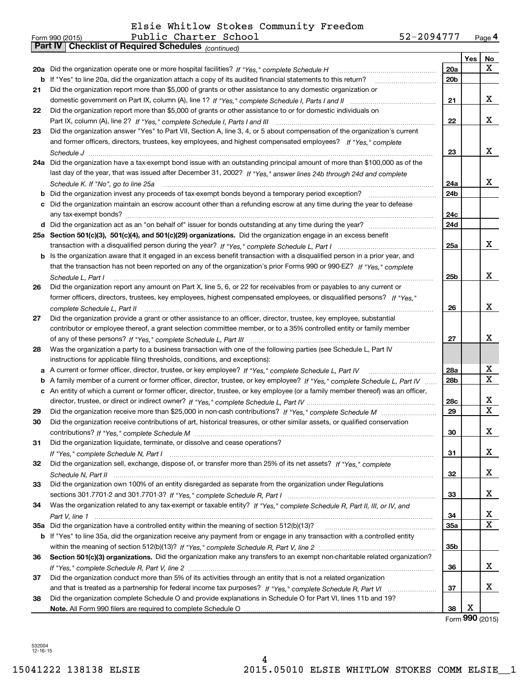|    | 52-2094777<br>Public Charter School<br>Form 990 (2015)                                                                            |     |     | Page 4      |
|----|-----------------------------------------------------------------------------------------------------------------------------------|-----|-----|-------------|
|    | <b>Checklist of Required Schedules (continued)</b><br>  Part IV                                                                   |     |     |             |
|    |                                                                                                                                   |     | Yes | No          |
|    | 20a Did the organization operate one or more hospital facilities? If "Yes," complete Schedule H                                   | 20a |     | X           |
|    | b If "Yes" to line 20a, did the organization attach a copy of its audited financial statements to this return?                    | 20b |     |             |
| 21 | Did the organization report more than \$5,000 of grants or other assistance to any domestic organization or                       |     |     |             |
|    |                                                                                                                                   | 21  |     | х           |
| 22 | Did the organization report more than \$5,000 of grants or other assistance to or for domestic individuals on                     |     |     |             |
|    |                                                                                                                                   | 22  |     | х           |
| 23 | Did the organization answer "Yes" to Part VII, Section A, line 3, 4, or 5 about compensation of the organization's current        |     |     |             |
|    | and former officers, directors, trustees, key employees, and highest compensated employees? If "Yes," complete                    |     |     |             |
|    |                                                                                                                                   | 23  |     | x           |
|    | 24a Did the organization have a tax-exempt bond issue with an outstanding principal amount of more than \$100,000 as of the       |     |     |             |
|    | last day of the year, that was issued after December 31, 2002? If "Yes," answer lines 24b through 24d and complete                |     |     |             |
|    | Schedule K. If "No", go to line 25a                                                                                               | 24a |     | x           |
| b  |                                                                                                                                   | 24b |     |             |
| c  | Did the organization maintain an escrow account other than a refunding escrow at any time during the year to defease              |     |     |             |
|    |                                                                                                                                   | 24c |     |             |
|    |                                                                                                                                   | 24d |     |             |
|    | 25a Section 501(c)(3), 501(c)(4), and 501(c)(29) organizations. Did the organization engage in an excess benefit                  |     |     |             |
|    |                                                                                                                                   | 25a |     | х           |
|    | b Is the organization aware that it engaged in an excess benefit transaction with a disqualified person in a prior year, and      |     |     |             |
|    | that the transaction has not been reported on any of the organization's prior Forms 990 or 990-EZ? If "Yes," complete             |     |     |             |
|    | Schedule L, Part I                                                                                                                | 25b |     | x           |
| 26 | Did the organization report any amount on Part X, line 5, 6, or 22 for receivables from or payables to any current or             |     |     |             |
|    | former officers, directors, trustees, key employees, highest compensated employees, or disqualified persons? If "Yes."            |     |     |             |
|    | complete Schedule L, Part II                                                                                                      | 26  |     | x           |
| 27 | Did the organization provide a grant or other assistance to an officer, director, trustee, key employee, substantial              |     |     |             |
|    | contributor or employee thereof, a grant selection committee member, or to a 35% controlled entity or family member               |     |     |             |
|    |                                                                                                                                   | 27  |     | х           |
| 28 | Was the organization a party to a business transaction with one of the following parties (see Schedule L, Part IV                 |     |     |             |
|    | instructions for applicable filing thresholds, conditions, and exceptions):                                                       |     |     |             |
| а  |                                                                                                                                   | 28a |     | х           |
| b  | A family member of a current or former officer, director, trustee, or key employee? If "Yes," complete Schedule L. Part IV        | 28b |     | X           |
|    | c An entity of which a current or former officer, director, trustee, or key employee (or a family member thereof) was an officer, |     |     |             |
|    |                                                                                                                                   | 28c |     | X           |
| 29 |                                                                                                                                   | 29  |     | $\mathbf X$ |
| 30 | Did the organization receive contributions of art, historical treasures, or other similar assets, or qualified conservation       |     |     |             |
|    |                                                                                                                                   | 30  |     | x           |
| 31 | Did the organization liquidate, terminate, or dissolve and cease operations?                                                      |     |     |             |
|    |                                                                                                                                   | 31  |     | x           |
| 32 | Did the organization sell, exchange, dispose of, or transfer more than 25% of its net assets? If "Yes," complete                  |     |     |             |
|    |                                                                                                                                   | 32  |     | х           |
| 33 | Did the organization own 100% of an entity disregarded as separate from the organization under Regulations                        |     |     |             |
|    |                                                                                                                                   | 33  |     | х           |
| 34 | Was the organization related to any tax-exempt or taxable entity? If "Yes," complete Schedule R, Part II, III, or IV, and         |     |     |             |
|    |                                                                                                                                   | 34  |     | x           |
|    |                                                                                                                                   | 35a |     | х           |
|    | b If "Yes" to line 35a, did the organization receive any payment from or engage in any transaction with a controlled entity       |     |     |             |
|    |                                                                                                                                   | 35b |     |             |
| 36 | Section 501(c)(3) organizations. Did the organization make any transfers to an exempt non-charitable related organization?        |     |     |             |
|    |                                                                                                                                   |     |     | х           |
|    | Did the organization conduct more than 5% of its activities through an entity that is not a related organization                  | 36  |     |             |
| 37 |                                                                                                                                   | 37  |     | х           |
|    |                                                                                                                                   |     |     |             |
| 38 | Did the organization complete Schedule O and provide explanations in Schedule O for Part VI, lines 11b and 19?                    |     | Х   |             |
|    |                                                                                                                                   | 38  |     |             |

Form (2015) **990**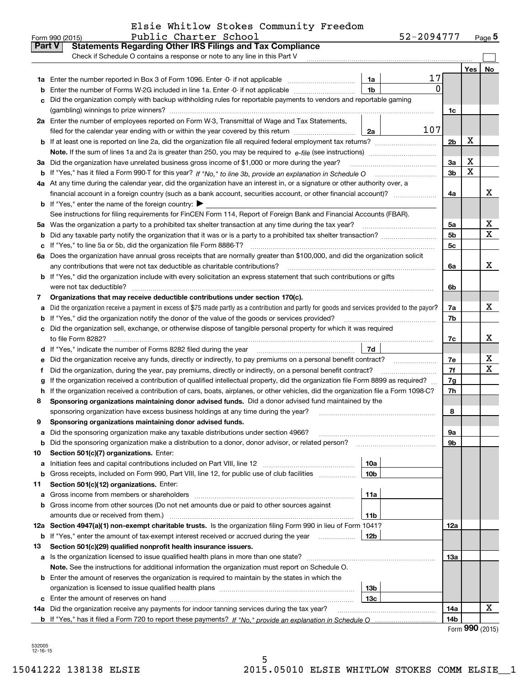|  |  |  |  | Elsie Whitlow Stokes Community Freedom |  |
|--|--|--|--|----------------------------------------|--|
|--|--|--|--|----------------------------------------|--|

|               | Public Charter School<br>Form 990 (2015)                                                                                                        | 52-2094777      |                |     | $_{\text{Page}}$ 5 |
|---------------|-------------------------------------------------------------------------------------------------------------------------------------------------|-----------------|----------------|-----|--------------------|
| <b>Part V</b> | <b>Statements Regarding Other IRS Filings and Tax Compliance</b>                                                                                |                 |                |     |                    |
|               | Check if Schedule O contains a response or note to any line in this Part V                                                                      |                 |                |     |                    |
|               |                                                                                                                                                 |                 |                | Yes | No                 |
|               |                                                                                                                                                 | 17<br>1a        |                |     |                    |
| b             | Enter the number of Forms W-2G included in line 1a. Enter -0- if not applicable                                                                 | 0<br>1b         |                |     |                    |
| c             | Did the organization comply with backup withholding rules for reportable payments to vendors and reportable gaming                              |                 |                |     |                    |
|               |                                                                                                                                                 |                 | 1c             |     |                    |
|               | 2a Enter the number of employees reported on Form W-3, Transmittal of Wage and Tax Statements,                                                  |                 |                |     |                    |
|               | filed for the calendar year ending with or within the year covered by this return                                                               | 107<br>2a       |                |     |                    |
|               | <b>b</b> If at least one is reported on line 2a, did the organization file all required federal employment tax returns?                         |                 | 2 <sub>b</sub> | х   |                    |
|               | Note. If the sum of lines 1a and 2a is greater than 250, you may be required to $e$ -file (see instructions) $\ldots$                           |                 |                |     |                    |
|               | 3a Did the organization have unrelated business gross income of \$1,000 or more during the year?                                                |                 | 3a             | х   |                    |
|               |                                                                                                                                                 |                 | 3 <sub>b</sub> | X   |                    |
|               | 4a At any time during the calendar year, did the organization have an interest in, or a signature or other authority over, a                    |                 |                |     |                    |
|               |                                                                                                                                                 |                 | 4a             |     | x                  |
|               | <b>b</b> If "Yes," enter the name of the foreign country: $\blacktriangleright$                                                                 |                 |                |     |                    |
|               | See instructions for filing requirements for FinCEN Form 114, Report of Foreign Bank and Financial Accounts (FBAR).                             |                 |                |     |                    |
|               | 5a Was the organization a party to a prohibited tax shelter transaction at any time during the tax year?                                        |                 | 5a             |     | х                  |
| b             | Did any taxable party notify the organization that it was or is a party to a prohibited tax shelter transaction?                                |                 | 5 <sub>b</sub> |     | X                  |
| с             |                                                                                                                                                 |                 | 5c             |     |                    |
|               | 6a Does the organization have annual gross receipts that are normally greater than \$100,000, and did the organization solicit                  |                 |                |     |                    |
|               | any contributions that were not tax deductible as charitable contributions?                                                                     |                 | 6a             |     | X                  |
|               | <b>b</b> If "Yes," did the organization include with every solicitation an express statement that such contributions or gifts                   |                 |                |     |                    |
|               | were not tax deductible?                                                                                                                        |                 | 6b             |     |                    |
| 7             | Organizations that may receive deductible contributions under section 170(c).                                                                   |                 |                |     |                    |
| а             | Did the organization receive a payment in excess of \$75 made partly as a contribution and partly for goods and services provided to the payor? |                 | 7a             |     | X                  |
|               | <b>b</b> If "Yes," did the organization notify the donor of the value of the goods or services provided?                                        |                 | 7b             |     |                    |
|               | c Did the organization sell, exchange, or otherwise dispose of tangible personal property for which it was required                             |                 |                |     |                    |
|               | to file Form 8282?                                                                                                                              |                 | 7c             |     | х                  |
|               |                                                                                                                                                 | 7d              |                |     |                    |
| е             | Did the organization receive any funds, directly or indirectly, to pay premiums on a personal benefit contract?                                 |                 | 7e             |     | х                  |
| f             | Did the organization, during the year, pay premiums, directly or indirectly, on a personal benefit contract?                                    |                 | 7f             |     | X                  |
| g             | If the organization received a contribution of qualified intellectual property, did the organization file Form 8899 as required?                |                 | 7g             |     |                    |
|               | h If the organization received a contribution of cars, boats, airplanes, or other vehicles, did the organization file a Form 1098-C?            |                 | 7h             |     |                    |
| 8             | Sponsoring organizations maintaining donor advised funds. Did a donor advised fund maintained by the                                            |                 |                |     |                    |
|               | sponsoring organization have excess business holdings at any time during the year?                                                              |                 | 8              |     |                    |
| 9             | Sponsoring organizations maintaining donor advised funds.                                                                                       |                 |                |     |                    |
| а             | Did the sponsoring organization make any taxable distributions under section 4966?                                                              |                 | 9a             |     |                    |
| b             | Did the sponsoring organization make a distribution to a donor, donor advisor, or related person?                                               |                 | 9b             |     |                    |
| 10            | Section 501(c)(7) organizations. Enter:                                                                                                         |                 |                |     |                    |
| а             |                                                                                                                                                 | 10a             |                |     |                    |
| b             | Gross receipts, included on Form 990, Part VIII, line 12, for public use of club facilities                                                     | 10 <sub>b</sub> |                |     |                    |
| 11            | Section 501(c)(12) organizations. Enter:                                                                                                        |                 |                |     |                    |
| а             |                                                                                                                                                 | 11a             |                |     |                    |
| b             | Gross income from other sources (Do not net amounts due or paid to other sources against                                                        |                 |                |     |                    |
|               | amounts due or received from them.)                                                                                                             | 11b             |                |     |                    |
|               | 12a Section 4947(a)(1) non-exempt charitable trusts. Is the organization filing Form 990 in lieu of Form 1041?                                  |                 | 12a            |     |                    |
| b             | If "Yes," enter the amount of tax-exempt interest received or accrued during the year                                                           | 12b             |                |     |                    |
| 13            | Section 501(c)(29) qualified nonprofit health insurance issuers.                                                                                |                 |                |     |                    |
| a             |                                                                                                                                                 |                 | 13а            |     |                    |
|               | Note. See the instructions for additional information the organization must report on Schedule O.                                               |                 |                |     |                    |
|               | <b>b</b> Enter the amount of reserves the organization is required to maintain by the states in which the                                       |                 |                |     |                    |
|               |                                                                                                                                                 | 13b             |                |     |                    |
|               |                                                                                                                                                 | 13с             |                |     | х                  |
| 14a           | Did the organization receive any payments for indoor tanning services during the tax year?                                                      |                 | 14a            |     |                    |
|               |                                                                                                                                                 |                 | 14b            |     |                    |

Form **990** (2015)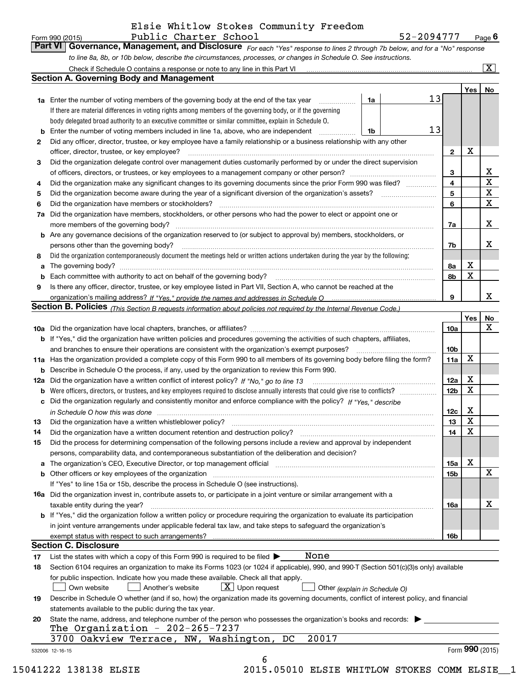$\boxed{\text{X}}$ 

| Form 990 (2015) | Public Charter School                                                                                                         | 52-2094777 | $P$ <sub>age</sub> $6$ |
|-----------------|-------------------------------------------------------------------------------------------------------------------------------|------------|------------------------|
|                 | Part VI   Governance, Management, and Disclosure For each "Yes" response to lines 2 through 7b below, and for a "No" response |            |                        |
|                 | to line 8a, 8b, or 10b below, describe the circumstances, processes, or changes in Schedule O. See instructions.              |            |                        |

|          | Check if Schedule O contains a response or note to any line in this Part VI                                                                                                                                                                  |                 |            | ΣI                         |  |  |  |  |
|----------|----------------------------------------------------------------------------------------------------------------------------------------------------------------------------------------------------------------------------------------------|-----------------|------------|----------------------------|--|--|--|--|
|          | <b>Section A. Governing Body and Management</b>                                                                                                                                                                                              |                 |            |                            |  |  |  |  |
|          | 13                                                                                                                                                                                                                                           |                 | Yes        | No                         |  |  |  |  |
|          | 1a Enter the number of voting members of the governing body at the end of the tax year<br>1a                                                                                                                                                 |                 |            |                            |  |  |  |  |
|          | If there are material differences in voting rights among members of the governing body, or if the governing                                                                                                                                  |                 |            |                            |  |  |  |  |
|          | body delegated broad authority to an executive committee or similar committee, explain in Schedule O.<br>13                                                                                                                                  |                 |            |                            |  |  |  |  |
| b        | Enter the number of voting members included in line 1a, above, who are independent<br>1b                                                                                                                                                     |                 |            |                            |  |  |  |  |
| 2        | Did any officer, director, trustee, or key employee have a family relationship or a business relationship with any other                                                                                                                     |                 | X          |                            |  |  |  |  |
|          | officer, director, trustee, or key employee?                                                                                                                                                                                                 | $\overline{2}$  |            |                            |  |  |  |  |
| 3        | Did the organization delegate control over management duties customarily performed by or under the direct supervision                                                                                                                        |                 |            |                            |  |  |  |  |
|          | of officers, directors, or trustees, or key employees to a management company or other person?                                                                                                                                               |                 |            |                            |  |  |  |  |
| 4        | Did the organization make any significant changes to its governing documents since the prior Form 990 was filed?                                                                                                                             | 4               |            | $\mathbf X$<br>$\mathbf X$ |  |  |  |  |
| 5        | Did the organization become aware during the year of a significant diversion of the organization's assets?                                                                                                                                   | 5<br>6          |            | $\mathbf X$                |  |  |  |  |
| 6        | Did the organization have members or stockholders?<br>Did the organization have members, stockholders, or other persons who had the power to elect or appoint one or                                                                         |                 |            |                            |  |  |  |  |
| 7a       | more members of the governing body?                                                                                                                                                                                                          |                 |            | x                          |  |  |  |  |
|          | <b>b</b> Are any governance decisions of the organization reserved to (or subject to approval by) members, stockholders, or                                                                                                                  | 7a              |            |                            |  |  |  |  |
|          | persons other than the governing body?                                                                                                                                                                                                       | 7b              |            | х                          |  |  |  |  |
| 8        | Did the organization contemporaneously document the meetings held or written actions undertaken during the year by the following:                                                                                                            |                 |            |                            |  |  |  |  |
| a        | The governing body?                                                                                                                                                                                                                          | 8a              | x          |                            |  |  |  |  |
| b        | Each committee with authority to act on behalf of the governing body?                                                                                                                                                                        | 8b              | X          |                            |  |  |  |  |
| 9        | Is there any officer, director, trustee, or key employee listed in Part VII, Section A, who cannot be reached at the                                                                                                                         |                 |            |                            |  |  |  |  |
|          |                                                                                                                                                                                                                                              | 9               |            | x                          |  |  |  |  |
|          | <b>Section B. Policies</b> (This Section B requests information about policies not required by the Internal Revenue Code.)                                                                                                                   |                 |            |                            |  |  |  |  |
|          |                                                                                                                                                                                                                                              |                 | <b>Yes</b> | No                         |  |  |  |  |
|          |                                                                                                                                                                                                                                              | 10a             |            | x                          |  |  |  |  |
|          | <b>b</b> If "Yes," did the organization have written policies and procedures governing the activities of such chapters, affiliates,                                                                                                          |                 |            |                            |  |  |  |  |
|          | and branches to ensure their operations are consistent with the organization's exempt purposes?                                                                                                                                              | 10 <sub>b</sub> |            |                            |  |  |  |  |
|          | 11a Has the organization provided a complete copy of this Form 990 to all members of its governing body before filing the form?                                                                                                              | 11a             | X          |                            |  |  |  |  |
|          | <b>b</b> Describe in Schedule O the process, if any, used by the organization to review this Form 990.                                                                                                                                       |                 |            |                            |  |  |  |  |
|          | 12a Did the organization have a written conflict of interest policy? If "No," go to line 13                                                                                                                                                  | 12a             | х          |                            |  |  |  |  |
|          |                                                                                                                                                                                                                                              | 12 <sub>b</sub> | X          |                            |  |  |  |  |
| c        | Did the organization regularly and consistently monitor and enforce compliance with the policy? If "Yes." describe                                                                                                                           |                 |            |                            |  |  |  |  |
|          | in Schedule O how this was done measured and continuum control to the distribution of the state of the state o                                                                                                                               | 12c             | X          |                            |  |  |  |  |
| 13       | Did the organization have a written whistleblower policy?                                                                                                                                                                                    | 13              | X          |                            |  |  |  |  |
| 14       | Did the organization have a written document retention and destruction policy?                                                                                                                                                               | 14              | X          |                            |  |  |  |  |
| 15       | Did the process for determining compensation of the following persons include a review and approval by independent                                                                                                                           |                 |            |                            |  |  |  |  |
|          | persons, comparability data, and contemporaneous substantiation of the deliberation and decision?                                                                                                                                            |                 |            |                            |  |  |  |  |
|          | a The organization's CEO, Executive Director, or top management official manufactured content content of the organization's CEO, Executive Director, or top management official manufactured content of the state of the state               | 15a             | Χ          |                            |  |  |  |  |
|          |                                                                                                                                                                                                                                              | 15b             |            | х                          |  |  |  |  |
|          | If "Yes" to line 15a or 15b, describe the process in Schedule O (see instructions).                                                                                                                                                          |                 |            |                            |  |  |  |  |
|          | <b>16a</b> Did the organization invest in, contribute assets to, or participate in a joint venture or similar arrangement with a                                                                                                             |                 |            |                            |  |  |  |  |
|          | taxable entity during the year?                                                                                                                                                                                                              | 16a             |            | х                          |  |  |  |  |
|          | <b>b</b> If "Yes," did the organization follow a written policy or procedure requiring the organization to evaluate its participation                                                                                                        |                 |            |                            |  |  |  |  |
|          | in joint venture arrangements under applicable federal tax law, and take steps to safeguard the organization's                                                                                                                               |                 |            |                            |  |  |  |  |
|          | exempt status with respect to such arrangements?<br><b>Section C. Disclosure</b>                                                                                                                                                             | 16b             |            |                            |  |  |  |  |
|          | None                                                                                                                                                                                                                                         |                 |            |                            |  |  |  |  |
| 17<br>18 | List the states with which a copy of this Form 990 is required to be filed $\blacktriangleright$<br>Section 6104 requires an organization to make its Forms 1023 (or 1024 if applicable), 990, and 990-T (Section 501(c)(3)s only) available |                 |            |                            |  |  |  |  |
|          | for public inspection. Indicate how you made these available. Check all that apply.                                                                                                                                                          |                 |            |                            |  |  |  |  |
|          | $\lfloor x \rfloor$ Upon request<br>Another's website<br>Own website<br>Other (explain in Schedule O)                                                                                                                                        |                 |            |                            |  |  |  |  |
| 19       | Describe in Schedule O whether (and if so, how) the organization made its governing documents, conflict of interest policy, and financial                                                                                                    |                 |            |                            |  |  |  |  |
|          | statements available to the public during the tax year.                                                                                                                                                                                      |                 |            |                            |  |  |  |  |
| 20       | State the name, address, and telephone number of the person who possesses the organization's books and records:                                                                                                                              |                 |            |                            |  |  |  |  |
|          | The Organization - $202-265-7237$                                                                                                                                                                                                            |                 |            |                            |  |  |  |  |
|          | 3700 Oakview Terrace, NW, Washington, DC<br>20017                                                                                                                                                                                            |                 |            |                            |  |  |  |  |
|          | 532006 12-16-15                                                                                                                                                                                                                              |                 |            | Form $990$ (2015)          |  |  |  |  |
|          | 6                                                                                                                                                                                                                                            |                 |            |                            |  |  |  |  |
|          |                                                                                                                                                                                                                                              |                 |            |                            |  |  |  |  |

15041222 138138 ELSIE 2015.05010 ELSIE WHITLOW STOKES COMM ELSIE\_\_1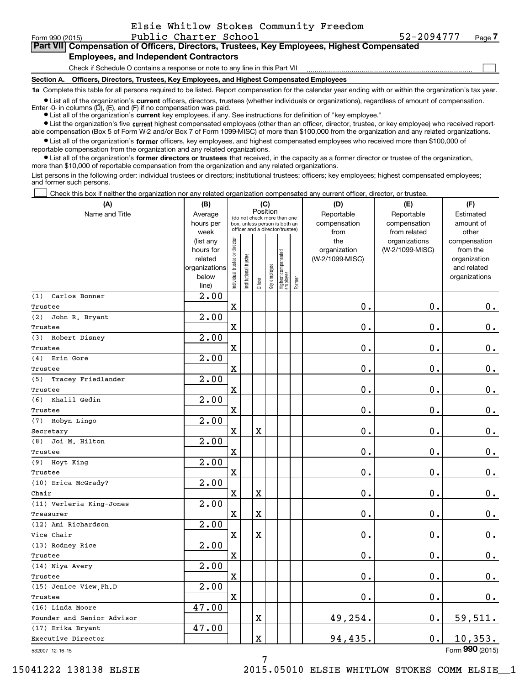| Form 990 (2015)                                                                                      | Public Charter School                                                        | 52-2094777 | Page |  |  |  |  |  |  |
|------------------------------------------------------------------------------------------------------|------------------------------------------------------------------------------|------------|------|--|--|--|--|--|--|
| Part VII Compensation of Officers, Directors, Trustees, Key Employees, Highest Compensated           |                                                                              |            |      |  |  |  |  |  |  |
| <b>Employees, and Independent Contractors</b>                                                        |                                                                              |            |      |  |  |  |  |  |  |
|                                                                                                      | Check if Schedule O contains a response or note to any line in this Part VII |            |      |  |  |  |  |  |  |
| Officers, Directors, Trustees, Key Employees, and Highest Compensated Employees<br><b>Section A.</b> |                                                                              |            |      |  |  |  |  |  |  |
|                                                                                                      |                                                                              |            |      |  |  |  |  |  |  |

**1a**  Complete this table for all persons required to be listed. Report compensation for the calendar year ending with or within the organization's tax year. **•** List all of the organization's current officers, directors, trustees (whether individuals or organizations), regardless of amount of compensation.

Enter -0- in columns  $(D)$ ,  $(E)$ , and  $(F)$  if no compensation was paid.

● List all of the organization's **current** key employees, if any. See instructions for definition of "key employee."

**•** List the organization's five current highest compensated employees (other than an officer, director, trustee, or key employee) who received reportable compensation (Box 5 of Form W-2 and/or Box 7 of Form 1099-MISC) of more than \$100,000 from the organization and any related organizations.

 $\bullet$  List all of the organization's **former** officers, key employees, and highest compensated employees who received more than \$100,000 of reportable compensation from the organization and any related organizations.

**•** List all of the organization's former directors or trustees that received, in the capacity as a former director or trustee of the organization, more than \$10,000 of reportable compensation from the organization and any related organizations.

List persons in the following order: individual trustees or directors; institutional trustees; officers; key employees; highest compensated employees; and former such persons.

Check this box if neither the organization nor any related organization compensated any current officer, director, or trustee.  $\mathcal{L}^{\text{max}}$ 

| (A)                             | (B)                                                                  |                               |                                                                                                 |                         | (C)          |                                   |        | (D)                                    | (E)                                        | (F)                                                                      |
|---------------------------------|----------------------------------------------------------------------|-------------------------------|-------------------------------------------------------------------------------------------------|-------------------------|--------------|-----------------------------------|--------|----------------------------------------|--------------------------------------------|--------------------------------------------------------------------------|
| Name and Title                  | Average<br>hours per<br>week                                         |                               | (do not check more than one<br>box, unless person is both an<br>officer and a director/trustee) | Position                |              |                                   |        | Reportable<br>compensation<br>from     | Reportable<br>compensation<br>from related | Estimated<br>amount of<br>other                                          |
|                                 | (list any<br>hours for<br>related<br>organizations<br>below<br>line) | ndividual trustee or director | inal trustee<br>Institution                                                                     | Officer                 | Key employee | Highest compensated<br>  employee | Former | the<br>organization<br>(W-2/1099-MISC) | organizations<br>(W-2/1099-MISC)           | compensation<br>from the<br>organization<br>and related<br>organizations |
| Carlos Bonner<br>(1)            | 2.00                                                                 |                               |                                                                                                 |                         |              |                                   |        |                                        |                                            |                                                                          |
| Trustee                         |                                                                      | $\mathbf x$                   |                                                                                                 |                         |              |                                   |        | $\mathbf{0}$ .                         | 0.                                         | 0.                                                                       |
| John R. Bryant<br>(2)           | 2.00                                                                 |                               |                                                                                                 |                         |              |                                   |        |                                        |                                            |                                                                          |
| Trustee                         |                                                                      | $\mathbf X$                   |                                                                                                 |                         |              |                                   |        | 0.                                     | 0.                                         | $\mathbf 0$ .                                                            |
| Robert Disney<br>(3)<br>Trustee | 2.00                                                                 | $\mathbf X$                   |                                                                                                 |                         |              |                                   |        | 0.                                     | $\mathbf 0$ .                              | $\mathbf 0$ .                                                            |
| Erin Gore<br>(4)                | 2.00                                                                 |                               |                                                                                                 |                         |              |                                   |        |                                        |                                            |                                                                          |
| Trustee                         |                                                                      | $\mathbf X$                   |                                                                                                 |                         |              |                                   |        | $\mathbf 0$ .                          | 0.                                         | $0_{.}$                                                                  |
| Tracey Friedlander<br>(5)       | 2.00                                                                 |                               |                                                                                                 |                         |              |                                   |        |                                        |                                            |                                                                          |
| Trustee                         |                                                                      | $\mathbf x$                   |                                                                                                 |                         |              |                                   |        | $\mathbf 0$ .                          | 0.                                         | $0$ .                                                                    |
| Khalil Gedin<br>(6)             | 2.00                                                                 |                               |                                                                                                 |                         |              |                                   |        |                                        |                                            |                                                                          |
| Trustee                         |                                                                      | $\mathbf X$                   |                                                                                                 |                         |              |                                   |        | $\mathbf 0$ .                          | $\mathbf 0$ .                              | $\mathbf 0$ .                                                            |
| Robyn Lingo<br>(7)              | 2.00                                                                 |                               |                                                                                                 |                         |              |                                   |        |                                        |                                            |                                                                          |
| Secretary                       |                                                                      | $\mathbf X$                   |                                                                                                 | X                       |              |                                   |        | $\mathbf 0$ .                          | $\mathbf 0$ .                              | $0$ .                                                                    |
| Joi M. Hilton<br>(8)            | 2.00                                                                 |                               |                                                                                                 |                         |              |                                   |        |                                        |                                            |                                                                          |
| Trustee                         |                                                                      | $\mathbf X$                   |                                                                                                 |                         |              |                                   |        | $\mathbf 0$ .                          | 0.                                         | $\mathbf 0$ .                                                            |
| (9) Hoyt King                   | 2.00                                                                 |                               |                                                                                                 |                         |              |                                   |        |                                        |                                            |                                                                          |
| Trustee                         |                                                                      | $\mathbf X$                   |                                                                                                 |                         |              |                                   |        | $\mathbf 0$ .                          | 0.                                         | 0.                                                                       |
| (10) Erica McGrady?             | 2.00                                                                 |                               |                                                                                                 |                         |              |                                   |        |                                        |                                            |                                                                          |
| Chair                           |                                                                      | $\mathbf X$                   |                                                                                                 | $\mathbf X$             |              |                                   |        | $\mathbf 0$ .                          | 0.                                         | 0.                                                                       |
| (11) Verleria King-Jones        | 2.00                                                                 |                               |                                                                                                 |                         |              |                                   |        |                                        |                                            |                                                                          |
| Treasurer                       |                                                                      | $\mathbf X$                   |                                                                                                 | $\mathbf X$             |              |                                   |        | $\mathbf 0$ .                          | 0.                                         | 0.                                                                       |
| (12) Ami Richardson             | 2.00                                                                 |                               |                                                                                                 |                         |              |                                   |        |                                        |                                            |                                                                          |
| Vice Chair                      |                                                                      | $\mathbf X$                   |                                                                                                 | $\mathbf X$             |              |                                   |        | $\mathbf 0$ .                          | 0.                                         | $\mathbf 0$ .                                                            |
| (13) Rodney Rice                | $\overline{2.00}$                                                    |                               |                                                                                                 |                         |              |                                   |        |                                        |                                            |                                                                          |
| Trustee                         |                                                                      | $\mathbf X$                   |                                                                                                 |                         |              |                                   |        | $\mathfrak o$ .                        | 0.                                         | 0.                                                                       |
| (14) Niya Avery                 | $\overline{2.00}$                                                    |                               |                                                                                                 |                         |              |                                   |        |                                        |                                            |                                                                          |
| Trustee                         |                                                                      | $\mathbf X$                   |                                                                                                 |                         |              |                                   |        | $\mathbf 0$ .                          | 0.                                         | 0.                                                                       |
| (15) Jenice View, Ph.D          | 2.00                                                                 |                               |                                                                                                 |                         |              |                                   |        |                                        |                                            |                                                                          |
| Trustee                         |                                                                      | $\mathbf x$                   |                                                                                                 |                         |              |                                   |        | 0.                                     | 0.                                         | 0.                                                                       |
| (16) Linda Moore                | 47.00                                                                |                               |                                                                                                 |                         |              |                                   |        |                                        |                                            |                                                                          |
| Founder and Senior Advisor      |                                                                      |                               |                                                                                                 | $\overline{\mathbf{X}}$ |              |                                   |        | 49,254.                                | 0.                                         | 59,511.                                                                  |
| (17) Erika Bryant               | 47.00                                                                |                               |                                                                                                 |                         |              |                                   |        |                                        |                                            |                                                                          |
| Executive Director              |                                                                      |                               |                                                                                                 | $\mathbf X$             |              |                                   |        | 94,435.                                | $0$ .                                      | 10, 353.                                                                 |

532007 12-16-15

Form (2015) **990**

7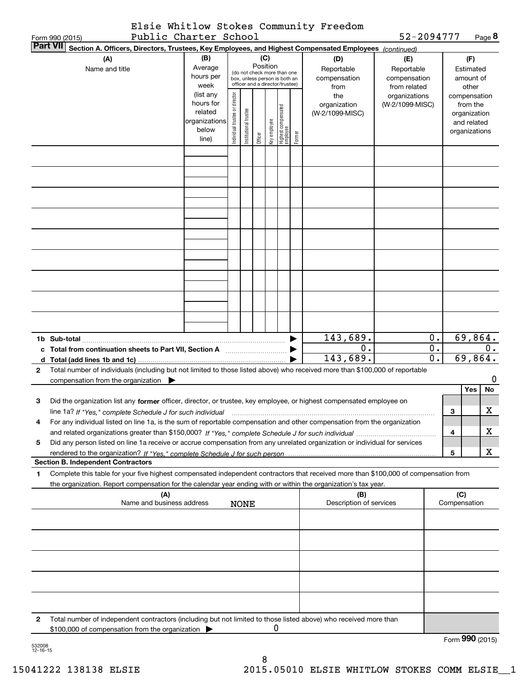|                 | Elsie Whitlow Stokes Community Freedom |            |               |
|-----------------|----------------------------------------|------------|---------------|
| Form 990 (2015) | Public Charter School                  | 52-2094777 | Page $\bm{8}$ |

| $0 \cup 0 \cup 1$<br><b>Part VII</b><br>Section A. Officers, Directors, Trustees, Key Employees, and Highest Compensated Employees (continued) |                                                                          |                        |                                |                      |         |              |                                                              |        |                                                                                                                                      |                 |                  |              |                 |
|------------------------------------------------------------------------------------------------------------------------------------------------|--------------------------------------------------------------------------|------------------------|--------------------------------|----------------------|---------|--------------|--------------------------------------------------------------|--------|--------------------------------------------------------------------------------------------------------------------------------------|-----------------|------------------|--------------|-----------------|
| (A)                                                                                                                                            |                                                                          |                        | (D)                            | (E)                  |         |              | (F)                                                          |        |                                                                                                                                      |                 |                  |              |                 |
|                                                                                                                                                | (B)<br>Average<br>Name and title                                         |                        |                                |                      |         |              | Position                                                     |        | Reportable                                                                                                                           | Reportable      |                  |              | Estimated       |
|                                                                                                                                                |                                                                          | hours per              |                                |                      |         |              | (do not check more than one<br>box, unless person is both an |        | compensation                                                                                                                         | compensation    |                  |              | amount of       |
|                                                                                                                                                |                                                                          | week                   |                                |                      |         |              | officer and a director/trustee)                              |        | from                                                                                                                                 | from related    |                  |              | other           |
|                                                                                                                                                |                                                                          | (list any              |                                |                      |         |              |                                                              |        | the                                                                                                                                  | organizations   |                  |              | compensation    |
|                                                                                                                                                |                                                                          | hours for              |                                |                      |         |              |                                                              |        | organization                                                                                                                         | (W-2/1099-MISC) |                  |              | from the        |
|                                                                                                                                                |                                                                          | related                |                                |                      |         |              |                                                              |        | (W-2/1099-MISC)                                                                                                                      |                 |                  |              | organization    |
|                                                                                                                                                |                                                                          | organizations<br>below |                                |                      |         |              |                                                              |        |                                                                                                                                      |                 |                  |              | and related     |
|                                                                                                                                                |                                                                          | line)                  | Individual trustee or director | nstitutional trustee | Officer | Key employee | Highest compensated<br>  employee                            | Former |                                                                                                                                      |                 |                  |              | organizations   |
|                                                                                                                                                |                                                                          |                        |                                |                      |         |              |                                                              |        |                                                                                                                                      |                 |                  |              |                 |
|                                                                                                                                                |                                                                          |                        |                                |                      |         |              |                                                              |        |                                                                                                                                      |                 |                  |              |                 |
|                                                                                                                                                |                                                                          |                        |                                |                      |         |              |                                                              |        |                                                                                                                                      |                 |                  |              |                 |
|                                                                                                                                                |                                                                          |                        |                                |                      |         |              |                                                              |        |                                                                                                                                      |                 |                  |              |                 |
|                                                                                                                                                |                                                                          |                        |                                |                      |         |              |                                                              |        |                                                                                                                                      |                 |                  |              |                 |
|                                                                                                                                                |                                                                          |                        |                                |                      |         |              |                                                              |        |                                                                                                                                      |                 |                  |              |                 |
|                                                                                                                                                |                                                                          |                        |                                |                      |         |              |                                                              |        |                                                                                                                                      |                 |                  |              |                 |
|                                                                                                                                                |                                                                          |                        |                                |                      |         |              |                                                              |        |                                                                                                                                      |                 |                  |              |                 |
|                                                                                                                                                |                                                                          |                        |                                |                      |         |              |                                                              |        |                                                                                                                                      |                 |                  |              |                 |
|                                                                                                                                                |                                                                          |                        |                                |                      |         |              |                                                              |        |                                                                                                                                      |                 |                  |              |                 |
|                                                                                                                                                |                                                                          |                        |                                |                      |         |              |                                                              |        |                                                                                                                                      |                 |                  |              |                 |
|                                                                                                                                                |                                                                          |                        |                                |                      |         |              |                                                              |        |                                                                                                                                      |                 |                  |              |                 |
|                                                                                                                                                |                                                                          |                        |                                |                      |         |              |                                                              |        |                                                                                                                                      |                 |                  |              |                 |
|                                                                                                                                                |                                                                          |                        |                                |                      |         |              |                                                              |        |                                                                                                                                      |                 |                  |              |                 |
|                                                                                                                                                |                                                                          |                        |                                |                      |         |              |                                                              |        |                                                                                                                                      |                 |                  |              |                 |
|                                                                                                                                                |                                                                          |                        |                                |                      |         |              |                                                              |        |                                                                                                                                      |                 |                  |              |                 |
|                                                                                                                                                |                                                                          |                        |                                |                      |         |              |                                                              |        |                                                                                                                                      |                 |                  |              |                 |
|                                                                                                                                                |                                                                          |                        |                                |                      |         |              |                                                              |        |                                                                                                                                      |                 |                  |              |                 |
|                                                                                                                                                |                                                                          |                        |                                |                      |         |              |                                                              |        |                                                                                                                                      |                 |                  |              |                 |
|                                                                                                                                                |                                                                          |                        |                                |                      |         |              |                                                              |        | 143,689.                                                                                                                             |                 | $0$ .            |              | 69,864.         |
|                                                                                                                                                | c Total from continuation sheets to Part VII, Section A [111] [120] [20] |                        |                                |                      |         |              |                                                              |        | 0.                                                                                                                                   |                 | $0$ .            |              | 0.              |
|                                                                                                                                                |                                                                          |                        |                                |                      |         |              |                                                              |        | 143,689.                                                                                                                             |                 | $\overline{0}$ . |              | 69,864.         |
| 2                                                                                                                                              |                                                                          |                        |                                |                      |         |              |                                                              |        | Total number of individuals (including but not limited to those listed above) who received more than \$100,000 of reportable         |                 |                  |              |                 |
|                                                                                                                                                | compensation from the organization                                       |                        |                                |                      |         |              |                                                              |        |                                                                                                                                      |                 |                  |              |                 |
|                                                                                                                                                |                                                                          |                        |                                |                      |         |              |                                                              |        |                                                                                                                                      |                 |                  |              | No<br>Yes       |
| з                                                                                                                                              |                                                                          |                        |                                |                      |         |              |                                                              |        | Did the organization list any former officer, director, or trustee, key employee, or highest compensated employee on                 |                 |                  |              |                 |
|                                                                                                                                                | line 1a? If "Yes," complete Schedule J for such individual               |                        |                                |                      |         |              |                                                              |        |                                                                                                                                      |                 |                  | 3            | х               |
| 4                                                                                                                                              |                                                                          |                        |                                |                      |         |              |                                                              |        | For any individual listed on line 1a, is the sum of reportable compensation and other compensation from the organization             |                 |                  |              |                 |
|                                                                                                                                                |                                                                          |                        |                                |                      |         |              |                                                              |        |                                                                                                                                      |                 |                  | 4            | x               |
| 5                                                                                                                                              |                                                                          |                        |                                |                      |         |              |                                                              |        | Did any person listed on line 1a receive or accrue compensation from any unrelated organization or individual for services           |                 |                  |              |                 |
|                                                                                                                                                |                                                                          |                        |                                |                      |         |              |                                                              |        |                                                                                                                                      |                 |                  | 5            | x               |
| <b>Section B. Independent Contractors</b>                                                                                                      |                                                                          |                        |                                |                      |         |              |                                                              |        |                                                                                                                                      |                 |                  |              |                 |
| 1                                                                                                                                              |                                                                          |                        |                                |                      |         |              |                                                              |        | Complete this table for your five highest compensated independent contractors that received more than \$100,000 of compensation from |                 |                  |              |                 |
|                                                                                                                                                |                                                                          |                        |                                |                      |         |              |                                                              |        | the organization. Report compensation for the calendar year ending with or within the organization's tax year.                       |                 |                  |              |                 |
|                                                                                                                                                | (A)                                                                      |                        |                                |                      |         |              |                                                              |        | (B)                                                                                                                                  |                 |                  | (C)          |                 |
|                                                                                                                                                | Name and business address                                                |                        |                                | <b>NONE</b>          |         |              |                                                              |        | Description of services                                                                                                              |                 |                  | Compensation |                 |
|                                                                                                                                                |                                                                          |                        |                                |                      |         |              |                                                              |        |                                                                                                                                      |                 |                  |              |                 |
|                                                                                                                                                |                                                                          |                        |                                |                      |         |              |                                                              |        |                                                                                                                                      |                 |                  |              |                 |
|                                                                                                                                                |                                                                          |                        |                                |                      |         |              |                                                              |        |                                                                                                                                      |                 |                  |              |                 |
|                                                                                                                                                |                                                                          |                        |                                |                      |         |              |                                                              |        |                                                                                                                                      |                 |                  |              |                 |
|                                                                                                                                                |                                                                          |                        |                                |                      |         |              |                                                              |        |                                                                                                                                      |                 |                  |              |                 |
|                                                                                                                                                |                                                                          |                        |                                |                      |         |              |                                                              |        |                                                                                                                                      |                 |                  |              |                 |
|                                                                                                                                                |                                                                          |                        |                                |                      |         |              |                                                              |        |                                                                                                                                      |                 |                  |              |                 |
|                                                                                                                                                |                                                                          |                        |                                |                      |         |              |                                                              |        |                                                                                                                                      |                 |                  |              |                 |
|                                                                                                                                                |                                                                          |                        |                                |                      |         |              |                                                              |        |                                                                                                                                      |                 |                  |              |                 |
|                                                                                                                                                |                                                                          |                        |                                |                      |         |              |                                                              |        |                                                                                                                                      |                 |                  |              |                 |
| 2                                                                                                                                              |                                                                          |                        |                                |                      |         |              |                                                              |        | Total number of independent contractors (including but not limited to those listed above) who received more than                     |                 |                  |              |                 |
|                                                                                                                                                | \$100,000 of compensation from the organization                          |                        |                                |                      |         | 0            |                                                              |        |                                                                                                                                      |                 |                  |              |                 |
|                                                                                                                                                |                                                                          |                        |                                |                      |         |              |                                                              |        |                                                                                                                                      |                 |                  |              | Form 990 (2015) |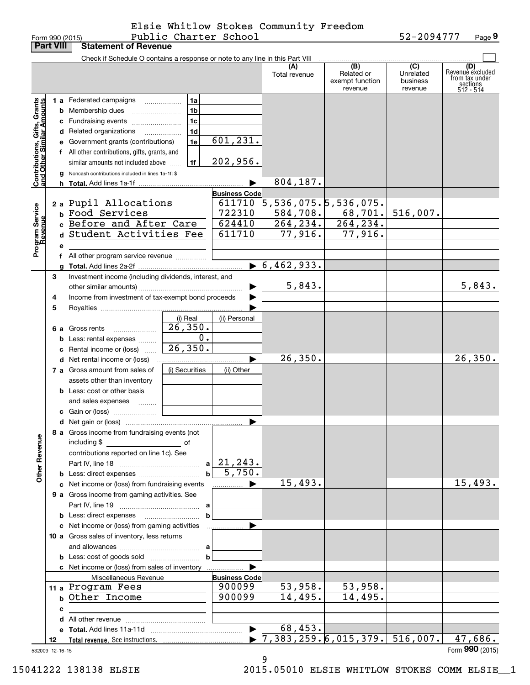Form 990 (2015) Page Public Charter School 52-2094777 Elsie Whitlow Stokes Community Freedom

| Form 990 (2015)                                           |    |   |                                                                               | Public Charter School |                      |                                       |                                                 | 52-2094777                                         | Page 9                                                               |
|-----------------------------------------------------------|----|---|-------------------------------------------------------------------------------|-----------------------|----------------------|---------------------------------------|-------------------------------------------------|----------------------------------------------------|----------------------------------------------------------------------|
| <b>Part VIII</b>                                          |    |   | <b>Statement of Revenue</b>                                                   |                       |                      |                                       |                                                 |                                                    |                                                                      |
|                                                           |    |   | Check if Schedule O contains a response or note to any line in this Part VIII |                       |                      |                                       |                                                 |                                                    |                                                                      |
|                                                           |    |   |                                                                               |                       |                      | (A)<br>Total revenue                  | (B)<br>Related or<br>exempt function<br>revenue | $\overline{C}$<br>Unrelated<br>business<br>revenue | (D)<br>Revenuè excluded<br>from tax under<br>sections<br>$512 - 514$ |
|                                                           |    |   | 1 a Federated campaigns                                                       | 1a                    |                      |                                       |                                                 |                                                    |                                                                      |
| Contributions, Gifts, Grants<br>and Other Similar Amounts |    |   | <b>b</b> Membership dues                                                      | 1 <sub>b</sub>        |                      |                                       |                                                 |                                                    |                                                                      |
|                                                           |    |   | c Fundraising events                                                          | 1 <sub>c</sub>        |                      |                                       |                                                 |                                                    |                                                                      |
|                                                           |    |   | d Related organizations<br>$\overline{\phantom{a}}$                           | 1 <sub>d</sub>        |                      |                                       |                                                 |                                                    |                                                                      |
|                                                           |    |   | e Government grants (contributions)                                           | 1e                    | 601, 231.            |                                       |                                                 |                                                    |                                                                      |
|                                                           |    |   | f All other contributions, gifts, grants, and                                 |                       |                      |                                       |                                                 |                                                    |                                                                      |
|                                                           |    |   | similar amounts not included above                                            | 1f                    | 202,956.             |                                       |                                                 |                                                    |                                                                      |
|                                                           |    |   | g Noncash contributions included in lines 1a-1f: \$                           |                       |                      |                                       |                                                 |                                                    |                                                                      |
|                                                           |    |   |                                                                               |                       |                      | 804,187.                              |                                                 |                                                    |                                                                      |
|                                                           |    |   |                                                                               |                       | <b>Business Code</b> |                                       |                                                 |                                                    |                                                                      |
|                                                           |    |   | 2 a Pupil Allocations                                                         |                       | 611710               | $5, 536, 075.$ $5, 536, 075.$         |                                                 |                                                    |                                                                      |
|                                                           |    |   | b Food Services                                                               |                       | 722310               |                                       | $584, 708.$ 68,701.                             | 516,007.                                           |                                                                      |
|                                                           |    |   | c Before and After Care                                                       |                       | 624410               | 264, 234.                             | 264, 234.                                       |                                                    |                                                                      |
|                                                           |    |   | d Student Activities Fee                                                      |                       | 611710               | 77,916.                               | 77,916.                                         |                                                    |                                                                      |
| Program Service<br>Revenue                                |    |   |                                                                               |                       |                      |                                       |                                                 |                                                    |                                                                      |
|                                                           |    | е |                                                                               |                       |                      |                                       |                                                 |                                                    |                                                                      |
|                                                           |    |   | f All other program service revenue                                           |                       |                      | $\triangleright$ 6,462,933.           |                                                 |                                                    |                                                                      |
|                                                           |    |   |                                                                               |                       |                      |                                       |                                                 |                                                    |                                                                      |
|                                                           | 3  |   | Investment income (including dividends, interest, and                         |                       |                      | 5,843.                                |                                                 |                                                    | 5,843.                                                               |
|                                                           |    |   | Income from investment of tax-exempt bond proceeds                            |                       |                      |                                       |                                                 |                                                    |                                                                      |
|                                                           | 4  |   |                                                                               |                       |                      |                                       |                                                 |                                                    |                                                                      |
|                                                           | 5  |   |                                                                               |                       |                      |                                       |                                                 |                                                    |                                                                      |
|                                                           |    |   |                                                                               | (i) Real<br>26,350.   | (ii) Personal        |                                       |                                                 |                                                    |                                                                      |
|                                                           |    |   | 6 a Gross rents                                                               | $\overline{0}$ .      |                      |                                       |                                                 |                                                    |                                                                      |
|                                                           |    |   | <b>b</b> Less: rental expenses                                                | 26,350.               |                      |                                       |                                                 |                                                    |                                                                      |
|                                                           |    |   | c Rental income or (loss)                                                     |                       |                      | 26, 350.                              |                                                 |                                                    | 26, 350.                                                             |
|                                                           |    |   |                                                                               |                       |                      |                                       |                                                 |                                                    |                                                                      |
|                                                           |    |   | 7 a Gross amount from sales of                                                | (i) Securities        | (ii) Other           |                                       |                                                 |                                                    |                                                                      |
|                                                           |    |   | assets other than inventory                                                   |                       |                      |                                       |                                                 |                                                    |                                                                      |
|                                                           |    |   | <b>b</b> Less: cost or other basis                                            |                       |                      |                                       |                                                 |                                                    |                                                                      |
|                                                           |    |   | and sales expenses                                                            |                       |                      |                                       |                                                 |                                                    |                                                                      |
|                                                           |    |   | c Gain or (loss)                                                              |                       |                      |                                       |                                                 |                                                    |                                                                      |
|                                                           |    |   | 8 a Gross income from fundraising events (not                                 |                       |                      |                                       |                                                 |                                                    |                                                                      |
| <b>Other Revenue</b>                                      |    |   | including \$<br>$\overline{\phantom{a}}$ of                                   |                       |                      |                                       |                                                 |                                                    |                                                                      |
|                                                           |    |   | contributions reported on line 1c). See                                       |                       |                      |                                       |                                                 |                                                    |                                                                      |
|                                                           |    |   |                                                                               |                       | $a$ 21, 243.         |                                       |                                                 |                                                    |                                                                      |
|                                                           |    |   | <b>b</b> Less: direct expenses                                                |                       | $b \ 5,750.$         |                                       |                                                 |                                                    |                                                                      |
|                                                           |    |   | c Net income or (loss) from fundraising events                                |                       |                      | 15,493.                               |                                                 |                                                    | 15,493.                                                              |
|                                                           |    |   | 9 a Gross income from gaming activities. See                                  |                       |                      |                                       |                                                 |                                                    |                                                                      |
|                                                           |    |   |                                                                               |                       |                      |                                       |                                                 |                                                    |                                                                      |
|                                                           |    |   |                                                                               | b                     |                      |                                       |                                                 |                                                    |                                                                      |
|                                                           |    |   | c Net income or (loss) from gaming activities                                 |                       |                      |                                       |                                                 |                                                    |                                                                      |
|                                                           |    |   | 10 a Gross sales of inventory, less returns                                   |                       |                      |                                       |                                                 |                                                    |                                                                      |
|                                                           |    |   |                                                                               |                       |                      |                                       |                                                 |                                                    |                                                                      |
|                                                           |    |   |                                                                               | b                     |                      |                                       |                                                 |                                                    |                                                                      |
|                                                           |    |   | c Net income or (loss) from sales of inventory                                |                       |                      |                                       |                                                 |                                                    |                                                                      |
|                                                           |    |   | Miscellaneous Revenue                                                         |                       | <b>Business Code</b> |                                       |                                                 |                                                    |                                                                      |
|                                                           |    |   | 11 a Program Fees                                                             |                       | 900099               | 53,958.                               | 53,958.                                         |                                                    |                                                                      |
|                                                           |    |   | b Other Income                                                                |                       | 900099               | 14,495.                               | 14,495.                                         |                                                    |                                                                      |
|                                                           |    | c |                                                                               |                       |                      |                                       |                                                 |                                                    |                                                                      |
|                                                           |    |   |                                                                               |                       |                      |                                       |                                                 |                                                    |                                                                      |
|                                                           |    |   |                                                                               |                       |                      | 68,453.                               |                                                 |                                                    |                                                                      |
|                                                           | 12 |   |                                                                               |                       |                      | $\sqrt{7,383,259.6,015,379.516,007.}$ |                                                 |                                                    | 47,686.                                                              |
| 532009 12-16-15                                           |    |   |                                                                               |                       |                      |                                       |                                                 |                                                    | Form 990 (2015)                                                      |

9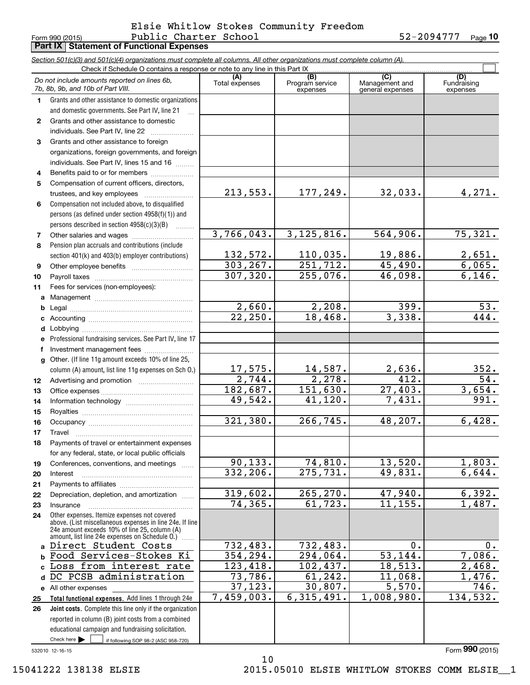#### Form 990 (2015) Public Charter School 52-2094777 Page Public Charter School 52-2094777 Elsie Whitlow Stokes Community Freedom

|              | <b>Part IX   Statement of Functional Expenses</b>                                                                                                                                                           |                       |                                    |                                           |                                |
|--------------|-------------------------------------------------------------------------------------------------------------------------------------------------------------------------------------------------------------|-----------------------|------------------------------------|-------------------------------------------|--------------------------------|
|              | Section 501(c)(3) and 501(c)(4) organizations must complete all columns. All other organizations must complete column (A).                                                                                  |                       |                                    |                                           |                                |
|              | Check if Schedule O contains a response or note to any line in this Part IX                                                                                                                                 |                       |                                    |                                           |                                |
|              | Do not include amounts reported on lines 6b,<br>7b, 8b, 9b, and 10b of Part VIII.                                                                                                                           | (A)<br>Total expenses | (B)<br>Program service<br>expenses | (C)<br>Management and<br>general expenses | (D)<br>Fundraising<br>expenses |
| 1.           | Grants and other assistance to domestic organizations                                                                                                                                                       |                       |                                    |                                           |                                |
|              | and domestic governments. See Part IV, line 21                                                                                                                                                              |                       |                                    |                                           |                                |
| $\mathbf{2}$ | Grants and other assistance to domestic                                                                                                                                                                     |                       |                                    |                                           |                                |
|              | individuals. See Part IV, line 22                                                                                                                                                                           |                       |                                    |                                           |                                |
| 3            | Grants and other assistance to foreign                                                                                                                                                                      |                       |                                    |                                           |                                |
|              | organizations, foreign governments, and foreign                                                                                                                                                             |                       |                                    |                                           |                                |
|              | individuals. See Part IV, lines 15 and 16                                                                                                                                                                   |                       |                                    |                                           |                                |
| 4            | Benefits paid to or for members                                                                                                                                                                             |                       |                                    |                                           |                                |
| 5            | Compensation of current officers, directors,                                                                                                                                                                |                       |                                    |                                           |                                |
|              | trustees, and key employees                                                                                                                                                                                 | 213,553.              | 177,249.                           | 32,033.                                   | 4,271.                         |
| 6            | Compensation not included above, to disqualified                                                                                                                                                            |                       |                                    |                                           |                                |
|              | persons (as defined under section 4958(f)(1)) and                                                                                                                                                           |                       |                                    |                                           |                                |
|              | persons described in section 4958(c)(3)(B)                                                                                                                                                                  | 3,766,043.            | 3, 125, 816.                       | 564,906.                                  | $\overline{75,321.}$           |
| 7<br>8       | Pension plan accruals and contributions (include                                                                                                                                                            |                       |                                    |                                           |                                |
|              | section 401(k) and 403(b) employer contributions)                                                                                                                                                           | 132,572.              | 110,035.                           | 19,886.                                   | 2,651.                         |
| 9            |                                                                                                                                                                                                             | 303, 267.             | $\overline{251,712.}$              | 45,490.                                   | 6,065.                         |
| 10           |                                                                                                                                                                                                             | 307, 320.             | 255,076.                           | 46,098.                                   | 6,146.                         |
| 11           | Fees for services (non-employees):                                                                                                                                                                          |                       |                                    |                                           |                                |
| a            |                                                                                                                                                                                                             |                       |                                    |                                           |                                |
| b            |                                                                                                                                                                                                             | 2,660.                | 2,208.                             | $\overline{399}$ .                        | $\overline{53}$ .              |
| c            |                                                                                                                                                                                                             | $\overline{22,250}$ . | 18,468.                            | 3,338.                                    | 444.                           |
| d            |                                                                                                                                                                                                             |                       |                                    |                                           |                                |
| e            | Professional fundraising services. See Part IV, line 17                                                                                                                                                     |                       |                                    |                                           |                                |
| f            | Investment management fees                                                                                                                                                                                  |                       |                                    |                                           |                                |
| $\mathbf{q}$ | Other. (If line 11g amount exceeds 10% of line 25,                                                                                                                                                          |                       |                                    |                                           |                                |
|              | column (A) amount, list line 11g expenses on Sch O.)                                                                                                                                                        | 17,575.               | 14,587.                            | 2,636.                                    | 352.                           |
| 12           |                                                                                                                                                                                                             | $\overline{2,744}$ .  | 2,278.                             | 412.                                      | $\overline{54}$ .              |
| 13           |                                                                                                                                                                                                             | 182,687.              | 151,630.                           | 27,403.                                   | 3,654.                         |
| 14           |                                                                                                                                                                                                             | 49,542.               | 41, 120.                           | 7,431.                                    | 991.                           |
| 15           |                                                                                                                                                                                                             |                       |                                    |                                           |                                |
| 16           |                                                                                                                                                                                                             | 321, 380.             | 266, 745.                          | 48,207.                                   | 6,428.                         |
| 17           | Travel                                                                                                                                                                                                      |                       |                                    |                                           |                                |
| 18           | Payments of travel or entertainment expenses                                                                                                                                                                |                       |                                    |                                           |                                |
| 19           | for any federal, state, or local public officials<br>Conferences, conventions, and meetings                                                                                                                 | 90, 133.              | 74,810.                            | 13,520.                                   | 1,803.                         |
| 20           | Interest                                                                                                                                                                                                    | 332, 206.             | 275, 731.                          | 49,831.                                   | 6,644.                         |
| 21           |                                                                                                                                                                                                             |                       |                                    |                                           |                                |
| 22           | Depreciation, depletion, and amortization                                                                                                                                                                   | 319,602.              | 265, 270.                          | 47,940.                                   | 6,392.                         |
| 23           | Insurance                                                                                                                                                                                                   | 74, 365.              | 61, 723.                           | 11, 155.                                  | 1,487.                         |
| 24           | Other expenses. Itemize expenses not covered<br>above. (List miscellaneous expenses in line 24e. If line<br>24e amount exceeds 10% of line 25, column (A)<br>amount, list line 24e expenses on Schedule O.) |                       |                                    |                                           |                                |
| $\mathbf{a}$ | Direct Student Costs                                                                                                                                                                                        | 732,483.              | 732,483.                           | 0.                                        | 0.                             |
| b            | Food Services-Stokes Ki                                                                                                                                                                                     | 354, 294.             | 294,064.                           | 53, 144.                                  | 7,086.                         |
| C            | Loss from interest rate                                                                                                                                                                                     | 123,418.              | 102,437.                           | 18,513.                                   | $\overline{2,468}$ .           |
| d            | DC PCSB administration                                                                                                                                                                                      | 73,786.               | 61, 242.                           | 11,068.                                   | 1,476.                         |
| e            | All other expenses                                                                                                                                                                                          | 37, 123.              | 30,807.                            | $\overline{5,570}$ .                      | 746.                           |
| 25           | Total functional expenses. Add lines 1 through 24e                                                                                                                                                          | 7,459,003.            | 6, 315, 491.                       | 1,008,980.                                | 134,532.                       |
| 26           | Joint costs. Complete this line only if the organization                                                                                                                                                    |                       |                                    |                                           |                                |
|              | reported in column (B) joint costs from a combined                                                                                                                                                          |                       |                                    |                                           |                                |
|              | educational campaign and fundraising solicitation.                                                                                                                                                          |                       |                                    |                                           |                                |
|              | Check here $\blacktriangleright$<br>if following SOP 98-2 (ASC 958-720)                                                                                                                                     |                       |                                    |                                           |                                |

10

532010 12-16-15

Form (2015) **990**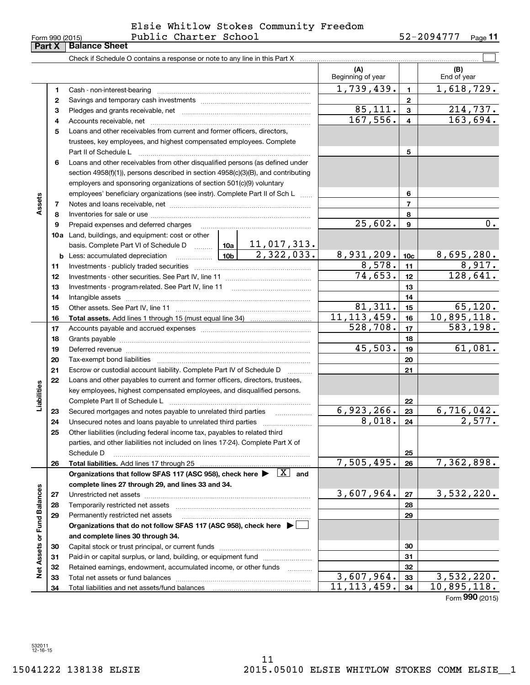| Form 990 (2015) |
|-----------------|
|-----------------|

### Form 990 (2015) Page Public Charter School 52-2094777 Elsie Whitlow Stokes Community Freedom

**11**

|                             | Part X | <b>Balance Sheet</b>                                                                                                         |               |              |                          |                 |                             |
|-----------------------------|--------|------------------------------------------------------------------------------------------------------------------------------|---------------|--------------|--------------------------|-----------------|-----------------------------|
|                             |        |                                                                                                                              |               |              |                          |                 |                             |
|                             |        |                                                                                                                              |               |              | (A)<br>Beginning of year |                 | (B)<br>End of year          |
|                             | 1      |                                                                                                                              | 1,739,439.    | $\mathbf{1}$ | 1,618,729.               |                 |                             |
|                             | 2      |                                                                                                                              |               |              |                          | $\mathbf{2}$    |                             |
|                             | 3      |                                                                                                                              |               | 85,111.      | $\mathbf{3}$             | 214,737.        |                             |
|                             | 4      |                                                                                                                              |               | 167,556.     | $\overline{4}$           | 163,694.        |                             |
|                             | 5      | Loans and other receivables from current and former officers, directors,                                                     |               |              |                          |                 |                             |
|                             |        | trustees, key employees, and highest compensated employees. Complete                                                         |               |              |                          |                 |                             |
|                             |        | Part II of Schedule L                                                                                                        |               | 5            |                          |                 |                             |
|                             | 6      | Loans and other receivables from other disqualified persons (as defined under                                                |               |              |                          |                 |                             |
|                             |        | section 4958(f)(1)), persons described in section 4958(c)(3)(B), and contributing                                            |               |              |                          |                 |                             |
|                             |        | employers and sponsoring organizations of section 501(c)(9) voluntary                                                        |               |              |                          |                 |                             |
|                             |        | employees' beneficiary organizations (see instr). Complete Part II of Sch L                                                  |               |              |                          | 6               |                             |
| Assets                      | 7      |                                                                                                                              |               |              |                          | 7               |                             |
|                             | 8      |                                                                                                                              |               |              |                          | 8               |                             |
|                             | 9      |                                                                                                                              |               |              | 25,602.                  | 9               | 0.                          |
|                             |        | 10a Land, buildings, and equipment: cost or other                                                                            |               |              |                          |                 |                             |
|                             |        | basis. Complete Part VI of Schedule D $\frac{10a}{10a}$ 11, 017, 313.                                                        |               |              |                          |                 |                             |
|                             |        |                                                                                                                              |               | 2,322,033.   | 8,931,209.               | 10 <sub>c</sub> | 8,695,280.                  |
|                             | 11     |                                                                                                                              |               |              | 8,578.                   | 11              | 8,917.                      |
|                             | 12     |                                                                                                                              |               |              | 74,653.                  | 12              | 128,641.                    |
|                             | 13     |                                                                                                                              |               |              | 13                       |                 |                             |
|                             | 14     |                                                                                                                              |               | 14           |                          |                 |                             |
|                             | 15     |                                                                                                                              |               |              | 81,311.                  | 15              | 65, 120.                    |
|                             | 16     |                                                                                                                              | 11, 113, 459. | 16           | 10,895,118.              |                 |                             |
|                             | 17     |                                                                                                                              |               |              | $\overline{528}$ , 708.  | 17              | 583,198.                    |
|                             | 18     |                                                                                                                              |               |              |                          | 18              |                             |
|                             | 19     |                                                                                                                              |               |              | 45,503.                  | 19              | 61,081.                     |
|                             | 20     |                                                                                                                              |               |              |                          | 20              |                             |
|                             | 21     | Escrow or custodial account liability. Complete Part IV of Schedule D                                                        |               |              | 21                       |                 |                             |
|                             | 22     | Loans and other payables to current and former officers, directors, trustees,                                                |               |              |                          |                 |                             |
| Liabilities                 |        | key employees, highest compensated employees, and disqualified persons.                                                      |               |              |                          |                 |                             |
|                             |        |                                                                                                                              |               |              |                          | 22              |                             |
|                             | 23     | Secured mortgages and notes payable to unrelated third parties                                                               |               |              | 6,923,266.               | 23              | 6,716,042.                  |
|                             | 24     |                                                                                                                              | 8,018.        | 24           | 2,577.                   |                 |                             |
|                             | 25     | Other liabilities (including federal income tax, payables to related third                                                   |               |              |                          |                 |                             |
|                             |        | parties, and other liabilities not included on lines 17-24). Complete Part X of                                              |               |              |                          |                 |                             |
|                             |        | Schedule D                                                                                                                   |               |              |                          | 25              |                             |
|                             | 26     | Total liabilities. Add lines 17 through 25                                                                                   |               |              | 7,505,495.               | 26              | 7,362,898.                  |
|                             |        | Organizations that follow SFAS 117 (ASC 958), check here $\blacktriangleright \begin{array}{c} \boxed{X} \\ \end{array}$ and |               |              |                          |                 |                             |
|                             |        | complete lines 27 through 29, and lines 33 and 34.                                                                           |               |              |                          |                 |                             |
|                             | 27     |                                                                                                                              |               |              | 3,607,964.               | 27              | 3,532,220.                  |
|                             | 28     |                                                                                                                              |               |              |                          | 28              |                             |
|                             | 29     | Permanently restricted net assets                                                                                            |               |              |                          | 29              |                             |
|                             |        | Organizations that do not follow SFAS 117 (ASC 958), check here $\blacktriangleright$                                        |               |              |                          |                 |                             |
|                             |        | and complete lines 30 through 34.                                                                                            |               |              |                          |                 |                             |
|                             | 30     |                                                                                                                              |               |              |                          | 30              |                             |
|                             | 31     | Paid-in or capital surplus, or land, building, or equipment fund                                                             |               |              |                          | 31              |                             |
| Net Assets or Fund Balances | 32     | Retained earnings, endowment, accumulated income, or other funds                                                             |               |              | 3,607,964.               | 32              | 3,532,220.                  |
|                             | 33     |                                                                                                                              |               |              | 11, 113, 459.            | 33<br>34        | 10,895,118.                 |
|                             | 34     |                                                                                                                              |               |              |                          |                 | $F_{\text{OCD}}$ 990 (2015) |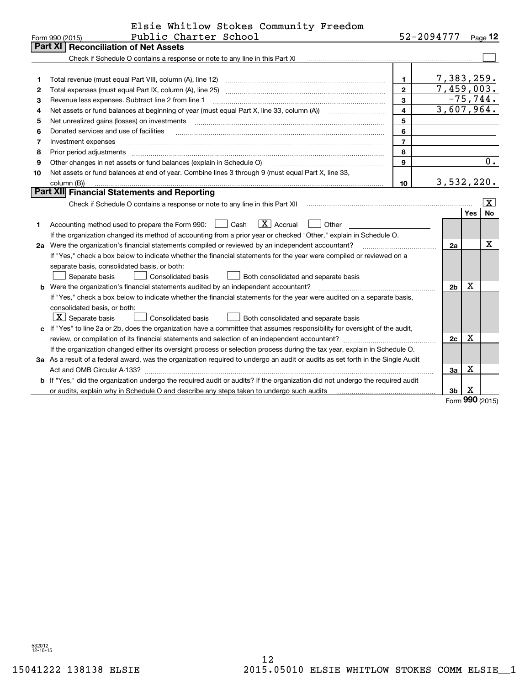|    | Elsie Whitlow Stokes Community Freedom                                                                                          |                |                          |     |                       |
|----|---------------------------------------------------------------------------------------------------------------------------------|----------------|--------------------------|-----|-----------------------|
|    | Public Charter School<br>Form 990 (2015)                                                                                        |                | 52-2094777               |     | $Page$ 12             |
|    | <b>Reconciliation of Net Assets</b><br>Part XI                                                                                  |                |                          |     |                       |
|    | Check if Schedule O contains a response or note to any line in this Part XI                                                     |                |                          |     |                       |
|    |                                                                                                                                 |                |                          |     |                       |
| 1  | Total revenue (must equal Part VIII, column (A), line 12)                                                                       | $\mathbf{1}$   | 7,383,259.<br>7,459,003. |     |                       |
| 2  | Total expenses (must equal Part IX, column (A), line 25)                                                                        | $\overline{2}$ |                          |     | $-75, 744.$           |
| 3  | Revenue less expenses. Subtract line 2 from line 1                                                                              | 3              | 3,607,964.               |     |                       |
| 4  |                                                                                                                                 | $\overline{4}$ |                          |     |                       |
| 5  | Net unrealized gains (losses) on investments                                                                                    | 5              |                          |     |                       |
| 6  | Donated services and use of facilities                                                                                          | 6              |                          |     |                       |
| 7  | Investment expenses                                                                                                             | $\overline{7}$ |                          |     |                       |
| 8  | Prior period adjustments                                                                                                        | 8              |                          |     |                       |
| 9  | Other changes in net assets or fund balances (explain in Schedule O)                                                            | $\mathbf{Q}$   |                          |     | 0.                    |
| 10 | Net assets or fund balances at end of year. Combine lines 3 through 9 (must equal Part X, line 33,                              |                |                          |     |                       |
|    | column (B))<br>Part XII Financial Statements and Reporting                                                                      | 10             | 3,532,220.               |     |                       |
|    |                                                                                                                                 |                |                          |     | $\overline{\text{X}}$ |
|    |                                                                                                                                 |                |                          | Yes | <b>No</b>             |
| 1  | $\boxed{\text{X}}$ Accrual<br>Accounting method used to prepare the Form 990: <u>[16</u> ] Cash<br>Other                        |                |                          |     |                       |
|    | If the organization changed its method of accounting from a prior year or checked "Other," explain in Schedule O.               |                |                          |     |                       |
|    | 2a Were the organization's financial statements compiled or reviewed by an independent accountant?                              |                | 2a                       |     | х                     |
|    | If "Yes," check a box below to indicate whether the financial statements for the year were compiled or reviewed on a            |                |                          |     |                       |
|    | separate basis, consolidated basis, or both:                                                                                    |                |                          |     |                       |
|    | <b>Consolidated basis</b><br>Separate basis<br>Both consolidated and separate basis                                             |                |                          |     |                       |
| b  | Were the organization's financial statements audited by an independent accountant?                                              |                | 2 <sub>b</sub>           | x   |                       |
|    | If "Yes," check a box below to indicate whether the financial statements for the year were audited on a separate basis,         |                |                          |     |                       |
|    | consolidated basis, or both:                                                                                                    |                |                          |     |                       |
|    | $\overline{X}$ Separate basis<br>Consolidated basis<br>Both consolidated and separate basis                                     |                |                          |     |                       |
|    | c If "Yes" to line 2a or 2b, does the organization have a committee that assumes responsibility for oversight of the audit,     |                |                          |     |                       |
|    |                                                                                                                                 |                | 2c                       | X   |                       |
|    | If the organization changed either its oversight process or selection process during the tax year, explain in Schedule O.       |                |                          |     |                       |
|    | 3a As a result of a federal award, was the organization required to undergo an audit or audits as set forth in the Single Audit |                |                          |     |                       |
|    |                                                                                                                                 |                | 3a                       | X   |                       |
|    | If "Yes," did the organization undergo the required audit or audits? If the organization did not undergo the required audit     |                |                          |     |                       |
|    | or audits, explain why in Schedule O and describe any steps taken to undergo such audits                                        |                | 3b                       | X   |                       |
|    |                                                                                                                                 |                |                          | nu  |                       |

Form (2015) **990**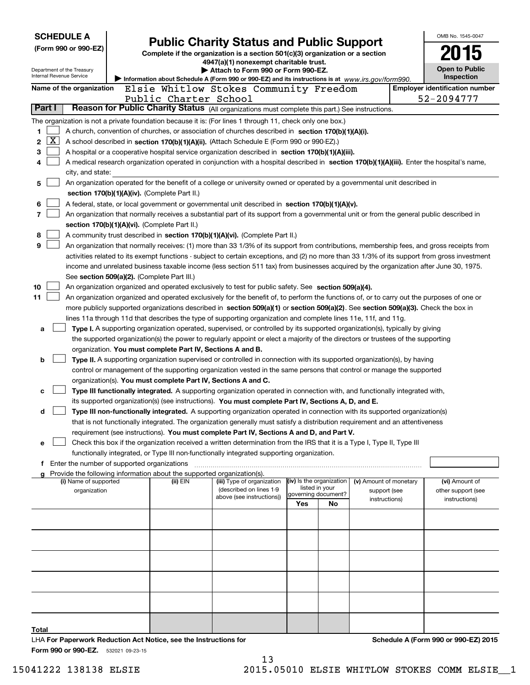| <b>SCHEDULE A</b>                                      |                                                                                                                                                                                                                 |  |                                                                  |                                                                                                                                                                                       |     |                                       |                        |  | OMB No. 1545-0047                                   |  |  |  |  |
|--------------------------------------------------------|-----------------------------------------------------------------------------------------------------------------------------------------------------------------------------------------------------------------|--|------------------------------------------------------------------|---------------------------------------------------------------------------------------------------------------------------------------------------------------------------------------|-----|---------------------------------------|------------------------|--|-----------------------------------------------------|--|--|--|--|
| (Form 990 or 990-EZ)                                   |                                                                                                                                                                                                                 |  |                                                                  | <b>Public Charity Status and Public Support</b>                                                                                                                                       |     |                                       |                        |  |                                                     |  |  |  |  |
|                                                        |                                                                                                                                                                                                                 |  |                                                                  | Complete if the organization is a section 501(c)(3) organization or a section<br>4947(a)(1) nonexempt charitable trust.                                                               |     |                                       |                        |  |                                                     |  |  |  |  |
| Department of the Treasury<br>Internal Revenue Service |                                                                                                                                                                                                                 |  |                                                                  | Attach to Form 990 or Form 990-EZ.                                                                                                                                                    |     |                                       |                        |  | <b>Open to Public</b>                               |  |  |  |  |
|                                                        |                                                                                                                                                                                                                 |  |                                                                  | Information about Schedule A (Form 990 or 990-EZ) and its instructions is at www.irs.gov/form990.                                                                                     |     |                                       |                        |  | Inspection                                          |  |  |  |  |
| Name of the organization                               |                                                                                                                                                                                                                 |  | Public Charter School                                            | Elsie Whitlow Stokes Community Freedom                                                                                                                                                |     |                                       |                        |  | <b>Employer identification number</b><br>52-2094777 |  |  |  |  |
| Part I                                                 |                                                                                                                                                                                                                 |  |                                                                  | Reason for Public Charity Status (All organizations must complete this part.) See instructions.                                                                                       |     |                                       |                        |  |                                                     |  |  |  |  |
|                                                        |                                                                                                                                                                                                                 |  |                                                                  |                                                                                                                                                                                       |     |                                       |                        |  |                                                     |  |  |  |  |
| 1.                                                     | The organization is not a private foundation because it is: (For lines 1 through 11, check only one box.)<br>A church, convention of churches, or association of churches described in section 170(b)(1)(A)(i). |  |                                                                  |                                                                                                                                                                                       |     |                                       |                        |  |                                                     |  |  |  |  |
| $\overline{\text{X}}$<br>2                             | A school described in section 170(b)(1)(A)(ii). (Attach Schedule E (Form 990 or 990-EZ).)                                                                                                                       |  |                                                                  |                                                                                                                                                                                       |     |                                       |                        |  |                                                     |  |  |  |  |
| 3                                                      | A hospital or a cooperative hospital service organization described in section 170(b)(1)(A)(iii).                                                                                                               |  |                                                                  |                                                                                                                                                                                       |     |                                       |                        |  |                                                     |  |  |  |  |
| 4                                                      | A medical research organization operated in conjunction with a hospital described in section 170(b)(1)(A)(iii). Enter the hospital's name,                                                                      |  |                                                                  |                                                                                                                                                                                       |     |                                       |                        |  |                                                     |  |  |  |  |
|                                                        | city, and state:                                                                                                                                                                                                |  |                                                                  |                                                                                                                                                                                       |     |                                       |                        |  |                                                     |  |  |  |  |
| 5                                                      | An organization operated for the benefit of a college or university owned or operated by a governmental unit described in                                                                                       |  |                                                                  |                                                                                                                                                                                       |     |                                       |                        |  |                                                     |  |  |  |  |
|                                                        | section 170(b)(1)(A)(iv). (Complete Part II.)                                                                                                                                                                   |  |                                                                  |                                                                                                                                                                                       |     |                                       |                        |  |                                                     |  |  |  |  |
| 6                                                      |                                                                                                                                                                                                                 |  |                                                                  | A federal, state, or local government or governmental unit described in section 170(b)(1)(A)(v).                                                                                      |     |                                       |                        |  |                                                     |  |  |  |  |
| 7                                                      |                                                                                                                                                                                                                 |  |                                                                  | An organization that normally receives a substantial part of its support from a governmental unit or from the general public described in                                             |     |                                       |                        |  |                                                     |  |  |  |  |
|                                                        |                                                                                                                                                                                                                 |  | section 170(b)(1)(A)(vi). (Complete Part II.)                    | A community trust described in section 170(b)(1)(A)(vi). (Complete Part II.)                                                                                                          |     |                                       |                        |  |                                                     |  |  |  |  |
| 8<br>9                                                 |                                                                                                                                                                                                                 |  |                                                                  | An organization that normally receives: (1) more than 33 1/3% of its support from contributions, membership fees, and gross receipts from                                             |     |                                       |                        |  |                                                     |  |  |  |  |
|                                                        |                                                                                                                                                                                                                 |  |                                                                  | activities related to its exempt functions - subject to certain exceptions, and (2) no more than 33 1/3% of its support from gross investment                                         |     |                                       |                        |  |                                                     |  |  |  |  |
|                                                        |                                                                                                                                                                                                                 |  |                                                                  | income and unrelated business taxable income (less section 511 tax) from businesses acquired by the organization after June 30, 1975.                                                 |     |                                       |                        |  |                                                     |  |  |  |  |
|                                                        |                                                                                                                                                                                                                 |  | See section 509(a)(2). (Complete Part III.)                      |                                                                                                                                                                                       |     |                                       |                        |  |                                                     |  |  |  |  |
| 10                                                     |                                                                                                                                                                                                                 |  |                                                                  | An organization organized and operated exclusively to test for public safety. See section 509(a)(4).                                                                                  |     |                                       |                        |  |                                                     |  |  |  |  |
| 11                                                     |                                                                                                                                                                                                                 |  |                                                                  | An organization organized and operated exclusively for the benefit of, to perform the functions of, or to carry out the purposes of one or                                            |     |                                       |                        |  |                                                     |  |  |  |  |
|                                                        |                                                                                                                                                                                                                 |  |                                                                  | more publicly supported organizations described in section 509(a)(1) or section 509(a)(2). See section 509(a)(3). Check the box in                                                    |     |                                       |                        |  |                                                     |  |  |  |  |
|                                                        |                                                                                                                                                                                                                 |  |                                                                  | lines 11a through 11d that describes the type of supporting organization and complete lines 11e, 11f, and 11g.                                                                        |     |                                       |                        |  |                                                     |  |  |  |  |
| a                                                      |                                                                                                                                                                                                                 |  |                                                                  | Type I. A supporting organization operated, supervised, or controlled by its supported organization(s), typically by giving                                                           |     |                                       |                        |  |                                                     |  |  |  |  |
|                                                        |                                                                                                                                                                                                                 |  |                                                                  | the supported organization(s) the power to regularly appoint or elect a majority of the directors or trustees of the supporting                                                       |     |                                       |                        |  |                                                     |  |  |  |  |
| b                                                      |                                                                                                                                                                                                                 |  |                                                                  | organization. You must complete Part IV, Sections A and B.<br>Type II. A supporting organization supervised or controlled in connection with its supported organization(s), by having |     |                                       |                        |  |                                                     |  |  |  |  |
|                                                        |                                                                                                                                                                                                                 |  |                                                                  | control or management of the supporting organization vested in the same persons that control or manage the supported                                                                  |     |                                       |                        |  |                                                     |  |  |  |  |
|                                                        |                                                                                                                                                                                                                 |  |                                                                  | organization(s). You must complete Part IV, Sections A and C.                                                                                                                         |     |                                       |                        |  |                                                     |  |  |  |  |
| c                                                      |                                                                                                                                                                                                                 |  |                                                                  | Type III functionally integrated. A supporting organization operated in connection with, and functionally integrated with,                                                            |     |                                       |                        |  |                                                     |  |  |  |  |
|                                                        |                                                                                                                                                                                                                 |  |                                                                  | its supported organization(s) (see instructions). You must complete Part IV, Sections A, D, and E.                                                                                    |     |                                       |                        |  |                                                     |  |  |  |  |
| d                                                      |                                                                                                                                                                                                                 |  |                                                                  | Type III non-functionally integrated. A supporting organization operated in connection with its supported organization(s)                                                             |     |                                       |                        |  |                                                     |  |  |  |  |
|                                                        |                                                                                                                                                                                                                 |  |                                                                  | that is not functionally integrated. The organization generally must satisfy a distribution requirement and an attentiveness                                                          |     |                                       |                        |  |                                                     |  |  |  |  |
|                                                        |                                                                                                                                                                                                                 |  |                                                                  | requirement (see instructions). You must complete Part IV, Sections A and D, and Part V.                                                                                              |     |                                       |                        |  |                                                     |  |  |  |  |
| е                                                      |                                                                                                                                                                                                                 |  |                                                                  | Check this box if the organization received a written determination from the IRS that it is a Type I, Type II, Type III                                                               |     |                                       |                        |  |                                                     |  |  |  |  |
|                                                        |                                                                                                                                                                                                                 |  | f Enter the number of supported organizations                    | functionally integrated, or Type III non-functionally integrated supporting organization.                                                                                             |     |                                       |                        |  |                                                     |  |  |  |  |
|                                                        |                                                                                                                                                                                                                 |  |                                                                  | Provide the following information about the supported organization(s).                                                                                                                |     |                                       |                        |  |                                                     |  |  |  |  |
|                                                        | (i) Name of supported                                                                                                                                                                                           |  | (ii) $EIN$                                                       | (iii) Type of organization                                                                                                                                                            |     | (iv) Is the organization              | (v) Amount of monetary |  | (vi) Amount of                                      |  |  |  |  |
|                                                        | organization                                                                                                                                                                                                    |  |                                                                  | (described on lines 1-9<br>above (see instructions))                                                                                                                                  |     | listed in your<br>governing document? | support (see           |  | other support (see                                  |  |  |  |  |
|                                                        |                                                                                                                                                                                                                 |  |                                                                  |                                                                                                                                                                                       | Yes | No                                    | instructions)          |  | instructions)                                       |  |  |  |  |
|                                                        |                                                                                                                                                                                                                 |  |                                                                  |                                                                                                                                                                                       |     |                                       |                        |  |                                                     |  |  |  |  |
|                                                        |                                                                                                                                                                                                                 |  |                                                                  |                                                                                                                                                                                       |     |                                       |                        |  |                                                     |  |  |  |  |
|                                                        |                                                                                                                                                                                                                 |  |                                                                  |                                                                                                                                                                                       |     |                                       |                        |  |                                                     |  |  |  |  |
|                                                        |                                                                                                                                                                                                                 |  |                                                                  |                                                                                                                                                                                       |     |                                       |                        |  |                                                     |  |  |  |  |
|                                                        |                                                                                                                                                                                                                 |  |                                                                  |                                                                                                                                                                                       |     |                                       |                        |  |                                                     |  |  |  |  |
|                                                        |                                                                                                                                                                                                                 |  |                                                                  |                                                                                                                                                                                       |     |                                       |                        |  |                                                     |  |  |  |  |
|                                                        |                                                                                                                                                                                                                 |  |                                                                  |                                                                                                                                                                                       |     |                                       |                        |  |                                                     |  |  |  |  |
|                                                        |                                                                                                                                                                                                                 |  |                                                                  |                                                                                                                                                                                       |     |                                       |                        |  |                                                     |  |  |  |  |
|                                                        |                                                                                                                                                                                                                 |  |                                                                  |                                                                                                                                                                                       |     |                                       |                        |  |                                                     |  |  |  |  |
|                                                        |                                                                                                                                                                                                                 |  |                                                                  |                                                                                                                                                                                       |     |                                       |                        |  |                                                     |  |  |  |  |
| Total                                                  |                                                                                                                                                                                                                 |  |                                                                  |                                                                                                                                                                                       |     |                                       |                        |  |                                                     |  |  |  |  |
| Form 990 or 990-EZ. 532021 09-23-15                    |                                                                                                                                                                                                                 |  | LHA For Paperwork Reduction Act Notice, see the Instructions for |                                                                                                                                                                                       |     |                                       |                        |  | Schedule A (Form 990 or 990-EZ) 2015                |  |  |  |  |

13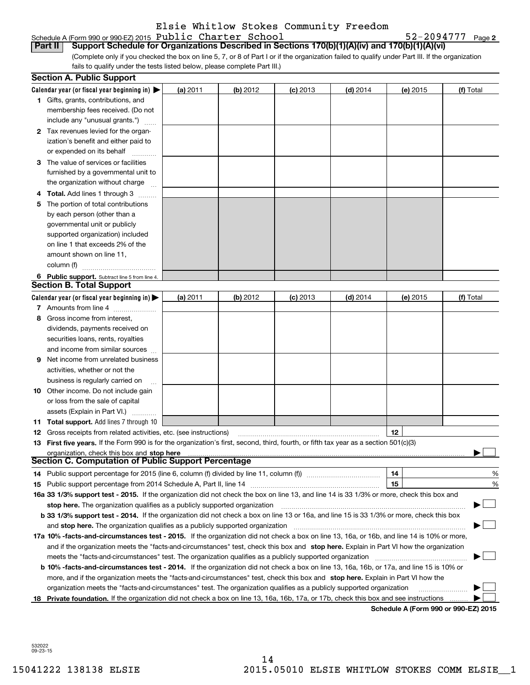## Schedule A (Form 990 or 990-EZ) 2015  ${\bf Public ~Character ~ School}$   ${\bf 52-2094777 ~~}$  Page

**2**

(Complete only if you checked the box on line 5, 7, or 8 of Part I or if the organization failed to qualify under Part III. If the organization fails to qualify under the tests listed below, please complete Part III.) **Part II Support Schedule for Organizations Described in Sections 170(b)(1)(A)(iv) and 170(b)(1)(A)(vi)**

|    | <b>Section A. Public Support</b>                                                                                                               |          |          |            |            |          |                                      |
|----|------------------------------------------------------------------------------------------------------------------------------------------------|----------|----------|------------|------------|----------|--------------------------------------|
|    | Calendar year (or fiscal year beginning in) $\blacktriangleright$                                                                              | (a) 2011 | (b) 2012 | (c) 2013   | $(d)$ 2014 | (e) 2015 | (f) Total                            |
|    | <b>1</b> Gifts, grants, contributions, and                                                                                                     |          |          |            |            |          |                                      |
|    | membership fees received. (Do not                                                                                                              |          |          |            |            |          |                                      |
|    | include any "unusual grants.")                                                                                                                 |          |          |            |            |          |                                      |
|    | 2 Tax revenues levied for the organ-                                                                                                           |          |          |            |            |          |                                      |
|    | ization's benefit and either paid to                                                                                                           |          |          |            |            |          |                                      |
|    | or expended on its behalf                                                                                                                      |          |          |            |            |          |                                      |
|    | 3 The value of services or facilities                                                                                                          |          |          |            |            |          |                                      |
|    | furnished by a governmental unit to                                                                                                            |          |          |            |            |          |                                      |
|    | the organization without charge                                                                                                                |          |          |            |            |          |                                      |
|    | 4 Total. Add lines 1 through 3                                                                                                                 |          |          |            |            |          |                                      |
|    | 5 The portion of total contributions                                                                                                           |          |          |            |            |          |                                      |
|    | by each person (other than a                                                                                                                   |          |          |            |            |          |                                      |
|    | governmental unit or publicly                                                                                                                  |          |          |            |            |          |                                      |
|    | supported organization) included                                                                                                               |          |          |            |            |          |                                      |
|    | on line 1 that exceeds 2% of the                                                                                                               |          |          |            |            |          |                                      |
|    | amount shown on line 11,                                                                                                                       |          |          |            |            |          |                                      |
|    | column (f)                                                                                                                                     |          |          |            |            |          |                                      |
|    | 6 Public support. Subtract line 5 from line 4.                                                                                                 |          |          |            |            |          |                                      |
|    | <b>Section B. Total Support</b>                                                                                                                |          |          |            |            |          |                                      |
|    | Calendar year (or fiscal year beginning in) $\blacktriangleright$                                                                              | (a) 2011 | (b) 2012 | $(c)$ 2013 | $(d)$ 2014 | (e) 2015 | (f) Total                            |
|    | 7 Amounts from line 4                                                                                                                          |          |          |            |            |          |                                      |
| 8. | Gross income from interest,                                                                                                                    |          |          |            |            |          |                                      |
|    | dividends, payments received on                                                                                                                |          |          |            |            |          |                                      |
|    | securities loans, rents, royalties                                                                                                             |          |          |            |            |          |                                      |
|    | and income from similar sources                                                                                                                |          |          |            |            |          |                                      |
| 9  | Net income from unrelated business                                                                                                             |          |          |            |            |          |                                      |
|    | activities, whether or not the                                                                                                                 |          |          |            |            |          |                                      |
|    | business is regularly carried on                                                                                                               |          |          |            |            |          |                                      |
|    | <b>10</b> Other income. Do not include gain                                                                                                    |          |          |            |            |          |                                      |
|    | or loss from the sale of capital                                                                                                               |          |          |            |            |          |                                      |
|    | assets (Explain in Part VI.)                                                                                                                   |          |          |            |            |          |                                      |
|    | <b>11 Total support.</b> Add lines 7 through 10                                                                                                |          |          |            |            |          |                                      |
|    | <b>12</b> Gross receipts from related activities, etc. (see instructions)                                                                      |          |          |            |            | 12       |                                      |
|    | 13 First five years. If the Form 990 is for the organization's first, second, third, fourth, or fifth tax year as a section 501(c)(3)          |          |          |            |            |          |                                      |
|    | organization, check this box and stop here                                                                                                     |          |          |            |            |          |                                      |
|    | <b>Section C. Computation of Public Support Percentage</b>                                                                                     |          |          |            |            |          |                                      |
|    | 14 Public support percentage for 2015 (line 6, column (f) divided by line 11, column (f) <i>mummumumum</i>                                     |          |          |            |            | 14       | %                                    |
|    |                                                                                                                                                |          |          |            |            | 15       | %                                    |
|    | 16a 33 1/3% support test - 2015. If the organization did not check the box on line 13, and line 14 is 33 1/3% or more, check this box and      |          |          |            |            |          |                                      |
|    | stop here. The organization qualifies as a publicly supported organization                                                                     |          |          |            |            |          |                                      |
|    | b 33 1/3% support test - 2014. If the organization did not check a box on line 13 or 16a, and line 15 is 33 1/3% or more, check this box       |          |          |            |            |          |                                      |
|    | and stop here. The organization qualifies as a publicly supported organization                                                                 |          |          |            |            |          |                                      |
|    | 17a 10% -facts-and-circumstances test - 2015. If the organization did not check a box on line 13, 16a, or 16b, and line 14 is 10% or more,     |          |          |            |            |          |                                      |
|    | and if the organization meets the "facts-and-circumstances" test, check this box and stop here. Explain in Part VI how the organization        |          |          |            |            |          |                                      |
|    | meets the "facts-and-circumstances" test. The organization qualifies as a publicly supported organization                                      |          |          |            |            |          |                                      |
|    | <b>b 10% -facts-and-circumstances test - 2014.</b> If the organization did not check a box on line 13, 16a, 16b, or 17a, and line 15 is 10% or |          |          |            |            |          |                                      |
|    | more, and if the organization meets the "facts-and-circumstances" test, check this box and stop here. Explain in Part VI how the               |          |          |            |            |          |                                      |
|    | organization meets the "facts-and-circumstances" test. The organization qualifies as a publicly supported organization                         |          |          |            |            |          |                                      |
|    | 18 Private foundation. If the organization did not check a box on line 13, 16a, 16b, 17a, or 17b, check this box and see instructions          |          |          |            |            |          |                                      |
|    |                                                                                                                                                |          |          |            |            |          | Schodule A (Form 000 or 000 F7) 2015 |

**Schedule A (Form 990 or 990-EZ) 2015**

532022 09-23-15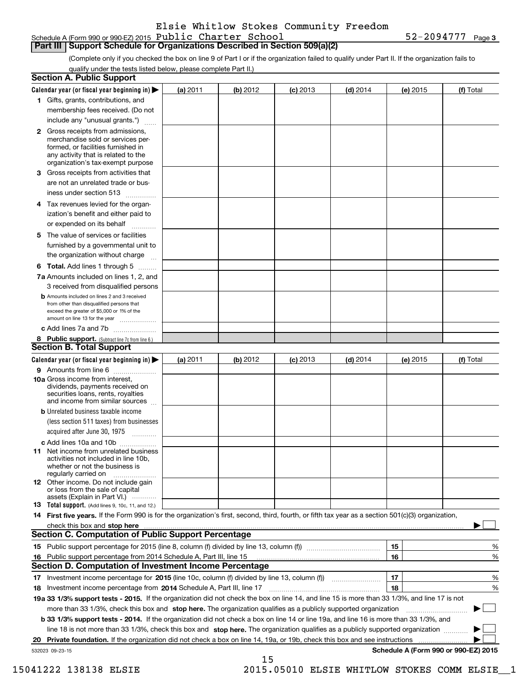| Schedule A (Form 990 or 990-EZ) 2015 ${\tt Public$ <b>Character School</b> | $52 - 2094777$ Page 3 |
|----------------------------------------------------------------------------|-----------------------|
|----------------------------------------------------------------------------|-----------------------|

### **Part III Support Schedule for Organizations Described in Section 509(a)(2)**

(Complete only if you checked the box on line 9 of Part I or if the organization failed to qualify under Part II. If the organization fails to qualify under the tests listed below, please complete Part II.)

|    | <b>Section A. Public Support</b>                                                                                                                                                                                        |          |          |            |            |          |                                      |
|----|-------------------------------------------------------------------------------------------------------------------------------------------------------------------------------------------------------------------------|----------|----------|------------|------------|----------|--------------------------------------|
|    | Calendar year (or fiscal year beginning in) $\blacktriangleright$                                                                                                                                                       | (a) 2011 | (b) 2012 | $(c)$ 2013 | $(d)$ 2014 | (e) 2015 | (f) Total                            |
|    | 1 Gifts, grants, contributions, and                                                                                                                                                                                     |          |          |            |            |          |                                      |
|    | membership fees received. (Do not                                                                                                                                                                                       |          |          |            |            |          |                                      |
|    | include any "unusual grants.")                                                                                                                                                                                          |          |          |            |            |          |                                      |
|    | <b>2</b> Gross receipts from admissions,<br>merchandise sold or services per-<br>formed, or facilities furnished in<br>any activity that is related to the<br>organization's tax-exempt purpose                         |          |          |            |            |          |                                      |
|    | 3 Gross receipts from activities that<br>are not an unrelated trade or bus-                                                                                                                                             |          |          |            |            |          |                                      |
|    | iness under section 513                                                                                                                                                                                                 |          |          |            |            |          |                                      |
|    | 4 Tax revenues levied for the organ-                                                                                                                                                                                    |          |          |            |            |          |                                      |
|    | ization's benefit and either paid to<br>or expended on its behalf                                                                                                                                                       |          |          |            |            |          |                                      |
|    | 5 The value of services or facilities<br>furnished by a governmental unit to                                                                                                                                            |          |          |            |            |          |                                      |
|    | the organization without charge                                                                                                                                                                                         |          |          |            |            |          |                                      |
|    | <b>6 Total.</b> Add lines 1 through 5                                                                                                                                                                                   |          |          |            |            |          |                                      |
|    | 7a Amounts included on lines 1, 2, and<br>3 received from disqualified persons                                                                                                                                          |          |          |            |            |          |                                      |
|    | <b>b</b> Amounts included on lines 2 and 3 received<br>from other than disqualified persons that<br>exceed the greater of \$5,000 or 1% of the<br>amount on line 13 for the year                                        |          |          |            |            |          |                                      |
|    | c Add lines 7a and 7b                                                                                                                                                                                                   |          |          |            |            |          |                                      |
|    | 8 Public support. (Subtract line 7c from line 6.)<br><b>Section B. Total Support</b>                                                                                                                                    |          |          |            |            |          |                                      |
|    | Calendar year (or fiscal year beginning in)                                                                                                                                                                             | (a) 2011 | (b) 2012 | $(c)$ 2013 | $(d)$ 2014 | (e) 2015 | (f) Total                            |
|    | 9 Amounts from line 6                                                                                                                                                                                                   |          |          |            |            |          |                                      |
|    | <b>10a</b> Gross income from interest,<br>dividends, payments received on<br>securities loans, rents, royalties<br>and income from similar sources                                                                      |          |          |            |            |          |                                      |
|    | <b>b</b> Unrelated business taxable income                                                                                                                                                                              |          |          |            |            |          |                                      |
|    | (less section 511 taxes) from businesses<br>acquired after June 30, 1975                                                                                                                                                |          |          |            |            |          |                                      |
|    | c Add lines 10a and 10b                                                                                                                                                                                                 |          |          |            |            |          |                                      |
|    | 11 Net income from unrelated business<br>activities not included in line 10b,<br>whether or not the business is<br>regularly carried on                                                                                 |          |          |            |            |          |                                      |
|    | 12 Other income. Do not include gain<br>or loss from the sale of capital<br>assets (Explain in Part VI.)                                                                                                                |          |          |            |            |          |                                      |
|    | 13 Total support. (Add lines 9, 10c, 11, and 12.)                                                                                                                                                                       |          |          |            |            |          |                                      |
|    | 14 First five years. If the Form 990 is for the organization's first, second, third, fourth, or fifth tax year as a section 501(c)(3) organization,                                                                     |          |          |            |            |          |                                      |
|    | check this box and stop here measurements and stop here are constructed and the measurement of the state of the                                                                                                         |          |          |            |            |          |                                      |
|    | <b>Section C. Computation of Public Support Percentage</b>                                                                                                                                                              |          |          |            |            |          |                                      |
|    |                                                                                                                                                                                                                         |          |          |            |            | 15       | %                                    |
| 16 | Public support percentage from 2014 Schedule A, Part III, line 15                                                                                                                                                       |          |          |            |            | 16       | %                                    |
|    | <b>Section D. Computation of Investment Income Percentage</b>                                                                                                                                                           |          |          |            |            |          |                                      |
|    | 17 Investment income percentage for 2015 (line 10c, column (f) divided by line 13, column (f))                                                                                                                          |          |          |            |            | 17<br>18 | %<br>%                               |
|    | 18 Investment income percentage from 2014 Schedule A, Part III, line 17<br>19a 33 1/3% support tests - 2015. If the organization did not check the box on line 14, and line 15 is more than 33 1/3%, and line 17 is not |          |          |            |            |          |                                      |
|    | more than 33 1/3%, check this box and stop here. The organization qualifies as a publicly supported organization                                                                                                        |          |          |            |            |          |                                      |
|    | b 33 1/3% support tests - 2014. If the organization did not check a box on line 14 or line 19a, and line 16 is more than 33 1/3%, and                                                                                   |          |          |            |            |          | ▶                                    |
|    | line 18 is not more than 33 1/3%, check this box and stop here. The organization qualifies as a publicly supported organization                                                                                         |          |          |            |            |          |                                      |
| 20 | <b>Private foundation.</b> If the organization did not check a box on line 14, 19a, or 19b, check this box and see instructions                                                                                         |          |          |            |            | .        |                                      |
|    | 532023 09-23-15                                                                                                                                                                                                         |          |          |            |            |          | Schedule A (Form 990 or 990-EZ) 2015 |
|    |                                                                                                                                                                                                                         |          | 15       |            |            |          |                                      |

15041222 138138 ELSIE 2015.05010 ELSIE WHITLOW STOKES COMM ELSIE\_\_1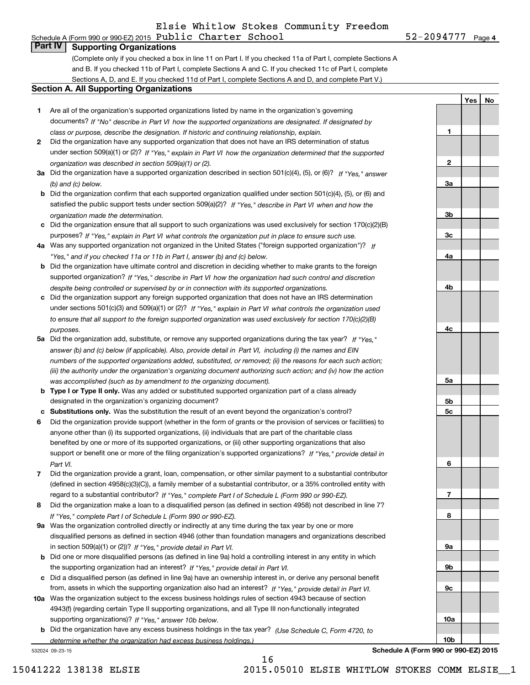52-2094777 Page 4 Schedule A (Form 990 or 990-EZ) 2015  ${\bf Public ~Character ~ School}$   ${\bf 52-2094777 ~~}$  Page

**1**

**2**

**3a**

**3b**

**3c**

**4a**

**4b**

**YesNo**

## **Part IV Supporting Organizations**

(Complete only if you checked a box in line 11 on Part I. If you checked 11a of Part I, complete Sections A and B. If you checked 11b of Part I, complete Sections A and C. If you checked 11c of Part I, complete Sections A, D, and E. If you checked 11d of Part I, complete Sections A and D, and complete Part V.)

#### **Section A. All Supporting Organizations**

- **1** Are all of the organization's supported organizations listed by name in the organization's governing *If "No" describe in how the supported organizations are designated. If designated by* documents? *Part VI class or purpose, describe the designation. If historic and continuing relationship, explain.*
- **2** Did the organization have any supported organization that does not have an IRS determination of status under section 509(a)(1) or (2)? If "Yes," explain in Part VI how the organization determined that the supported *organization was described in section 509(a)(1) or (2).*
- **3a** Did the organization have a supported organization described in section 501(c)(4), (5), or (6)? If "Yes," answer *(b) and (c) below.*
- **b** Did the organization confirm that each supported organization qualified under section 501(c)(4), (5), or (6) and satisfied the public support tests under section 509(a)(2)? If "Yes," describe in Part VI when and how the *organization made the determination.*
- **c**Did the organization ensure that all support to such organizations was used exclusively for section 170(c)(2)(B) purposes? If "Yes," explain in Part VI what controls the organization put in place to ensure such use.
- **4a***If* Was any supported organization not organized in the United States ("foreign supported organization")? *"Yes," and if you checked 11a or 11b in Part I, answer (b) and (c) below.*
- **b** Did the organization have ultimate control and discretion in deciding whether to make grants to the foreign supported organization? If "Yes," describe in Part VI how the organization had such control and discretion *despite being controlled or supervised by or in connection with its supported organizations.*
- **c** Did the organization support any foreign supported organization that does not have an IRS determination under sections 501(c)(3) and 509(a)(1) or (2)? If "Yes," explain in Part VI what controls the organization used *to ensure that all support to the foreign supported organization was used exclusively for section 170(c)(2)(B) purposes.*
- **5a** Did the organization add, substitute, or remove any supported organizations during the tax year? If "Yes," answer (b) and (c) below (if applicable). Also, provide detail in Part VI, including (i) the names and EIN *numbers of the supported organizations added, substituted, or removed; (ii) the reasons for each such action; (iii) the authority under the organization's organizing document authorizing such action; and (iv) how the action was accomplished (such as by amendment to the organizing document).*
- **b** Type I or Type II only. Was any added or substituted supported organization part of a class already designated in the organization's organizing document?
- **cSubstitutions only.**  Was the substitution the result of an event beyond the organization's control?
- **6** Did the organization provide support (whether in the form of grants or the provision of services or facilities) to *If "Yes," provide detail in* support or benefit one or more of the filing organization's supported organizations? anyone other than (i) its supported organizations, (ii) individuals that are part of the charitable class benefited by one or more of its supported organizations, or (iii) other supporting organizations that also *Part VI.*
- **7**Did the organization provide a grant, loan, compensation, or other similar payment to a substantial contributor *If "Yes," complete Part I of Schedule L (Form 990 or 990-EZ).* regard to a substantial contributor? (defined in section 4958(c)(3)(C)), a family member of a substantial contributor, or a 35% controlled entity with
- **8** Did the organization make a loan to a disqualified person (as defined in section 4958) not described in line 7? *If "Yes," complete Part I of Schedule L (Form 990 or 990-EZ).*
- **9a** Was the organization controlled directly or indirectly at any time during the tax year by one or more in section 509(a)(1) or (2))? If "Yes," *provide detail in Part VI.* disqualified persons as defined in section 4946 (other than foundation managers and organizations described
- **b**the supporting organization had an interest? If "Yes," provide detail in Part VI. Did one or more disqualified persons (as defined in line 9a) hold a controlling interest in any entity in which
- **c**Did a disqualified person (as defined in line 9a) have an ownership interest in, or derive any personal benefit from, assets in which the supporting organization also had an interest? If "Yes," provide detail in Part VI.
- **10a** Was the organization subject to the excess business holdings rules of section 4943 because of section supporting organizations)? If "Yes," answer 10b below. 4943(f) (regarding certain Type II supporting organizations, and all Type III non-functionally integrated
- **b** Did the organization have any excess business holdings in the tax year? (Use Schedule C, Form 4720, to *determine whether the organization had excess business holdings.)*

532024 09-23-15



16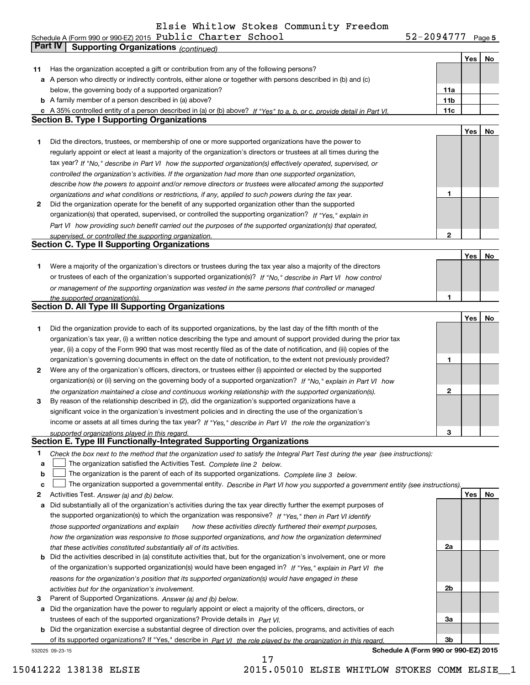**5** Schedule A (Form 990 or 990-EZ) 2015  ${\bf Public ~Character ~ School}$   ${\bf 52-2094777 ~~}$  Page

|    | Part IV<br><b>Supporting Organizations (continued)</b>                                                                            |                 |     |    |
|----|-----------------------------------------------------------------------------------------------------------------------------------|-----------------|-----|----|
|    |                                                                                                                                   |                 | Yes | No |
| 11 | Has the organization accepted a gift or contribution from any of the following persons?                                           |                 |     |    |
|    | a A person who directly or indirectly controls, either alone or together with persons described in (b) and (c)                    |                 |     |    |
|    | below, the governing body of a supported organization?                                                                            | 11a             |     |    |
|    | <b>b</b> A family member of a person described in (a) above?                                                                      | 11 <sub>b</sub> |     |    |
|    | c A 35% controlled entity of a person described in (a) or (b) above? If "Yes" to a, b, or c, provide detail in Part VI.           | 11c             |     |    |
|    | <b>Section B. Type I Supporting Organizations</b>                                                                                 |                 |     |    |
|    |                                                                                                                                   |                 | Yes | No |
| 1  | Did the directors, trustees, or membership of one or more supported organizations have the power to                               |                 |     |    |
|    | regularly appoint or elect at least a majority of the organization's directors or trustees at all times during the                |                 |     |    |
|    |                                                                                                                                   |                 |     |    |
|    | tax year? If "No," describe in Part VI how the supported organization(s) effectively operated, supervised, or                     |                 |     |    |
|    | controlled the organization's activities. If the organization had more than one supported organization,                           |                 |     |    |
|    | describe how the powers to appoint and/or remove directors or trustees were allocated among the supported                         |                 |     |    |
|    | organizations and what conditions or restrictions, if any, applied to such powers during the tax year.                            | 1               |     |    |
| 2  | Did the organization operate for the benefit of any supported organization other than the supported                               |                 |     |    |
|    | organization(s) that operated, supervised, or controlled the supporting organization? If "Yes," explain in                        |                 |     |    |
|    | Part VI how providing such benefit carried out the purposes of the supported organization(s) that operated,                       |                 |     |    |
|    | supervised, or controlled the supporting organization.                                                                            | $\mathbf{2}$    |     |    |
|    | <b>Section C. Type II Supporting Organizations</b>                                                                                |                 |     |    |
|    |                                                                                                                                   |                 | Yes | No |
| 1  | Were a majority of the organization's directors or trustees during the tax year also a majority of the directors                  |                 |     |    |
|    | or trustees of each of the organization's supported organization(s)? If "No," describe in Part VI how control                     |                 |     |    |
|    | or management of the supporting organization was vested in the same persons that controlled or managed                            |                 |     |    |
|    | the supported organization(s).                                                                                                    | 1               |     |    |
|    | <b>Section D. All Type III Supporting Organizations</b>                                                                           |                 |     |    |
|    |                                                                                                                                   |                 | Yes | No |
| 1  | Did the organization provide to each of its supported organizations, by the last day of the fifth month of the                    |                 |     |    |
|    | organization's tax year, (i) a written notice describing the type and amount of support provided during the prior tax             |                 |     |    |
|    | year, (ii) a copy of the Form 990 that was most recently filed as of the date of notification, and (iii) copies of the            |                 |     |    |
|    | organization's governing documents in effect on the date of notification, to the extent not previously provided?                  | 1               |     |    |
| 2  | Were any of the organization's officers, directors, or trustees either (i) appointed or elected by the supported                  |                 |     |    |
|    | organization(s) or (ii) serving on the governing body of a supported organization? If "No," explain in Part VI how                |                 |     |    |
|    | the organization maintained a close and continuous working relationship with the supported organization(s).                       | 2               |     |    |
| 3  | By reason of the relationship described in (2), did the organization's supported organizations have a                             |                 |     |    |
|    | significant voice in the organization's investment policies and in directing the use of the organization's                        |                 |     |    |
|    | income or assets at all times during the tax year? If "Yes," describe in Part VI the role the organization's                      |                 |     |    |
|    | supported organizations played in this regard.                                                                                    | 3               |     |    |
|    | Section E. Type III Functionally-Integrated Supporting Organizations                                                              |                 |     |    |
| 1  | Check the box next to the method that the organization used to satisfy the Integral Part Test during the year (see instructions): |                 |     |    |
| a  | The organization satisfied the Activities Test. Complete line 2 below.                                                            |                 |     |    |
| b  | The organization is the parent of each of its supported organizations. Complete line 3 below.                                     |                 |     |    |
| c  | The organization supported a governmental entity. Describe in Part VI how you supported a government entity (see instructions).   |                 |     |    |
| 2  | Activities Test. Answer (a) and (b) below.                                                                                        |                 | Yes | No |
| а  | Did substantially all of the organization's activities during the tax year directly further the exempt purposes of                |                 |     |    |
|    | the supported organization(s) to which the organization was responsive? If "Yes," then in Part VI identify                        |                 |     |    |
|    | those supported organizations and explain<br>how these activities directly furthered their exempt purposes,                       |                 |     |    |
|    | how the organization was responsive to those supported organizations, and how the organization determined                         |                 |     |    |
|    | that these activities constituted substantially all of its activities.                                                            | 2a              |     |    |
|    | <b>b</b> Did the activities described in (a) constitute activities that, but for the organization's involvement, one or more      |                 |     |    |
|    | of the organization's supported organization(s) would have been engaged in? If "Yes," explain in Part VI the                      |                 |     |    |
|    | reasons for the organization's position that its supported organization(s) would have engaged in these                            |                 |     |    |
|    | activities but for the organization's involvement.                                                                                | 2b              |     |    |
| 3  | Parent of Supported Organizations. Answer (a) and (b) below.                                                                      |                 |     |    |
|    | a Did the organization have the power to regularly appoint or elect a majority of the officers, directors, or                     |                 |     |    |
|    | trustees of each of the supported organizations? Provide details in Part VI.                                                      | За              |     |    |
|    | <b>b</b> Did the organization exercise a substantial degree of direction over the policies, programs, and activities of each      |                 |     |    |
|    | of its supported organizations? If "Yes," describe in Part VI the role played by the organization in this regard.                 | 3b              |     |    |
|    | Schedule A (Form 990 or 990-EZ) 2015<br>532025 09-23-15                                                                           |                 |     |    |

17

15041222 138138 ELSIE 2015.05010 ELSIE WHITLOW STOKES COMM ELSIE\_\_1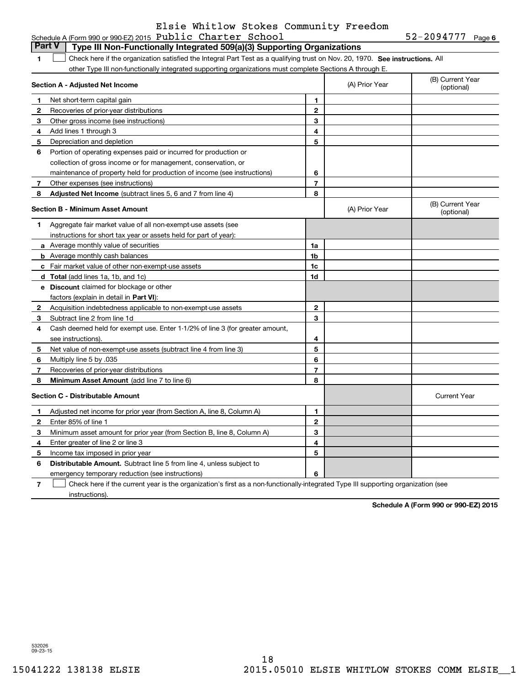**6** Schedule A (Form 990 or 990-EZ) 2015  ${\bf Public ~Character ~ School}$   ${\bf 52-2094777 ~~}$  Page

|              | <b>Part V</b><br>Type III Non-Functionally Integrated 509(a)(3) Supporting Organizations                                      |                |                |                                |
|--------------|-------------------------------------------------------------------------------------------------------------------------------|----------------|----------------|--------------------------------|
| 1            | Check here if the organization satisfied the Integral Part Test as a qualifying trust on Nov. 20, 1970. See instructions. All |                |                |                                |
|              | other Type III non-functionally integrated supporting organizations must complete Sections A through E.                       |                |                |                                |
|              | Section A - Adjusted Net Income                                                                                               |                | (A) Prior Year | (B) Current Year<br>(optional) |
| 1            | Net short-term capital gain                                                                                                   | 1              |                |                                |
| 2            | Recoveries of prior-year distributions                                                                                        | $\mathbf{2}$   |                |                                |
| 3            | Other gross income (see instructions)                                                                                         | 3              |                |                                |
| 4            | Add lines 1 through 3                                                                                                         | 4              |                |                                |
| 5            | Depreciation and depletion                                                                                                    | 5              |                |                                |
| 6            | Portion of operating expenses paid or incurred for production or                                                              |                |                |                                |
|              | collection of gross income or for management, conservation, or                                                                |                |                |                                |
|              | maintenance of property held for production of income (see instructions)                                                      | 6              |                |                                |
| 7            | Other expenses (see instructions)                                                                                             | $\overline{7}$ |                |                                |
| 8            | Adjusted Net Income (subtract lines 5, 6 and 7 from line 4)                                                                   | 8              |                |                                |
|              | <b>Section B - Minimum Asset Amount</b>                                                                                       |                | (A) Prior Year | (B) Current Year<br>(optional) |
| 1            | Aggregate fair market value of all non-exempt-use assets (see                                                                 |                |                |                                |
|              | instructions for short tax year or assets held for part of year):                                                             |                |                |                                |
|              | <b>a</b> Average monthly value of securities                                                                                  | 1a             |                |                                |
|              | <b>b</b> Average monthly cash balances                                                                                        | 1 <sub>b</sub> |                |                                |
|              | <b>c</b> Fair market value of other non-exempt-use assets                                                                     | 1 <sub>c</sub> |                |                                |
|              | d Total (add lines 1a, 1b, and 1c)                                                                                            | 1d             |                |                                |
|              | <b>e</b> Discount claimed for blockage or other                                                                               |                |                |                                |
|              | factors (explain in detail in Part VI):                                                                                       |                |                |                                |
| $\mathbf{2}$ | Acquisition indebtedness applicable to non-exempt-use assets                                                                  | $\mathbf{2}$   |                |                                |
| 3            | Subtract line 2 from line 1d                                                                                                  | 3              |                |                                |
| 4            | Cash deemed held for exempt use. Enter 1-1/2% of line 3 (for greater amount,                                                  |                |                |                                |
|              | see instructions).                                                                                                            | 4              |                |                                |
| 5            | Net value of non-exempt-use assets (subtract line 4 from line 3)                                                              | 5              |                |                                |
| 6            | Multiply line 5 by .035                                                                                                       | 6              |                |                                |
| 7            | Recoveries of prior-year distributions                                                                                        | $\overline{7}$ |                |                                |
| 8            | Minimum Asset Amount (add line 7 to line 6)                                                                                   | 8              |                |                                |
|              | <b>Section C - Distributable Amount</b>                                                                                       |                |                | <b>Current Year</b>            |
| 1            | Adjusted net income for prior year (from Section A, line 8, Column A)                                                         | 1              |                |                                |
| 2            | Enter 85% of line 1                                                                                                           | $\mathbf{2}$   |                |                                |
| з            | Minimum asset amount for prior year (from Section B, line 8, Column A)                                                        | 3              |                |                                |
| 4            | Enter greater of line 2 or line 3                                                                                             | 4              |                |                                |
| 5            | Income tax imposed in prior year                                                                                              | 5              |                |                                |
| 6            | <b>Distributable Amount.</b> Subtract line 5 from line 4, unless subject to                                                   |                |                |                                |
|              | emergency temporary reduction (see instructions)                                                                              | 6              |                |                                |

**7**Check here if the current year is the organization's first as a non-functionally-integrated Type III supporting organization (see instructions).

**Schedule A (Form 990 or 990-EZ) 2015**

532026 09-23-15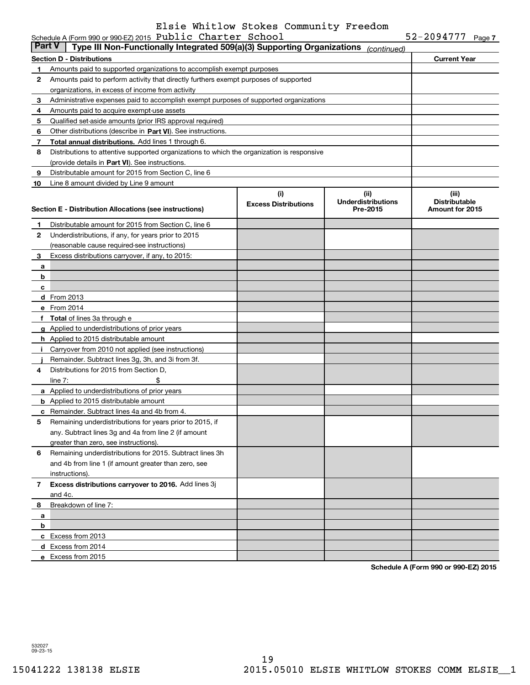| <b>Part V</b> | Type III Non-Functionally Integrated 509(a)(3) Supporting Organizations                    |                             | (continued)                           |                                                |
|---------------|--------------------------------------------------------------------------------------------|-----------------------------|---------------------------------------|------------------------------------------------|
|               | <b>Section D - Distributions</b>                                                           |                             |                                       | <b>Current Year</b>                            |
| 1             | Amounts paid to supported organizations to accomplish exempt purposes                      |                             |                                       |                                                |
| 2             | Amounts paid to perform activity that directly furthers exempt purposes of supported       |                             |                                       |                                                |
|               | organizations, in excess of income from activity                                           |                             |                                       |                                                |
| 3             | Administrative expenses paid to accomplish exempt purposes of supported organizations      |                             |                                       |                                                |
| 4             | Amounts paid to acquire exempt-use assets                                                  |                             |                                       |                                                |
| 5             | Qualified set-aside amounts (prior IRS approval required)                                  |                             |                                       |                                                |
| 6             | Other distributions (describe in Part VI). See instructions.                               |                             |                                       |                                                |
| 7             | Total annual distributions. Add lines 1 through 6.                                         |                             |                                       |                                                |
| 8             | Distributions to attentive supported organizations to which the organization is responsive |                             |                                       |                                                |
|               | (provide details in Part VI). See instructions.                                            |                             |                                       |                                                |
| 9             | Distributable amount for 2015 from Section C, line 6                                       |                             |                                       |                                                |
| 10            | Line 8 amount divided by Line 9 amount                                                     |                             |                                       |                                                |
|               |                                                                                            | (i)                         | (ii)                                  | (iii)                                          |
|               | Section E - Distribution Allocations (see instructions)                                    | <b>Excess Distributions</b> | <b>Underdistributions</b><br>Pre-2015 | <b>Distributable</b><br><b>Amount for 2015</b> |
| 1             | Distributable amount for 2015 from Section C, line 6                                       |                             |                                       |                                                |
| 2             | Underdistributions, if any, for years prior to 2015                                        |                             |                                       |                                                |
|               | (reasonable cause required-see instructions)                                               |                             |                                       |                                                |
| 3             | Excess distributions carryover, if any, to 2015:                                           |                             |                                       |                                                |
| a             |                                                                                            |                             |                                       |                                                |
| b             |                                                                                            |                             |                                       |                                                |
| c             |                                                                                            |                             |                                       |                                                |
|               | d From 2013                                                                                |                             |                                       |                                                |
|               | e From 2014                                                                                |                             |                                       |                                                |
|               | f Total of lines 3a through e                                                              |                             |                                       |                                                |
|               | g Applied to underdistributions of prior years                                             |                             |                                       |                                                |
|               | <b>h</b> Applied to 2015 distributable amount                                              |                             |                                       |                                                |
| j.            | Carryover from 2010 not applied (see instructions)                                         |                             |                                       |                                                |
|               | Remainder. Subtract lines 3g, 3h, and 3i from 3f.                                          |                             |                                       |                                                |
| 4             | Distributions for 2015 from Section D,                                                     |                             |                                       |                                                |
|               | \$<br>line $7:$                                                                            |                             |                                       |                                                |
|               | a Applied to underdistributions of prior years                                             |                             |                                       |                                                |
|               | <b>b</b> Applied to 2015 distributable amount                                              |                             |                                       |                                                |
|               | c Remainder. Subtract lines 4a and 4b from 4.                                              |                             |                                       |                                                |
| 5             | Remaining underdistributions for years prior to 2015, if                                   |                             |                                       |                                                |
|               | any. Subtract lines 3g and 4a from line 2 (if amount                                       |                             |                                       |                                                |
|               | greater than zero, see instructions).                                                      |                             |                                       |                                                |
| 6             | Remaining underdistributions for 2015. Subtract lines 3h                                   |                             |                                       |                                                |
|               | and 4b from line 1 (if amount greater than zero, see                                       |                             |                                       |                                                |
|               | instructions).                                                                             |                             |                                       |                                                |
| 7             | Excess distributions carryover to 2016. Add lines 3j                                       |                             |                                       |                                                |
|               | and 4c.                                                                                    |                             |                                       |                                                |
| 8             | Breakdown of line 7:                                                                       |                             |                                       |                                                |
| a             |                                                                                            |                             |                                       |                                                |
| b             |                                                                                            |                             |                                       |                                                |
|               | c Excess from 2013                                                                         |                             |                                       |                                                |
|               | d Excess from 2014                                                                         |                             |                                       |                                                |
|               | e Excess from 2015                                                                         |                             |                                       |                                                |

**Schedule A (Form 990 or 990-EZ) 2015**

532027 09-23-15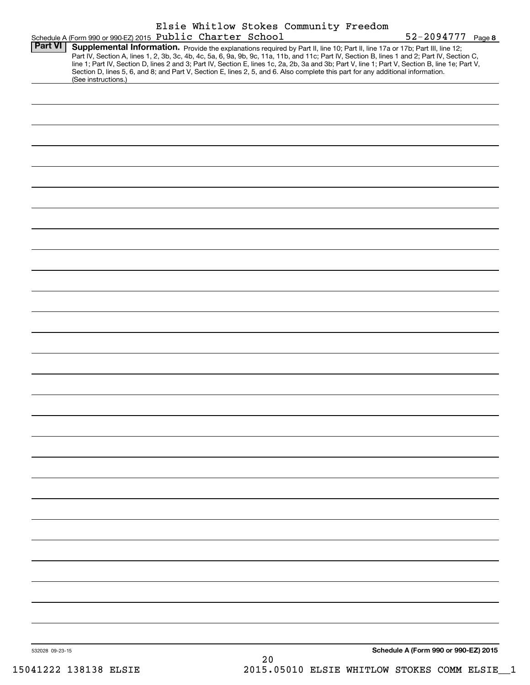|                 |                                                                                                                                                                                                                                                                                                                                             |  |    | Elsie Whitlow Stokes Community Freedom |                                                                                                                                                 |  |
|-----------------|---------------------------------------------------------------------------------------------------------------------------------------------------------------------------------------------------------------------------------------------------------------------------------------------------------------------------------------------|--|----|----------------------------------------|-------------------------------------------------------------------------------------------------------------------------------------------------|--|
| <b>Part VI</b>  | Schedule A (Form 990 or 990-EZ) 2015 Public Charter School<br>Supplemental Information. Provide the explanations required by Part II, line 10; Part II, line 17a or 17b; Part III, line 12;<br>Part IV, Section A, lines 1, 2, 3b, 3c, 4b, 4c, 5a, 6, 9a, 9b, 9c, 11a, 11b, and 11c; Part IV, Section B, lines 1 and 2; Part IV, Section C, |  |    |                                        | $52 - 2094777$ Page 8                                                                                                                           |  |
|                 | Section D, lines 5, 6, and 8; and Part V, Section E, lines 2, 5, and 6. Also complete this part for any additional information.<br>(See instructions.)                                                                                                                                                                                      |  |    |                                        | line 1; Part IV, Section D, lines 2 and 3; Part IV, Section E, lines 1c, 2a, 2b, 3a and 3b; Part V, line 1; Part V, Section B, line 1e; Part V, |  |
|                 |                                                                                                                                                                                                                                                                                                                                             |  |    |                                        |                                                                                                                                                 |  |
|                 |                                                                                                                                                                                                                                                                                                                                             |  |    |                                        |                                                                                                                                                 |  |
|                 |                                                                                                                                                                                                                                                                                                                                             |  |    |                                        |                                                                                                                                                 |  |
|                 |                                                                                                                                                                                                                                                                                                                                             |  |    |                                        |                                                                                                                                                 |  |
|                 |                                                                                                                                                                                                                                                                                                                                             |  |    |                                        |                                                                                                                                                 |  |
|                 |                                                                                                                                                                                                                                                                                                                                             |  |    |                                        |                                                                                                                                                 |  |
|                 |                                                                                                                                                                                                                                                                                                                                             |  |    |                                        |                                                                                                                                                 |  |
|                 |                                                                                                                                                                                                                                                                                                                                             |  |    |                                        |                                                                                                                                                 |  |
|                 |                                                                                                                                                                                                                                                                                                                                             |  |    |                                        |                                                                                                                                                 |  |
|                 |                                                                                                                                                                                                                                                                                                                                             |  |    |                                        |                                                                                                                                                 |  |
|                 |                                                                                                                                                                                                                                                                                                                                             |  |    |                                        |                                                                                                                                                 |  |
|                 |                                                                                                                                                                                                                                                                                                                                             |  |    |                                        |                                                                                                                                                 |  |
|                 |                                                                                                                                                                                                                                                                                                                                             |  |    |                                        |                                                                                                                                                 |  |
|                 |                                                                                                                                                                                                                                                                                                                                             |  |    |                                        |                                                                                                                                                 |  |
|                 |                                                                                                                                                                                                                                                                                                                                             |  |    |                                        |                                                                                                                                                 |  |
|                 |                                                                                                                                                                                                                                                                                                                                             |  |    |                                        |                                                                                                                                                 |  |
|                 |                                                                                                                                                                                                                                                                                                                                             |  |    |                                        |                                                                                                                                                 |  |
|                 |                                                                                                                                                                                                                                                                                                                                             |  |    |                                        |                                                                                                                                                 |  |
|                 |                                                                                                                                                                                                                                                                                                                                             |  |    |                                        |                                                                                                                                                 |  |
|                 |                                                                                                                                                                                                                                                                                                                                             |  |    |                                        |                                                                                                                                                 |  |
|                 |                                                                                                                                                                                                                                                                                                                                             |  |    |                                        |                                                                                                                                                 |  |
| 532028 09-23-15 |                                                                                                                                                                                                                                                                                                                                             |  | 20 |                                        | Schedule A (Form 990 or 990-EZ) 2015                                                                                                            |  |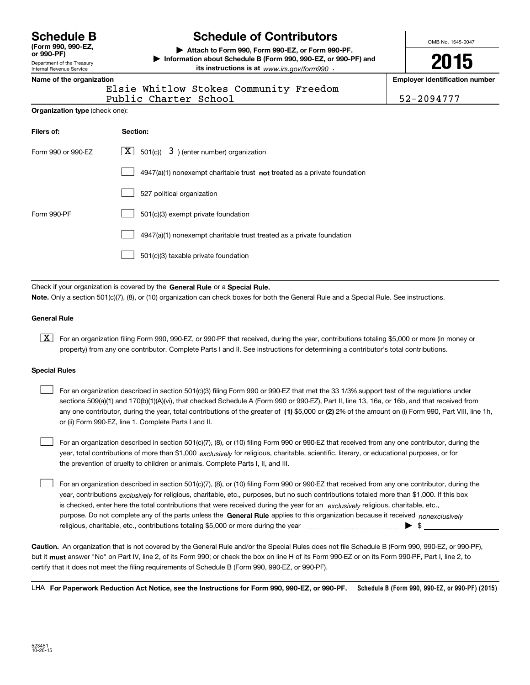**(Form 990, 990-EZ,**

Department of the Treasury Internal Revenue Service **or 990-PF)**

# **Schedule B Schedule of Contributors**

**| Attach to Form 990, Form 990-EZ, or Form 990-PF. | Information about Schedule B (Form 990, 990-EZ, or 990-PF) and its instructions is at** www.irs.gov/form990  $\cdot$ 

OMB No. 1545-0047

**2015**

**Name of the organization Employer identification number**

| name or the organization |  |  |          |  |
|--------------------------|--|--|----------|--|
|                          |  |  | $-1 - 1$ |  |

Elsie Whitlow Stokes Community Freedom

Public Charter School 52-2094777

| <b>Organization type</b> (check one): |  |  |  |
|---------------------------------------|--|--|--|
|---------------------------------------|--|--|--|

| Filers of:         | Section:                                                                    |
|--------------------|-----------------------------------------------------------------------------|
| Form 990 or 990-EZ | $\lfloor x \rfloor$ 501(c)( 3) (enter number) organization                  |
|                    | $4947(a)(1)$ nonexempt charitable trust not treated as a private foundation |
|                    | 527 political organization                                                  |
| Form 990-PF        | 501(c)(3) exempt private foundation                                         |
|                    | 4947(a)(1) nonexempt charitable trust treated as a private foundation       |
|                    | 501(c)(3) taxable private foundation                                        |

Check if your organization is covered by the **General Rule** or a **Special Rule. Note.**  Only a section 501(c)(7), (8), or (10) organization can check boxes for both the General Rule and a Special Rule. See instructions.

#### **General Rule**

 $\boxed{\textbf{X}}$  For an organization filing Form 990, 990-EZ, or 990-PF that received, during the year, contributions totaling \$5,000 or more (in money or property) from any one contributor. Complete Parts I and II. See instructions for determining a contributor's total contributions.

#### **Special Rules**

 $\mathcal{L}^{\text{max}}$ 

any one contributor, during the year, total contributions of the greater of  $\,$  (1) \$5,000 or (2) 2% of the amount on (i) Form 990, Part VIII, line 1h, For an organization described in section 501(c)(3) filing Form 990 or 990-EZ that met the 33 1/3% support test of the regulations under sections 509(a)(1) and 170(b)(1)(A)(vi), that checked Schedule A (Form 990 or 990-EZ), Part II, line 13, 16a, or 16b, and that received from or (ii) Form 990-EZ, line 1. Complete Parts I and II.  $\mathcal{L}^{\text{max}}$ 

year, total contributions of more than \$1,000 *exclusively* for religious, charitable, scientific, literary, or educational purposes, or for For an organization described in section 501(c)(7), (8), or (10) filing Form 990 or 990-EZ that received from any one contributor, during the the prevention of cruelty to children or animals. Complete Parts I, II, and III.  $\mathcal{L}^{\text{max}}$ 

purpose. Do not complete any of the parts unless the **General Rule** applies to this organization because it received *nonexclusively* year, contributions <sub>exclusively</sub> for religious, charitable, etc., purposes, but no such contributions totaled more than \$1,000. If this box is checked, enter here the total contributions that were received during the year for an  $\;$ exclusively religious, charitable, etc., For an organization described in section 501(c)(7), (8), or (10) filing Form 990 or 990-EZ that received from any one contributor, during the religious, charitable, etc., contributions totaling \$5,000 or more during the year  $\ldots$  $\ldots$  $\ldots$  $\ldots$  $\ldots$  $\ldots$  $\ldots$ 

**Caution.**An organization that is not covered by the General Rule and/or the Special Rules does not file Schedule B (Form 990, 990-EZ, or 990-PF),  **must** but it answer "No" on Part IV, line 2, of its Form 990; or check the box on line H of its Form 990-EZ or on its Form 990-PF, Part I, line 2, to certify that it does not meet the filing requirements of Schedule B (Form 990, 990-EZ, or 990-PF).

**Schedule B (Form 990, 990-EZ, or 990-PF) (2015) For Paperwork Reduction Act Notice, see the Instructions for Form 990, 990-EZ, or 990-PF.** LHA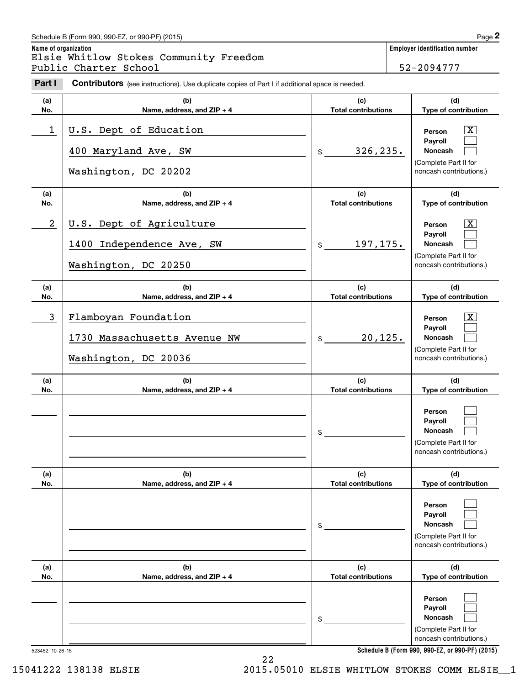## Schedule B (Form 990, 990-EZ, or 990-PF) (2015) **Page 2**

**Name of organization Employer identification number** Chedule B (Form 990, 990-EZ, or 990-PF) (2015)<br> **2Part I 2Part I Charter School**<br> **Part I Contributors** (see instructions). Use duplicate copies of Part I if additional space is needed.<br> **Part I Contributors** (see Elsie Whitlow Stokes Community Freedom Public Charter School <sup>1</sup> 11 12 12 12 13 13 14 152-2094777

| Part I           | <b>Contributors</b> (see instructions). Use duplicate copies of Part I if additional space is needed. |                                   |                                                                                                                  |
|------------------|-------------------------------------------------------------------------------------------------------|-----------------------------------|------------------------------------------------------------------------------------------------------------------|
| (a)<br>No.       | (b)<br>Name, address, and ZIP + 4                                                                     | (c)<br><b>Total contributions</b> | (d)<br>Type of contribution                                                                                      |
| 1                | U.S. Dept of Education<br>400 Maryland Ave, SW<br>Washington, DC 20202                                | 326, 235.<br>$\frac{1}{2}$        | $\overline{\text{X}}$<br>Person<br>Payroll<br>Noncash<br>(Complete Part II for<br>noncash contributions.)        |
| (a)<br>No.       | (b)<br>Name, address, and ZIP + 4                                                                     | (c)<br><b>Total contributions</b> | (d)<br>Type of contribution                                                                                      |
| $\boldsymbol{2}$ | U.S. Dept of Agriculture<br>1400 Independence Ave, SW<br>Washington, DC 20250                         | 197,175.<br>\$                    | $\overline{\text{X}}$<br>Person<br>Payroll<br>Noncash<br>(Complete Part II for<br>noncash contributions.)        |
| (a)<br>No.       | (b)<br>Name, address, and ZIP + 4                                                                     | (c)<br><b>Total contributions</b> | (d)<br>Type of contribution                                                                                      |
| 3                | Flamboyan Foundation<br>1730 Massachusetts Avenue NW<br>Washington, DC 20036                          | 20, 125.<br>$\frac{1}{2}$         | $\overline{\text{X}}$<br>Person<br>Payroll<br><b>Noncash</b><br>(Complete Part II for<br>noncash contributions.) |
| (a)<br>No.       | (b)<br>Name, address, and ZIP + 4                                                                     | (c)<br><b>Total contributions</b> | (d)<br>Type of contribution                                                                                      |
|                  |                                                                                                       | \$                                | Person<br>Payroll<br>Noncash<br>(Complete Part II for<br>noncash contributions.)                                 |
| (a)<br>No.       | (b)<br>Name, address, and ZIP + 4                                                                     | (c)<br><b>Total contributions</b> | (d)<br>Type of contribution                                                                                      |
|                  |                                                                                                       | \$                                | Person<br>Payroll<br><b>Noncash</b><br>(Complete Part II for<br>noncash contributions.)                          |
| (a)<br>No.       | (b)<br>Name, address, and ZIP + 4                                                                     | (c)<br><b>Total contributions</b> | (d)<br>Type of contribution                                                                                      |
|                  |                                                                                                       | \$                                | Person<br>Payroll<br>Noncash<br>(Complete Part II for<br>noncash contributions.)                                 |

**Schedule B (Form 990, 990-EZ, or 990-PF) (2015)**

523452 10-26-15

22 15041222 138138 ELSIE 2015.05010 ELSIE WHITLOW STOKES COMM ELSIE\_\_1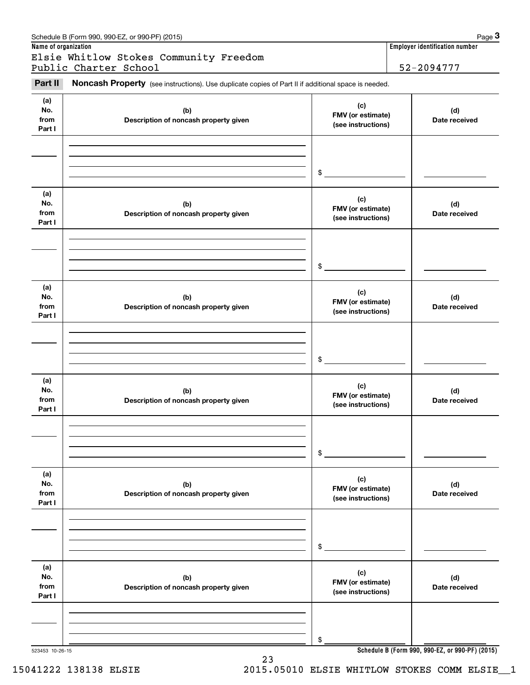|                              | Schedule B (Form 990, 990-EZ, or 990-PF) (2015)<br>Name of organization                             |                                                | Page 3<br>Employer identification number |
|------------------------------|-----------------------------------------------------------------------------------------------------|------------------------------------------------|------------------------------------------|
|                              | Elsie Whitlow Stokes Community Freedom                                                              |                                                |                                          |
|                              | Public Charter School                                                                               |                                                | 52-2094777                               |
| Part II                      | Noncash Property (see instructions). Use duplicate copies of Part II if additional space is needed. |                                                |                                          |
| (a)<br>No.<br>from<br>Part I | (b)<br>Description of noncash property given                                                        | (c)<br>FMV (or estimate)<br>(see instructions) | (d)<br>Date received                     |
|                              |                                                                                                     |                                                |                                          |
|                              |                                                                                                     | \$                                             |                                          |
| (a)<br>No.<br>from<br>Part I | (b)<br>Description of noncash property given                                                        | (c)<br>FMV (or estimate)<br>(see instructions) | (d)<br>Date received                     |
|                              |                                                                                                     |                                                |                                          |
|                              |                                                                                                     | \$                                             |                                          |
| (a)<br>No.<br>from<br>Part I | (b)<br>Description of noncash property given                                                        | (c)<br>FMV (or estimate)<br>(see instructions) | (d)<br>Date received                     |
|                              |                                                                                                     |                                                |                                          |
|                              |                                                                                                     | \$                                             |                                          |
| (a)<br>No.<br>from<br>Part I | (b)<br>Description of noncash property given                                                        | (c)<br>FMV (or estimate)<br>(see instructions) | (d)<br>Date received                     |
|                              |                                                                                                     |                                                |                                          |
|                              |                                                                                                     | \$                                             |                                          |
| (a)<br>No.<br>from<br>Part I | (b)<br>Description of noncash property given                                                        | (c)<br>FMV (or estimate)<br>(see instructions) | (d)<br>Date received                     |
|                              |                                                                                                     |                                                |                                          |
|                              |                                                                                                     | \$                                             |                                          |
| (a)<br>No.<br>from<br>Part I | (b)<br>Description of noncash property given                                                        | (c)<br>FMV (or estimate)<br>(see instructions) | (d)<br>Date received                     |
|                              |                                                                                                     |                                                |                                          |
|                              |                                                                                                     | \$                                             |                                          |

15041222 138138 ELSIE 2015.05010 ELSIE WHITLOW STOKES COMM ELSIE\_\_1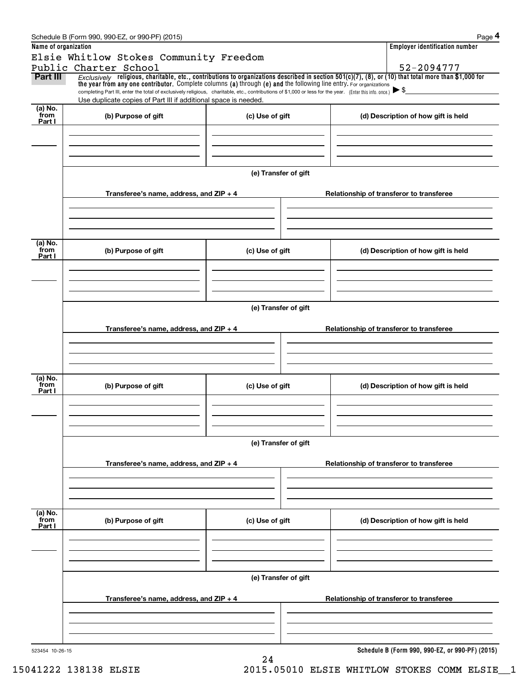|                      | Schedule B (Form 990, 990-EZ, or 990-PF) (2015)                                                                                                                                                                                                                                                                                                                                                                                                                      |                      |  | Page 4                                          |  |  |  |  |  |
|----------------------|----------------------------------------------------------------------------------------------------------------------------------------------------------------------------------------------------------------------------------------------------------------------------------------------------------------------------------------------------------------------------------------------------------------------------------------------------------------------|----------------------|--|-------------------------------------------------|--|--|--|--|--|
| Name of organization |                                                                                                                                                                                                                                                                                                                                                                                                                                                                      |                      |  | <b>Employer identification number</b>           |  |  |  |  |  |
|                      | Elsie Whitlow Stokes Community Freedom                                                                                                                                                                                                                                                                                                                                                                                                                               |                      |  |                                                 |  |  |  |  |  |
|                      | Public Charter School                                                                                                                                                                                                                                                                                                                                                                                                                                                |                      |  | 52-2094777                                      |  |  |  |  |  |
| Part III             | Exclusively religious, charitable, etc., contributions to organizations described in section $501(c)(7)$ , (8), or (10) that total more than \$1,000 for<br>the year from any one contributor. Complete columns (a) through (e) and the following line entry. For organizations<br>completing Part III, enter the total of exclusively religious, charitable, etc., contributions of \$1,000 or less for the year. (Enter this info. once.) $\blacktriangleright$ \$ |                      |  |                                                 |  |  |  |  |  |
|                      | Use duplicate copies of Part III if additional space is needed.                                                                                                                                                                                                                                                                                                                                                                                                      |                      |  |                                                 |  |  |  |  |  |
| (a) No.<br>from      |                                                                                                                                                                                                                                                                                                                                                                                                                                                                      |                      |  |                                                 |  |  |  |  |  |
| Part I               | (b) Purpose of gift                                                                                                                                                                                                                                                                                                                                                                                                                                                  | (c) Use of gift      |  | (d) Description of how gift is held             |  |  |  |  |  |
|                      |                                                                                                                                                                                                                                                                                                                                                                                                                                                                      |                      |  |                                                 |  |  |  |  |  |
|                      |                                                                                                                                                                                                                                                                                                                                                                                                                                                                      |                      |  |                                                 |  |  |  |  |  |
|                      |                                                                                                                                                                                                                                                                                                                                                                                                                                                                      |                      |  |                                                 |  |  |  |  |  |
|                      |                                                                                                                                                                                                                                                                                                                                                                                                                                                                      |                      |  |                                                 |  |  |  |  |  |
|                      |                                                                                                                                                                                                                                                                                                                                                                                                                                                                      | (e) Transfer of gift |  |                                                 |  |  |  |  |  |
|                      | Transferee's name, address, and ZIP + 4                                                                                                                                                                                                                                                                                                                                                                                                                              |                      |  | Relationship of transferor to transferee        |  |  |  |  |  |
|                      |                                                                                                                                                                                                                                                                                                                                                                                                                                                                      |                      |  |                                                 |  |  |  |  |  |
|                      |                                                                                                                                                                                                                                                                                                                                                                                                                                                                      |                      |  |                                                 |  |  |  |  |  |
|                      |                                                                                                                                                                                                                                                                                                                                                                                                                                                                      |                      |  |                                                 |  |  |  |  |  |
|                      |                                                                                                                                                                                                                                                                                                                                                                                                                                                                      |                      |  |                                                 |  |  |  |  |  |
| (a) No.<br>from      | (b) Purpose of gift<br>(c) Use of gift                                                                                                                                                                                                                                                                                                                                                                                                                               |                      |  | (d) Description of how gift is held             |  |  |  |  |  |
| Part I               |                                                                                                                                                                                                                                                                                                                                                                                                                                                                      |                      |  |                                                 |  |  |  |  |  |
|                      |                                                                                                                                                                                                                                                                                                                                                                                                                                                                      |                      |  |                                                 |  |  |  |  |  |
|                      |                                                                                                                                                                                                                                                                                                                                                                                                                                                                      |                      |  |                                                 |  |  |  |  |  |
|                      |                                                                                                                                                                                                                                                                                                                                                                                                                                                                      |                      |  |                                                 |  |  |  |  |  |
|                      | (e) Transfer of gift                                                                                                                                                                                                                                                                                                                                                                                                                                                 |                      |  |                                                 |  |  |  |  |  |
|                      |                                                                                                                                                                                                                                                                                                                                                                                                                                                                      |                      |  |                                                 |  |  |  |  |  |
|                      | Transferee's name, address, and $ZIP + 4$                                                                                                                                                                                                                                                                                                                                                                                                                            |                      |  | Relationship of transferor to transferee        |  |  |  |  |  |
|                      |                                                                                                                                                                                                                                                                                                                                                                                                                                                                      |                      |  |                                                 |  |  |  |  |  |
|                      |                                                                                                                                                                                                                                                                                                                                                                                                                                                                      |                      |  |                                                 |  |  |  |  |  |
|                      |                                                                                                                                                                                                                                                                                                                                                                                                                                                                      |                      |  |                                                 |  |  |  |  |  |
|                      |                                                                                                                                                                                                                                                                                                                                                                                                                                                                      |                      |  |                                                 |  |  |  |  |  |
| (a) No.<br>from      | (b) Purpose of gift                                                                                                                                                                                                                                                                                                                                                                                                                                                  | (c) Use of gift      |  | (d) Description of how gift is held             |  |  |  |  |  |
| Part I               |                                                                                                                                                                                                                                                                                                                                                                                                                                                                      |                      |  |                                                 |  |  |  |  |  |
|                      |                                                                                                                                                                                                                                                                                                                                                                                                                                                                      |                      |  |                                                 |  |  |  |  |  |
|                      |                                                                                                                                                                                                                                                                                                                                                                                                                                                                      |                      |  |                                                 |  |  |  |  |  |
|                      |                                                                                                                                                                                                                                                                                                                                                                                                                                                                      |                      |  |                                                 |  |  |  |  |  |
|                      | (e) Transfer of gift                                                                                                                                                                                                                                                                                                                                                                                                                                                 |                      |  |                                                 |  |  |  |  |  |
|                      |                                                                                                                                                                                                                                                                                                                                                                                                                                                                      |                      |  |                                                 |  |  |  |  |  |
|                      | Transferee's name, address, and ZIP + 4                                                                                                                                                                                                                                                                                                                                                                                                                              |                      |  | Relationship of transferor to transferee        |  |  |  |  |  |
|                      |                                                                                                                                                                                                                                                                                                                                                                                                                                                                      |                      |  |                                                 |  |  |  |  |  |
|                      |                                                                                                                                                                                                                                                                                                                                                                                                                                                                      |                      |  |                                                 |  |  |  |  |  |
|                      |                                                                                                                                                                                                                                                                                                                                                                                                                                                                      |                      |  |                                                 |  |  |  |  |  |
| (a) No.              |                                                                                                                                                                                                                                                                                                                                                                                                                                                                      |                      |  |                                                 |  |  |  |  |  |
| from<br>Part I       | (b) Purpose of gift                                                                                                                                                                                                                                                                                                                                                                                                                                                  | (c) Use of gift      |  | (d) Description of how gift is held             |  |  |  |  |  |
|                      |                                                                                                                                                                                                                                                                                                                                                                                                                                                                      |                      |  |                                                 |  |  |  |  |  |
|                      |                                                                                                                                                                                                                                                                                                                                                                                                                                                                      |                      |  |                                                 |  |  |  |  |  |
|                      |                                                                                                                                                                                                                                                                                                                                                                                                                                                                      |                      |  |                                                 |  |  |  |  |  |
|                      |                                                                                                                                                                                                                                                                                                                                                                                                                                                                      |                      |  |                                                 |  |  |  |  |  |
|                      |                                                                                                                                                                                                                                                                                                                                                                                                                                                                      | (e) Transfer of gift |  |                                                 |  |  |  |  |  |
|                      |                                                                                                                                                                                                                                                                                                                                                                                                                                                                      |                      |  |                                                 |  |  |  |  |  |
|                      | Transferee's name, address, and ZIP + 4                                                                                                                                                                                                                                                                                                                                                                                                                              |                      |  | Relationship of transferor to transferee        |  |  |  |  |  |
|                      |                                                                                                                                                                                                                                                                                                                                                                                                                                                                      |                      |  |                                                 |  |  |  |  |  |
|                      |                                                                                                                                                                                                                                                                                                                                                                                                                                                                      |                      |  |                                                 |  |  |  |  |  |
|                      |                                                                                                                                                                                                                                                                                                                                                                                                                                                                      |                      |  |                                                 |  |  |  |  |  |
| 523454 10-26-15      |                                                                                                                                                                                                                                                                                                                                                                                                                                                                      |                      |  | Schedule B (Form 990, 990-EZ, or 990-PF) (2015) |  |  |  |  |  |
|                      |                                                                                                                                                                                                                                                                                                                                                                                                                                                                      | 24                   |  |                                                 |  |  |  |  |  |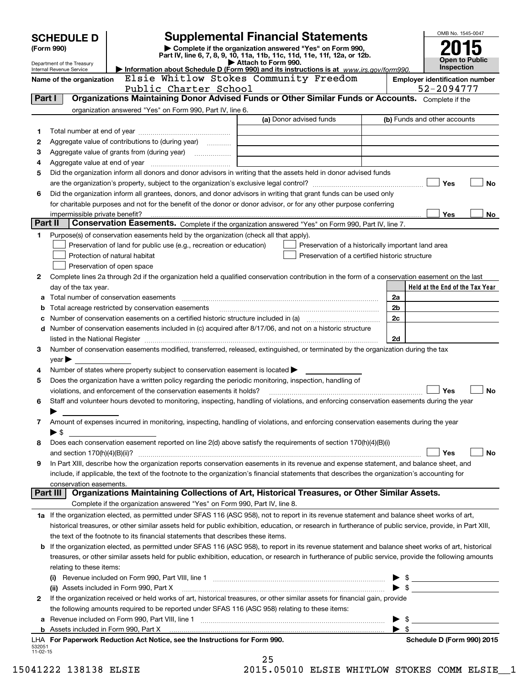|                    | <b>SCHEDULE D</b>                                                                                                                                                                                    |                                                                                                              | <b>Supplemental Financial Statements</b>                                                                                                                   | OMB No. 1545-0047                                   |  |  |  |
|--------------------|------------------------------------------------------------------------------------------------------------------------------------------------------------------------------------------------------|--------------------------------------------------------------------------------------------------------------|------------------------------------------------------------------------------------------------------------------------------------------------------------|-----------------------------------------------------|--|--|--|
|                    | (Form 990)                                                                                                                                                                                           |                                                                                                              | Complete if the organization answered "Yes" on Form 990,<br>Part IV, line 6, 7, 8, 9, 10, 11a, 11b, 11c, 11d, 11e, 11f, 12a, or 12b.                       |                                                     |  |  |  |
|                    | Department of the Treasury                                                                                                                                                                           | Open to Public                                                                                               |                                                                                                                                                            |                                                     |  |  |  |
|                    | Internal Revenue Service                                                                                                                                                                             | <b>Inspection</b><br>Information about Schedule D (Form 990) and its instructions is at www.irs.gov/form990. |                                                                                                                                                            |                                                     |  |  |  |
|                    | Name of the organization                                                                                                                                                                             | Public Charter School                                                                                        | Elsie Whitlow Stokes Community Freedom                                                                                                                     | <b>Employer identification number</b><br>52-2094777 |  |  |  |
| Part I             |                                                                                                                                                                                                      |                                                                                                              | Organizations Maintaining Donor Advised Funds or Other Similar Funds or Accounts. Complete if the                                                          |                                                     |  |  |  |
|                    |                                                                                                                                                                                                      | organization answered "Yes" on Form 990, Part IV, line 6.                                                    |                                                                                                                                                            |                                                     |  |  |  |
|                    |                                                                                                                                                                                                      |                                                                                                              | (a) Donor advised funds                                                                                                                                    | (b) Funds and other accounts                        |  |  |  |
| 1                  |                                                                                                                                                                                                      |                                                                                                              |                                                                                                                                                            |                                                     |  |  |  |
| 2                  |                                                                                                                                                                                                      | Aggregate value of contributions to (during year)                                                            |                                                                                                                                                            |                                                     |  |  |  |
| з                  |                                                                                                                                                                                                      | Aggregate value of grants from (during year) <i>mimimimimial</i>                                             |                                                                                                                                                            |                                                     |  |  |  |
| 4                  |                                                                                                                                                                                                      |                                                                                                              | Did the organization inform all donors and donor advisors in writing that the assets held in donor advised funds                                           |                                                     |  |  |  |
| 5                  |                                                                                                                                                                                                      |                                                                                                              |                                                                                                                                                            | Yes<br><b>No</b>                                    |  |  |  |
| 6                  |                                                                                                                                                                                                      |                                                                                                              | Did the organization inform all grantees, donors, and donor advisors in writing that grant funds can be used only                                          |                                                     |  |  |  |
|                    |                                                                                                                                                                                                      |                                                                                                              | for charitable purposes and not for the benefit of the donor or donor advisor, or for any other purpose conferring                                         |                                                     |  |  |  |
|                    |                                                                                                                                                                                                      |                                                                                                              |                                                                                                                                                            | <b>Yes</b><br>No                                    |  |  |  |
| Part II            |                                                                                                                                                                                                      |                                                                                                              | Conservation Easements. Complete if the organization answered "Yes" on Form 990, Part IV, line 7.                                                          |                                                     |  |  |  |
| 1                  |                                                                                                                                                                                                      | Purpose(s) of conservation easements held by the organization (check all that apply).                        |                                                                                                                                                            |                                                     |  |  |  |
|                    |                                                                                                                                                                                                      | Preservation of land for public use (e.g., recreation or education)                                          | Preservation of a historically important land area                                                                                                         |                                                     |  |  |  |
|                    |                                                                                                                                                                                                      | Protection of natural habitat                                                                                | Preservation of a certified historic structure                                                                                                             |                                                     |  |  |  |
|                    |                                                                                                                                                                                                      | Preservation of open space                                                                                   |                                                                                                                                                            |                                                     |  |  |  |
| 2                  |                                                                                                                                                                                                      |                                                                                                              | Complete lines 2a through 2d if the organization held a qualified conservation contribution in the form of a conservation easement on the last             | Held at the End of the Tax Year                     |  |  |  |
| a                  | day of the tax year.                                                                                                                                                                                 |                                                                                                              |                                                                                                                                                            | 2a                                                  |  |  |  |
| b                  |                                                                                                                                                                                                      | Total acreage restricted by conservation easements                                                           |                                                                                                                                                            | 2 <sub>b</sub>                                      |  |  |  |
| c                  |                                                                                                                                                                                                      |                                                                                                              |                                                                                                                                                            | 2c                                                  |  |  |  |
| d                  |                                                                                                                                                                                                      |                                                                                                              | Number of conservation easements included in (c) acquired after 8/17/06, and not on a historic structure                                                   |                                                     |  |  |  |
|                    |                                                                                                                                                                                                      |                                                                                                              |                                                                                                                                                            | 2d                                                  |  |  |  |
| З                  |                                                                                                                                                                                                      |                                                                                                              | Number of conservation easements modified, transferred, released, extinguished, or terminated by the organization during the tax                           |                                                     |  |  |  |
|                    | $year \blacktriangleright$                                                                                                                                                                           |                                                                                                              |                                                                                                                                                            |                                                     |  |  |  |
| 4                  |                                                                                                                                                                                                      | Number of states where property subject to conservation easement is located $\blacktriangleright$            |                                                                                                                                                            |                                                     |  |  |  |
| 5                  |                                                                                                                                                                                                      | Does the organization have a written policy regarding the periodic monitoring, inspection, handling of       |                                                                                                                                                            |                                                     |  |  |  |
| 6                  |                                                                                                                                                                                                      | violations, and enforcement of the conservation easements it holds?                                          | Staff and volunteer hours devoted to monitoring, inspecting, handling of violations, and enforcing conservation easements during the year                  | Yes<br><b>No</b>                                    |  |  |  |
|                    |                                                                                                                                                                                                      |                                                                                                              |                                                                                                                                                            |                                                     |  |  |  |
| 7                  |                                                                                                                                                                                                      |                                                                                                              | Amount of expenses incurred in monitoring, inspecting, handling of violations, and enforcing conservation easements during the year                        |                                                     |  |  |  |
|                    | ▶ \$                                                                                                                                                                                                 |                                                                                                              |                                                                                                                                                            |                                                     |  |  |  |
| 8                  |                                                                                                                                                                                                      |                                                                                                              | Does each conservation easement reported on line 2(d) above satisfy the requirements of section 170(h)(4)(B)(i)                                            |                                                     |  |  |  |
|                    | and section $170(h)(4)(B)(ii)?$                                                                                                                                                                      |                                                                                                              |                                                                                                                                                            | Yes<br>No                                           |  |  |  |
| 9                  |                                                                                                                                                                                                      |                                                                                                              | In Part XIII, describe how the organization reports conservation easements in its revenue and expense statement, and balance sheet, and                    |                                                     |  |  |  |
|                    |                                                                                                                                                                                                      |                                                                                                              | include, if applicable, the text of the footnote to the organization's financial statements that describes the organization's accounting for               |                                                     |  |  |  |
|                    | conservation easements.<br>Part III                                                                                                                                                                  |                                                                                                              | Organizations Maintaining Collections of Art, Historical Treasures, or Other Similar Assets.                                                               |                                                     |  |  |  |
|                    |                                                                                                                                                                                                      | Complete if the organization answered "Yes" on Form 990, Part IV, line 8.                                    |                                                                                                                                                            |                                                     |  |  |  |
|                    |                                                                                                                                                                                                      |                                                                                                              | 1a If the organization elected, as permitted under SFAS 116 (ASC 958), not to report in its revenue statement and balance sheet works of art,              |                                                     |  |  |  |
|                    |                                                                                                                                                                                                      |                                                                                                              | historical treasures, or other similar assets held for public exhibition, education, or research in furtherance of public service, provide, in Part XIII,  |                                                     |  |  |  |
|                    |                                                                                                                                                                                                      | the text of the footnote to its financial statements that describes these items.                             |                                                                                                                                                            |                                                     |  |  |  |
|                    |                                                                                                                                                                                                      |                                                                                                              | <b>b</b> If the organization elected, as permitted under SFAS 116 (ASC 958), to report in its revenue statement and balance sheet works of art, historical |                                                     |  |  |  |
|                    |                                                                                                                                                                                                      |                                                                                                              | treasures, or other similar assets held for public exhibition, education, or research in furtherance of public service, provide the following amounts      |                                                     |  |  |  |
|                    | relating to these items:                                                                                                                                                                             |                                                                                                              |                                                                                                                                                            |                                                     |  |  |  |
|                    |                                                                                                                                                                                                      |                                                                                                              |                                                                                                                                                            |                                                     |  |  |  |
|                    | $\blacktriangleright$ \$<br>(ii) Assets included in Form 990, Part X<br>If the organization received or held works of art, historical treasures, or other similar assets for financial gain, provide |                                                                                                              |                                                                                                                                                            |                                                     |  |  |  |
| 2                  |                                                                                                                                                                                                      |                                                                                                              |                                                                                                                                                            |                                                     |  |  |  |
|                    |                                                                                                                                                                                                      | the following amounts required to be reported under SFAS 116 (ASC 958) relating to these items:              |                                                                                                                                                            | $\blacktriangleright$ \$                            |  |  |  |
|                    |                                                                                                                                                                                                      |                                                                                                              |                                                                                                                                                            | $\blacktriangleright$ \$                            |  |  |  |
|                    |                                                                                                                                                                                                      | LHA For Paperwork Reduction Act Notice, see the Instructions for Form 990.                                   |                                                                                                                                                            | Schedule D (Form 990) 2015                          |  |  |  |
| 532051<br>11-02-15 |                                                                                                                                                                                                      |                                                                                                              |                                                                                                                                                            |                                                     |  |  |  |
|                    |                                                                                                                                                                                                      |                                                                                                              | 25                                                                                                                                                         |                                                     |  |  |  |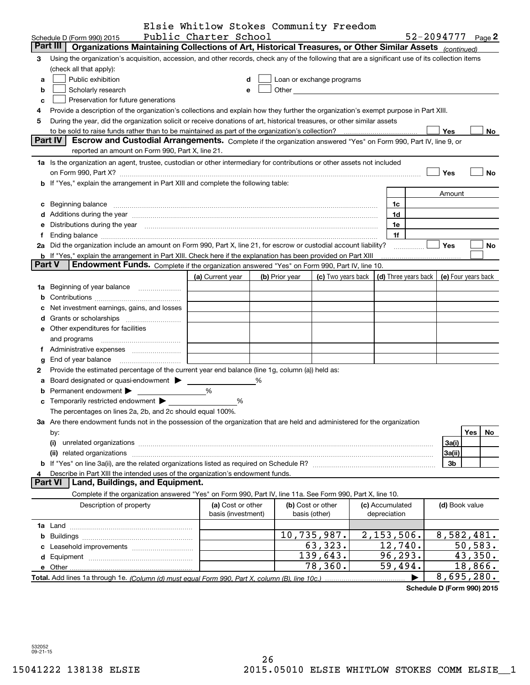|                |                                                                                                                                                                                                                                | Elsie Whitlow Stokes Community Freedom |   |                |                           |                      |                     |           |
|----------------|--------------------------------------------------------------------------------------------------------------------------------------------------------------------------------------------------------------------------------|----------------------------------------|---|----------------|---------------------------|----------------------|---------------------|-----------|
|                | Schedule D (Form 990) 2015                                                                                                                                                                                                     | Public Charter School                  |   |                |                           |                      | 52-2094777          | Page $2$  |
|                | <b>Part III</b><br>Organizations Maintaining Collections of Art, Historical Treasures, or Other Similar Assets (continued)                                                                                                     |                                        |   |                |                           |                      |                     |           |
| 3              | Using the organization's acquisition, accession, and other records, check any of the following that are a significant use of its collection items                                                                              |                                        |   |                |                           |                      |                     |           |
|                | (check all that apply):                                                                                                                                                                                                        |                                        |   |                |                           |                      |                     |           |
| a              | Public exhibition                                                                                                                                                                                                              |                                        | d |                | Loan or exchange programs |                      |                     |           |
| b              | Scholarly research                                                                                                                                                                                                             |                                        | e |                |                           |                      |                     |           |
|                |                                                                                                                                                                                                                                |                                        |   |                |                           |                      |                     |           |
| c              | Preservation for future generations                                                                                                                                                                                            |                                        |   |                |                           |                      |                     |           |
| 4              | Provide a description of the organization's collections and explain how they further the organization's exempt purpose in Part XIII.                                                                                           |                                        |   |                |                           |                      |                     |           |
| 5              | During the year, did the organization solicit or receive donations of art, historical treasures, or other similar assets                                                                                                       |                                        |   |                |                           |                      |                     |           |
|                | Part IV                                                                                                                                                                                                                        |                                        |   |                |                           |                      | <b>Yes</b>          | No        |
|                | Escrow and Custodial Arrangements. Complete if the organization answered "Yes" on Form 990, Part IV, line 9, or                                                                                                                |                                        |   |                |                           |                      |                     |           |
|                | reported an amount on Form 990, Part X, line 21.                                                                                                                                                                               |                                        |   |                |                           |                      |                     |           |
|                | 1a Is the organization an agent, trustee, custodian or other intermediary for contributions or other assets not included                                                                                                       |                                        |   |                |                           |                      |                     |           |
|                | on Form 990, Part X? [11] The Content of The Content of The Content of The Content of The Content of The Content of The Content of The Content of The Content of The Content of The Content of The Content of The Content of T |                                        |   |                |                           |                      | Yes                 | No        |
|                | <b>b</b> If "Yes," explain the arrangement in Part XIII and complete the following table:                                                                                                                                      |                                        |   |                |                           |                      |                     |           |
|                |                                                                                                                                                                                                                                |                                        |   |                |                           |                      | Amount              |           |
|                | c Beginning balance measurements and the contract of the contract of the contract of the contract of the contract of the contract of the contract of the contract of the contract of the contract of the contract of the contr |                                        |   |                |                           | 1c                   |                     |           |
|                | d Additions during the year measurements are also contained a state of the year measurement of the year measurement of the state of the state of the state of the state of the state of the state of the state of the state of |                                        |   |                |                           | 1d                   |                     |           |
|                | e Distributions during the year manufactured and continuum and contract the year manufactured and contract the                                                                                                                 |                                        |   |                |                           | 1e                   |                     |           |
| f              |                                                                                                                                                                                                                                |                                        |   |                |                           | 1f                   |                     |           |
|                | 2a Did the organization include an amount on Form 990, Part X, line 21, for escrow or custodial account liability?                                                                                                             |                                        |   |                |                           |                      | <b>Yes</b>          | No        |
|                | <b>b</b> If "Yes," explain the arrangement in Part XIII. Check here if the explanation has been provided on Part XIII                                                                                                          |                                        |   |                |                           |                      |                     |           |
| <b>Part V</b>  | Endowment Funds. Complete if the organization answered "Yes" on Form 990, Part IV, line 10.                                                                                                                                    |                                        |   |                |                           |                      |                     |           |
|                |                                                                                                                                                                                                                                | (a) Current year                       |   | (b) Prior year | (c) Two years back        | (d) Three years back | (e) Four years back |           |
|                | 1a Beginning of year balance                                                                                                                                                                                                   | <u> 1999 - John Barnett, f</u>         |   |                |                           |                      |                     |           |
|                |                                                                                                                                                                                                                                |                                        |   |                |                           |                      |                     |           |
|                | c Net investment earnings, gains, and losses                                                                                                                                                                                   |                                        |   |                |                           |                      |                     |           |
|                |                                                                                                                                                                                                                                |                                        |   |                |                           |                      |                     |           |
|                | <b>e</b> Other expenditures for facilities                                                                                                                                                                                     |                                        |   |                |                           |                      |                     |           |
|                |                                                                                                                                                                                                                                |                                        |   |                |                           |                      |                     |           |
|                | and programs                                                                                                                                                                                                                   |                                        |   |                |                           |                      |                     |           |
|                |                                                                                                                                                                                                                                |                                        |   |                |                           |                      |                     |           |
| g              | End of year balance                                                                                                                                                                                                            |                                        |   |                |                           |                      |                     |           |
| 2              | Provide the estimated percentage of the current year end balance (line 1g, column (a)) held as:                                                                                                                                |                                        |   |                |                           |                      |                     |           |
|                | a Board designated or quasi-endowment > _____                                                                                                                                                                                  |                                        | % |                |                           |                      |                     |           |
| b              | Permanent endowment >                                                                                                                                                                                                          | %                                      |   |                |                           |                      |                     |           |
|                |                                                                                                                                                                                                                                | %                                      |   |                |                           |                      |                     |           |
|                | The percentages on lines 2a, 2b, and 2c should equal 100%.                                                                                                                                                                     |                                        |   |                |                           |                      |                     |           |
|                | 3a Are there endowment funds not in the possession of the organization that are held and administered for the organization                                                                                                     |                                        |   |                |                           |                      |                     |           |
|                | by:                                                                                                                                                                                                                            |                                        |   |                |                           |                      |                     | Yes<br>No |
|                | (i)                                                                                                                                                                                                                            |                                        |   |                |                           |                      | 3a(i)               |           |
|                | (ii)                                                                                                                                                                                                                           |                                        |   |                |                           |                      | 3a(ii)              |           |
|                |                                                                                                                                                                                                                                |                                        |   |                |                           |                      | 3 <sub>b</sub>      |           |
| 4              | Describe in Part XIII the intended uses of the organization's endowment funds.                                                                                                                                                 |                                        |   |                |                           |                      |                     |           |
| <b>Part VI</b> | Land, Buildings, and Equipment.                                                                                                                                                                                                |                                        |   |                |                           |                      |                     |           |
|                | Complete if the organization answered "Yes" on Form 990, Part IV, line 11a. See Form 990, Part X, line 10.                                                                                                                     |                                        |   |                |                           |                      |                     |           |
|                | Description of property                                                                                                                                                                                                        | (a) Cost or other                      |   |                | (b) Cost or other         | (c) Accumulated      | (d) Book value      |           |
|                |                                                                                                                                                                                                                                | basis (investment)                     |   |                | basis (other)             | depreciation         |                     |           |
|                |                                                                                                                                                                                                                                |                                        |   |                |                           |                      |                     |           |
|                |                                                                                                                                                                                                                                |                                        |   |                | 10,735,987.               | 2,153,506.           | 8,582,481.          |           |
|                |                                                                                                                                                                                                                                |                                        |   |                | 63,323.                   | 12,740.              |                     | 50, 583.  |
|                |                                                                                                                                                                                                                                |                                        |   |                | 139,643.                  | 96, 293.             |                     | 43,350.   |
|                |                                                                                                                                                                                                                                |                                        |   |                | 78,360.                   | 59,494.              |                     | 18,866.   |
|                |                                                                                                                                                                                                                                |                                        |   |                |                           |                      | 8,695,280.          |           |
|                |                                                                                                                                                                                                                                |                                        |   |                |                           |                      |                     |           |

**Schedule D (Form 990) 2015**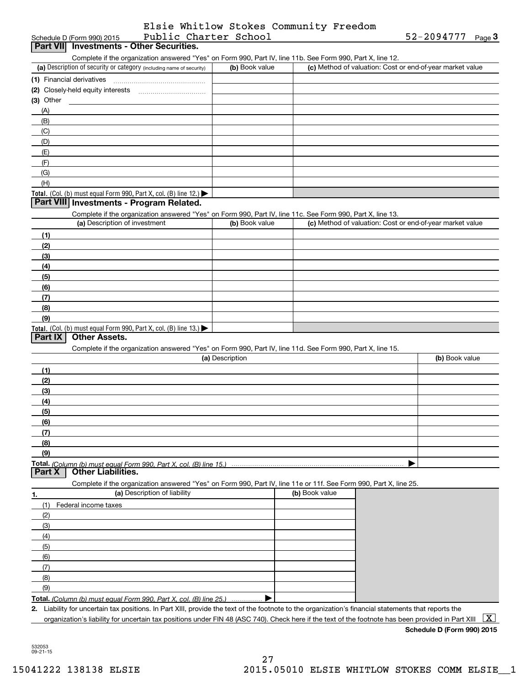|                       | Elsie Whitlow Stokes Community Freedom |  |
|-----------------------|----------------------------------------|--|
| Public Charter School |                                        |  |

| Public Charter School<br>Schedule D (Form 990) 2015                                                                                                                                                                        |                 |                | 52-2094777<br>$Page$ <sup>3</sup>                         |
|----------------------------------------------------------------------------------------------------------------------------------------------------------------------------------------------------------------------------|-----------------|----------------|-----------------------------------------------------------|
| Part VII Investments - Other Securities.                                                                                                                                                                                   |                 |                |                                                           |
| Complete if the organization answered "Yes" on Form 990, Part IV, line 11b. See Form 990, Part X, line 12.<br>(a) Description of security or category (including name of security)                                         | (b) Book value  |                | (c) Method of valuation: Cost or end-of-year market value |
|                                                                                                                                                                                                                            |                 |                |                                                           |
| (1) Financial derivatives                                                                                                                                                                                                  |                 |                |                                                           |
| $(3)$ Other                                                                                                                                                                                                                |                 |                |                                                           |
| (A)                                                                                                                                                                                                                        |                 |                |                                                           |
| (B)                                                                                                                                                                                                                        |                 |                |                                                           |
| (C)                                                                                                                                                                                                                        |                 |                |                                                           |
| (D)                                                                                                                                                                                                                        |                 |                |                                                           |
| (E)                                                                                                                                                                                                                        |                 |                |                                                           |
| (F)                                                                                                                                                                                                                        |                 |                |                                                           |
| (G)                                                                                                                                                                                                                        |                 |                |                                                           |
| (H)                                                                                                                                                                                                                        |                 |                |                                                           |
| Total. (Col. (b) must equal Form 990, Part X, col. (B) line 12.) $\blacktriangleright$                                                                                                                                     |                 |                |                                                           |
| Part VIII Investments - Program Related.                                                                                                                                                                                   |                 |                |                                                           |
| Complete if the organization answered "Yes" on Form 990, Part IV, line 11c. See Form 990, Part X, line 13.                                                                                                                 | (b) Book value  |                |                                                           |
| (a) Description of investment                                                                                                                                                                                              |                 |                | (c) Method of valuation: Cost or end-of-year market value |
| (1)                                                                                                                                                                                                                        |                 |                |                                                           |
| (2)                                                                                                                                                                                                                        |                 |                |                                                           |
| (3)<br>(4)                                                                                                                                                                                                                 |                 |                |                                                           |
| (5)                                                                                                                                                                                                                        |                 |                |                                                           |
| (6)                                                                                                                                                                                                                        |                 |                |                                                           |
| (7)                                                                                                                                                                                                                        |                 |                |                                                           |
| (8)                                                                                                                                                                                                                        |                 |                |                                                           |
| (9)                                                                                                                                                                                                                        |                 |                |                                                           |
| Total. (Col. (b) must equal Form 990, Part X, col. (B) line 13.)                                                                                                                                                           |                 |                |                                                           |
| <b>Other Assets.</b><br>Part IX                                                                                                                                                                                            |                 |                |                                                           |
| Complete if the organization answered "Yes" on Form 990, Part IV, line 11d. See Form 990, Part X, line 15.                                                                                                                 |                 |                |                                                           |
|                                                                                                                                                                                                                            | (a) Description |                | (b) Book value                                            |
| (1)                                                                                                                                                                                                                        |                 |                |                                                           |
| (2)                                                                                                                                                                                                                        |                 |                |                                                           |
| (3)                                                                                                                                                                                                                        |                 |                |                                                           |
| (4)                                                                                                                                                                                                                        |                 |                |                                                           |
| (5)<br>(6)                                                                                                                                                                                                                 |                 |                |                                                           |
| (7)                                                                                                                                                                                                                        |                 |                |                                                           |
| (8)                                                                                                                                                                                                                        |                 |                |                                                           |
| (9)                                                                                                                                                                                                                        |                 |                |                                                           |
| Total. (Column (b) must equal Form 990. Part X. col. (B) line 15.)                                                                                                                                                         |                 |                |                                                           |
| Part X<br><b>Other Liabilities.</b>                                                                                                                                                                                        |                 |                |                                                           |
| Complete if the organization answered "Yes" on Form 990, Part IV, line 11e or 11f. See Form 990, Part X, line 25.                                                                                                          |                 |                |                                                           |
| (a) Description of liability<br>1.                                                                                                                                                                                         |                 | (b) Book value |                                                           |
| (1)<br>Federal income taxes                                                                                                                                                                                                |                 |                |                                                           |
| (2)                                                                                                                                                                                                                        |                 |                |                                                           |
| (3)                                                                                                                                                                                                                        |                 |                |                                                           |
| (4)                                                                                                                                                                                                                        |                 |                |                                                           |
| (5)                                                                                                                                                                                                                        |                 |                |                                                           |
| (6)                                                                                                                                                                                                                        |                 |                |                                                           |
| (7)                                                                                                                                                                                                                        |                 |                |                                                           |
| (8)                                                                                                                                                                                                                        |                 |                |                                                           |
| (9)                                                                                                                                                                                                                        |                 |                |                                                           |
| Total. (Column (b) must equal Form 990, Part X, col. (B) line 25.)<br>2. Liability for uncertain tax positions. In Part XIII, provide the text of the footnote to the organization's financial statements that reports the |                 |                |                                                           |
| organization's liability for uncertain tax positions under FIN 48 (ASC 740). Check here if the text of the footnote has been provided in Part XIII                                                                         |                 |                | X                                                         |

**Schedule D (Form 990) 2015**

532053 09-21-15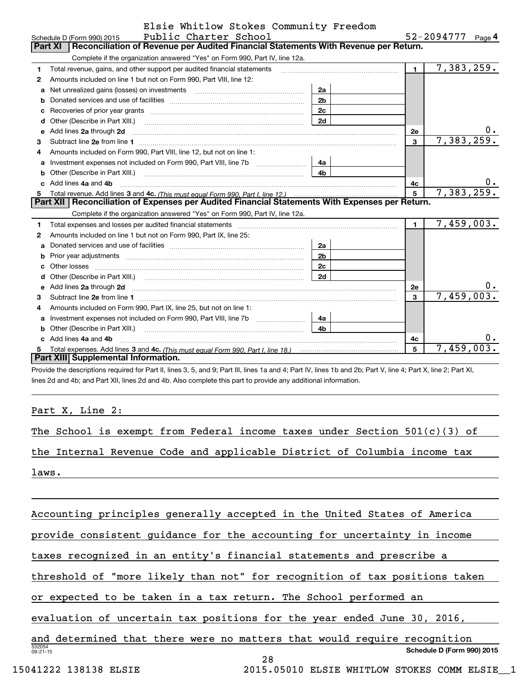|  | Elsie Whitlow Stokes Community Freedom |  |
|--|----------------------------------------|--|
|  |                                        |  |

|   | Public Charter School<br>Schedule D (Form 990) 2015                                                                                                                                                                                 |                |                | 52-2094777<br>Page <sup>4</sup> |
|---|-------------------------------------------------------------------------------------------------------------------------------------------------------------------------------------------------------------------------------------|----------------|----------------|---------------------------------|
|   | Reconciliation of Revenue per Audited Financial Statements With Revenue per Return.<br><b>Part XI</b>                                                                                                                               |                |                |                                 |
|   | Complete if the organization answered "Yes" on Form 990, Part IV, line 12a.                                                                                                                                                         |                |                |                                 |
| 1 | Total revenue, gains, and other support per audited financial statements                                                                                                                                                            |                | $\blacksquare$ | 7,383,259.                      |
| 2 | Amounts included on line 1 but not on Form 990, Part VIII, line 12:                                                                                                                                                                 |                |                |                                 |
| a |                                                                                                                                                                                                                                     | 2a             |                |                                 |
| b |                                                                                                                                                                                                                                     | 2 <sub>b</sub> |                |                                 |
| c | Recoveries of prior year grants [11] Recoveries of prior year grants [11] Recoveries of prior year grants                                                                                                                           | 2c             |                |                                 |
| d |                                                                                                                                                                                                                                     | 2d             |                |                                 |
| е | Add lines 2a through 2d                                                                                                                                                                                                             |                | 2е             | υ.                              |
| 3 |                                                                                                                                                                                                                                     |                | $\mathbf{3}$   | 7,383,259.                      |
| 4 | Amounts included on Form 990, Part VIII, line 12, but not on line 1:                                                                                                                                                                |                |                |                                 |
| а |                                                                                                                                                                                                                                     | 4a             |                |                                 |
| b | Other (Describe in Part XIII.) <b>Construction Contract Construction</b> Chern Construction Chern Chern Chern Chern Chern Chern Chern Chern Chern Chern Chern Chern Chern Chern Chern Chern Chern Chern Chern Chern Chern Chern Che | 4 <sub>b</sub> |                |                                 |
|   | Add lines 4a and 4b                                                                                                                                                                                                                 |                | 4c             | 0.                              |
| 5 |                                                                                                                                                                                                                                     |                | 5 <sup>1</sup> | 7,383,259.                      |
|   |                                                                                                                                                                                                                                     |                |                |                                 |
|   | Part XII   Reconciliation of Expenses per Audited Financial Statements With Expenses per Return.                                                                                                                                    |                |                |                                 |
|   | Complete if the organization answered "Yes" on Form 990, Part IV, line 12a.                                                                                                                                                         |                |                |                                 |
| 1 |                                                                                                                                                                                                                                     |                | $\mathbf{1}$   | 7,459,003.                      |
| 2 | Amounts included on line 1 but not on Form 990, Part IX, line 25:                                                                                                                                                                   |                |                |                                 |
| a |                                                                                                                                                                                                                                     | 2a             |                |                                 |
| b |                                                                                                                                                                                                                                     | 2 <sub>b</sub> |                |                                 |
| с |                                                                                                                                                                                                                                     | 2c             |                |                                 |
|   |                                                                                                                                                                                                                                     | 2d             |                |                                 |
| e |                                                                                                                                                                                                                                     |                | <b>2e</b>      | 0.                              |
| 3 | Add lines 2a through 2d <b>[10]</b> University contracts and the set of the set of the set of the set of the set of the set of the set of the set of the set of the set of the set of the set of the set of the set of the set of t |                | 3              | 7,459,003.                      |
| 4 | Amounts included on Form 990, Part IX, line 25, but not on line 1:                                                                                                                                                                  |                |                |                                 |
| a |                                                                                                                                                                                                                                     | 4a             |                |                                 |
| b | Other (Describe in Part XIII.) <b>Construction Contract Construction</b> Chern Construction Construction Construction                                                                                                               | 4 <sub>b</sub> |                |                                 |
|   | Add lines 4a and 4b                                                                                                                                                                                                                 |                | 4c             | 0.                              |
| 5 | Total expenses. Add lines 3 and 4c. (This must equal Form 990. Part I. line 18.) <b>Conservers</b> 10.1<br>Part XIII Supplemental Information.                                                                                      |                | 5              | 7,459,003.                      |

Provide the descriptions required for Part II, lines 3, 5, and 9; Part III, lines 1a and 4; Part IV, lines 1b and 2b; Part V, line 4; Part X, line 2; Part XI, lines 2d and 4b; and Part XII, lines 2d and 4b. Also complete this part to provide any additional information.

Part X, Line 2:

The School is exempt from Federal income taxes under Section  $501(c)(3)$  of

the Internal Revenue Code and applicable District of Columbia income tax

laws.

53205409-21-15**Schedule D (Form 990) 2015** Accounting principles generally accepted in the United States of America provide consistent guidance for the accounting for uncertainty in income taxes recognized in an entity's financial statements and prescribe a threshold of "more likely than not" for recognition of tax positions taken or expected to be taken in a tax return. The School performed an evaluation of uncertain tax positions for the year ended June 30, 2016, and determined that there were no matters that would require recognition 28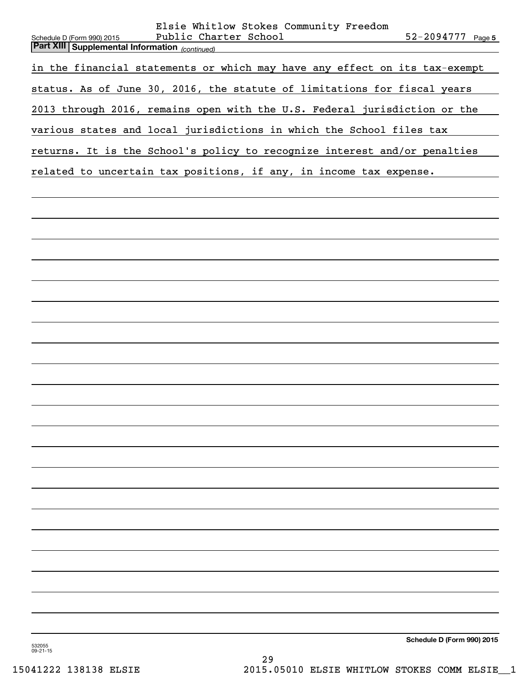| Elsie Whitlow Stokes Community Freedom<br>Public Charter School<br>52-2094777 Page 5<br>Schedule D (Form 990) 2015<br><b>Part XIII Supplemental Information</b> (continued) |
|-----------------------------------------------------------------------------------------------------------------------------------------------------------------------------|
| in the financial statements or which may have any effect on its tax-exempt                                                                                                  |
| status. As of June 30, 2016, the statute of limitations for fiscal years                                                                                                    |
| 2013 through 2016, remains open with the U.S. Federal jurisdiction or the                                                                                                   |
| various states and local jurisdictions in which the School files tax                                                                                                        |
| returns. It is the School's policy to recognize interest and/or penalties                                                                                                   |
| related to uncertain tax positions, if any, in income tax expense.                                                                                                          |
|                                                                                                                                                                             |
|                                                                                                                                                                             |
|                                                                                                                                                                             |
|                                                                                                                                                                             |
|                                                                                                                                                                             |
|                                                                                                                                                                             |
|                                                                                                                                                                             |
|                                                                                                                                                                             |
|                                                                                                                                                                             |
|                                                                                                                                                                             |
|                                                                                                                                                                             |
|                                                                                                                                                                             |
|                                                                                                                                                                             |
|                                                                                                                                                                             |
|                                                                                                                                                                             |
|                                                                                                                                                                             |
|                                                                                                                                                                             |
|                                                                                                                                                                             |
|                                                                                                                                                                             |
|                                                                                                                                                                             |
|                                                                                                                                                                             |
|                                                                                                                                                                             |
| Schedule D (Form 990) 2015<br>532055                                                                                                                                        |

532055 09-21-15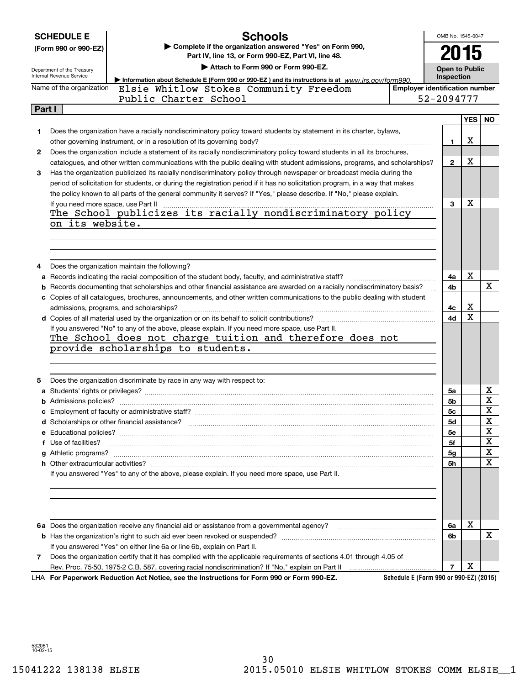|        | <b>SCHEDULE E</b>                                                                | <b>Schools</b>                                                                                                                                                                                                                     |                                        | OMB No. 1545-0047     |            |           |
|--------|----------------------------------------------------------------------------------|------------------------------------------------------------------------------------------------------------------------------------------------------------------------------------------------------------------------------------|----------------------------------------|-----------------------|------------|-----------|
|        | Complete if the organization answered "Yes" on Form 990,<br>(Form 990 or 990-EZ) |                                                                                                                                                                                                                                    |                                        |                       |            |           |
|        | Part IV, line 13, or Form 990-EZ, Part VI, line 48.                              |                                                                                                                                                                                                                                    |                                        | 2015                  |            |           |
|        | Department of the Treasury                                                       | Attach to Form 990 or Form 990-EZ.                                                                                                                                                                                                 |                                        | <b>Open to Public</b> |            |           |
|        | Internal Revenue Service                                                         | Information about Schedule E (Form 990 or 990-EZ) and its instructions is at www.irs.gov/form990.                                                                                                                                  |                                        | Inspection            |            |           |
|        | Name of the organization                                                         | Elsie Whitlow Stokes Community Freedom                                                                                                                                                                                             | <b>Employer identification number</b>  |                       |            |           |
|        |                                                                                  | Public Charter School                                                                                                                                                                                                              |                                        | 52-2094777            |            |           |
| Part I |                                                                                  |                                                                                                                                                                                                                                    |                                        |                       |            |           |
|        |                                                                                  |                                                                                                                                                                                                                                    |                                        |                       | <b>YES</b> | <b>NO</b> |
| 1      |                                                                                  | Does the organization have a racially nondiscriminatory policy toward students by statement in its charter, bylaws,                                                                                                                |                                        |                       | х          |           |
| 2      |                                                                                  | Does the organization include a statement of its racially nondiscriminatory policy toward students in all its brochures,                                                                                                           |                                        | 1                     |            |           |
|        |                                                                                  | catalogues, and other written communications with the public dealing with student admissions, programs, and scholarships?                                                                                                          |                                        | $\mathbf{2}$          | x          |           |
| 3      |                                                                                  | Has the organization publicized its racially nondiscriminatory policy through newspaper or broadcast media during the                                                                                                              |                                        |                       |            |           |
|        |                                                                                  | period of solicitation for students, or during the registration period if it has no solicitation program, in a way that makes                                                                                                      |                                        |                       |            |           |
|        |                                                                                  | the policy known to all parts of the general community it serves? If "Yes," please describe. If "No," please explain.                                                                                                              |                                        |                       |            |           |
|        | If you need more space, use Part II                                              |                                                                                                                                                                                                                                    |                                        | 3                     | x          |           |
|        |                                                                                  | If you need more space, use Part II was also assume that we can also also also also also also also a The School publicizes its racially nondiscriminatory policy                                                                   |                                        |                       |            |           |
|        | on its website.                                                                  |                                                                                                                                                                                                                                    |                                        |                       |            |           |
|        |                                                                                  |                                                                                                                                                                                                                                    |                                        |                       |            |           |
|        |                                                                                  |                                                                                                                                                                                                                                    |                                        |                       |            |           |
|        |                                                                                  |                                                                                                                                                                                                                                    |                                        |                       |            |           |
| 4      |                                                                                  | Does the organization maintain the following?                                                                                                                                                                                      |                                        |                       |            |           |
|        |                                                                                  | a Records indicating the racial composition of the student body, faculty, and administrative staff?                                                                                                                                |                                        | 4a                    | х          |           |
| b      |                                                                                  | Records documenting that scholarships and other financial assistance are awarded on a racially nondiscriminatory basis?                                                                                                            |                                        | 4b                    |            | х         |
|        |                                                                                  | c Copies of all catalogues, brochures, announcements, and other written communications to the public dealing with student                                                                                                          |                                        |                       |            |           |
|        |                                                                                  |                                                                                                                                                                                                                                    |                                        | 4c                    | x          |           |
|        |                                                                                  |                                                                                                                                                                                                                                    |                                        | 4d                    | Χ          |           |
|        |                                                                                  | If you answered "No" to any of the above, please explain. If you need more space, use Part II.<br>The School does not charge tuition and therefore does not                                                                        |                                        |                       |            |           |
|        |                                                                                  | provide scholarships to students.                                                                                                                                                                                                  |                                        |                       |            |           |
|        |                                                                                  |                                                                                                                                                                                                                                    |                                        |                       |            |           |
|        |                                                                                  |                                                                                                                                                                                                                                    |                                        |                       |            |           |
| 5      |                                                                                  | Does the organization discriminate by race in any way with respect to:                                                                                                                                                             |                                        |                       |            |           |
|        |                                                                                  |                                                                                                                                                                                                                                    |                                        | 5a                    |            | х         |
|        |                                                                                  |                                                                                                                                                                                                                                    |                                        | 5b                    |            | X         |
|        |                                                                                  |                                                                                                                                                                                                                                    |                                        | 5c                    |            | X         |
|        |                                                                                  |                                                                                                                                                                                                                                    |                                        | 5d                    |            | X         |
|        |                                                                                  |                                                                                                                                                                                                                                    |                                        | <b>5e</b>             |            | х         |
|        |                                                                                  | f Use of facilities? <b>www.communities.</b> We can be a series of the contract of the contract of the contract of the contract of the contract of the contract of the contract of the contract of the contract of the contract of |                                        | 5f                    |            | X         |
|        |                                                                                  |                                                                                                                                                                                                                                    |                                        | 5g                    |            | х         |
|        |                                                                                  |                                                                                                                                                                                                                                    |                                        | 5h                    |            | Χ         |
|        |                                                                                  | If you answered "Yes" to any of the above, please explain. If you need more space, use Part II.                                                                                                                                    |                                        |                       |            |           |
|        |                                                                                  |                                                                                                                                                                                                                                    |                                        |                       |            |           |
|        |                                                                                  |                                                                                                                                                                                                                                    |                                        |                       |            |           |
|        |                                                                                  |                                                                                                                                                                                                                                    |                                        |                       |            |           |
|        |                                                                                  |                                                                                                                                                                                                                                    |                                        |                       | х          |           |
|        |                                                                                  |                                                                                                                                                                                                                                    |                                        | 6a<br>6b              |            | x         |
|        |                                                                                  | If you answered "Yes" on either line 6a or line 6b, explain on Part II.                                                                                                                                                            |                                        |                       |            |           |
| 7      |                                                                                  | Does the organization certify that it has complied with the applicable requirements of sections 4.01 through 4.05 of                                                                                                               |                                        |                       |            |           |
|        |                                                                                  |                                                                                                                                                                                                                                    |                                        | 7                     | х          |           |
|        |                                                                                  | LHA For Paperwork Reduction Act Notice, see the Instructions for Form 990 or Form 990-EZ.                                                                                                                                          | Schedule E (Form 990 or 990-EZ) (2015) |                       |            |           |

532061 10-02-15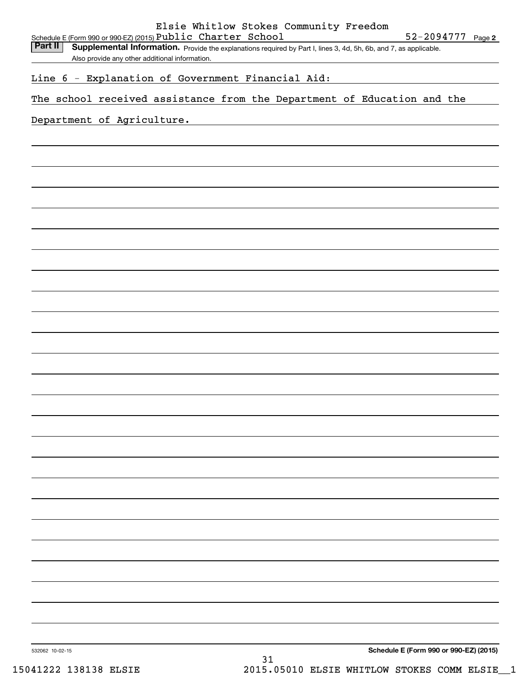Part II | Supplemental Information. Provide the explanations required by Part I, lines 3, 4d, 5h, 6b, and 7, as applicable. Also provide any other additional information.

Line 6 - Explanation of Government Financial Aid:

The school received assistance from the Department of Education and the

## Department of Agriculture.

**Schedule E (Form 990 or 990-EZ) (2015)**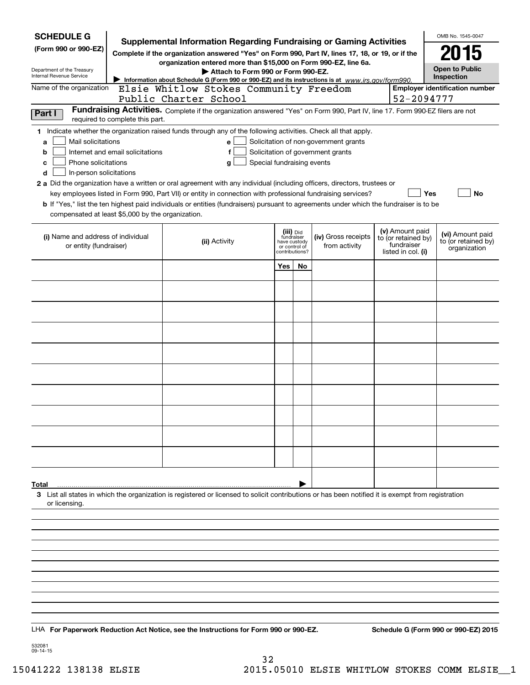| <b>SCHEDULE G</b>                                 |                                  | <b>Supplemental Information Regarding Fundraising or Gaming Activities</b>                                                                         |                                                 |    |                                       |                                   | OMB No. 1545-0047                     |
|---------------------------------------------------|----------------------------------|----------------------------------------------------------------------------------------------------------------------------------------------------|-------------------------------------------------|----|---------------------------------------|-----------------------------------|---------------------------------------|
| (Form 990 or 990-EZ)                              |                                  | Complete if the organization answered "Yes" on Form 990, Part IV, lines 17, 18, or 19, or if the                                                   |                                                 |    |                                       |                                   | 2015                                  |
| Department of the Treasury                        |                                  | organization entered more than \$15,000 on Form 990-EZ, line 6a.<br>Attach to Form 990 or Form 990-EZ.                                             |                                                 |    |                                       |                                   | <b>Open to Public</b>                 |
| Internal Revenue Service                          |                                  | Information about Schedule G (Form 990 or 990-EZ) and its instructions is at www.irs.gov/form990.                                                  |                                                 |    |                                       |                                   | Inspection                            |
| Name of the organization                          |                                  | Elsie Whitlow Stokes Community Freedom<br>Public Charter School                                                                                    |                                                 |    |                                       | 52-2094777                        | <b>Employer identification number</b> |
| Part I                                            |                                  | Fundraising Activities. Complete if the organization answered "Yes" on Form 990, Part IV, line 17. Form 990-EZ filers are not                      |                                                 |    |                                       |                                   |                                       |
|                                                   | required to complete this part.  |                                                                                                                                                    |                                                 |    |                                       |                                   |                                       |
| Mail solicitations<br>a                           |                                  | 1 Indicate whether the organization raised funds through any of the following activities. Check all that apply.<br>e                               |                                                 |    | Solicitation of non-government grants |                                   |                                       |
| b                                                 | Internet and email solicitations | f                                                                                                                                                  |                                                 |    | Solicitation of government grants     |                                   |                                       |
| Phone solicitations<br>c                          |                                  | Special fundraising events<br>g                                                                                                                    |                                                 |    |                                       |                                   |                                       |
| In-person solicitations<br>d                      |                                  | 2 a Did the organization have a written or oral agreement with any individual (including officers, directors, trustees or                          |                                                 |    |                                       |                                   |                                       |
|                                                   |                                  | key employees listed in Form 990, Part VII) or entity in connection with professional fundraising services?                                        |                                                 |    |                                       | Yes                               | No                                    |
| compensated at least \$5,000 by the organization. |                                  | <b>b</b> If "Yes," list the ten highest paid individuals or entities (fundraisers) pursuant to agreements under which the fundraiser is to be      |                                                 |    |                                       |                                   |                                       |
| (i) Name and address of individual                |                                  |                                                                                                                                                    | (iii) Did<br>fundraiser                         |    | (iv) Gross receipts                   | (v) Amount paid                   | (vi) Amount paid                      |
| or entity (fundraiser)                            |                                  | (ii) Activity                                                                                                                                      | have custody<br>or control of<br>contributions? |    | from activity                         | to (or retained by)<br>fundraiser | to (or retained by)<br>organization   |
|                                                   |                                  |                                                                                                                                                    |                                                 |    |                                       | listed in col. (i)                |                                       |
|                                                   |                                  |                                                                                                                                                    | Yes                                             | No |                                       |                                   |                                       |
|                                                   |                                  |                                                                                                                                                    |                                                 |    |                                       |                                   |                                       |
|                                                   |                                  |                                                                                                                                                    |                                                 |    |                                       |                                   |                                       |
|                                                   |                                  |                                                                                                                                                    |                                                 |    |                                       |                                   |                                       |
|                                                   |                                  |                                                                                                                                                    |                                                 |    |                                       |                                   |                                       |
|                                                   |                                  |                                                                                                                                                    |                                                 |    |                                       |                                   |                                       |
|                                                   |                                  |                                                                                                                                                    |                                                 |    |                                       |                                   |                                       |
|                                                   |                                  |                                                                                                                                                    |                                                 |    |                                       |                                   |                                       |
|                                                   |                                  |                                                                                                                                                    |                                                 |    |                                       |                                   |                                       |
|                                                   |                                  |                                                                                                                                                    |                                                 |    |                                       |                                   |                                       |
|                                                   |                                  |                                                                                                                                                    |                                                 |    |                                       |                                   |                                       |
|                                                   |                                  |                                                                                                                                                    |                                                 |    |                                       |                                   |                                       |
|                                                   |                                  |                                                                                                                                                    |                                                 |    |                                       |                                   |                                       |
|                                                   |                                  |                                                                                                                                                    |                                                 |    |                                       |                                   |                                       |
|                                                   |                                  |                                                                                                                                                    |                                                 |    |                                       |                                   |                                       |
| Total                                             |                                  | 3 List all states in which the organization is registered or licensed to solicit contributions or has been notified it is exempt from registration |                                                 |    |                                       |                                   |                                       |
| or licensing.                                     |                                  |                                                                                                                                                    |                                                 |    |                                       |                                   |                                       |
|                                                   |                                  |                                                                                                                                                    |                                                 |    |                                       |                                   |                                       |
|                                                   |                                  |                                                                                                                                                    |                                                 |    |                                       |                                   |                                       |
|                                                   |                                  |                                                                                                                                                    |                                                 |    |                                       |                                   |                                       |
|                                                   |                                  |                                                                                                                                                    |                                                 |    |                                       |                                   |                                       |
|                                                   |                                  |                                                                                                                                                    |                                                 |    |                                       |                                   |                                       |
|                                                   |                                  |                                                                                                                                                    |                                                 |    |                                       |                                   |                                       |
|                                                   |                                  |                                                                                                                                                    |                                                 |    |                                       |                                   |                                       |
|                                                   |                                  |                                                                                                                                                    |                                                 |    |                                       |                                   |                                       |
|                                                   |                                  | LHA For Paperwork Reduction Act Notice, see the Instructions for Form 990 or 990-EZ.                                                               |                                                 |    |                                       |                                   | Schedule G (Form 990 or 990-EZ) 2015  |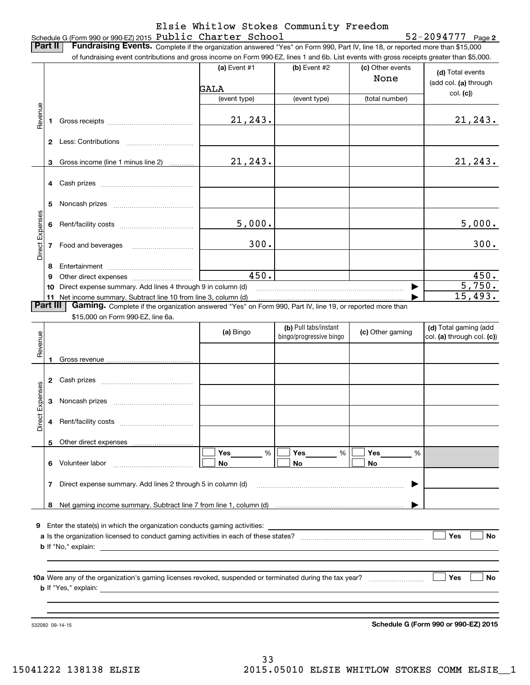### Schedule G (Form 990 or 990-EZ) 2015  ${\bf Public ~Character ~ School}$   ${\bf 52-2094777 ~~}$   ${\bf 930}$ Elsie Whitlow Stokes Community Freedom

**Part II** | Fundraising Events. Complete if the organization answered "Yes" on Form 990, Part IV, line 18, or reported more than \$15,000

|                 |          | of fundraising event contributions and gross income on Form 990-EZ, lines 1 and 6b. List events with gross receipts greater than \$5,000.                                   |                |                         |                          |                                                     |
|-----------------|----------|-----------------------------------------------------------------------------------------------------------------------------------------------------------------------------|----------------|-------------------------|--------------------------|-----------------------------------------------------|
|                 |          |                                                                                                                                                                             | (a) Event #1   | (b) Event #2            | (c) Other events<br>None | (d) Total events<br>(add col. (a) through           |
|                 |          |                                                                                                                                                                             | GALA           |                         |                          | col. (c)                                            |
|                 |          |                                                                                                                                                                             | (event type)   | (event type)            | (total number)           |                                                     |
| Revenue         | 1.       |                                                                                                                                                                             | 21, 243.       |                         |                          | 21, 243.                                            |
|                 |          |                                                                                                                                                                             |                |                         |                          |                                                     |
|                 |          | 3 Gross income (line 1 minus line 2)                                                                                                                                        | 21, 243.       |                         |                          | 21, 243.                                            |
|                 |          |                                                                                                                                                                             |                |                         |                          |                                                     |
|                 | 5        |                                                                                                                                                                             |                |                         |                          |                                                     |
|                 |          |                                                                                                                                                                             | 5,000.         |                         |                          | 5,000.                                              |
| Direct Expenses |          | 7 Food and beverages                                                                                                                                                        | 300.           |                         |                          | 300.                                                |
|                 | 8        |                                                                                                                                                                             |                |                         |                          |                                                     |
|                 | 9        |                                                                                                                                                                             | 450.           |                         |                          | 450.                                                |
|                 |          | 10 Direct expense summary. Add lines 4 through 9 in column (d)                                                                                                              |                |                         |                          | 5,750.                                              |
|                 | Part III | 11 Net income summary. Subtract line 10 from line 3, column (d)<br>Gaming. Complete if the organization answered "Yes" on Form 990, Part IV, line 19, or reported more than |                |                         |                          | 15,493.                                             |
|                 |          | \$15,000 on Form 990-EZ, line 6a.                                                                                                                                           |                |                         |                          |                                                     |
|                 |          |                                                                                                                                                                             |                | (b) Pull tabs/instant   |                          |                                                     |
|                 |          |                                                                                                                                                                             | (a) Bingo      | bingo/progressive bingo | (c) Other gaming         | (d) Total gaming (add<br>col. (a) through col. (c)) |
| Revenue         |          |                                                                                                                                                                             |                |                         |                          |                                                     |
|                 | 1.       |                                                                                                                                                                             |                |                         |                          |                                                     |
|                 |          |                                                                                                                                                                             |                |                         |                          |                                                     |
|                 | 3        |                                                                                                                                                                             |                |                         |                          |                                                     |
| Direct Expenses | 4        |                                                                                                                                                                             |                |                         |                          |                                                     |
|                 | 5.       | Other direct expenses                                                                                                                                                       |                |                         |                          |                                                     |
|                 | 6        | Volunteer labor                                                                                                                                                             | Yes<br>%<br>No | Yes<br>%<br>No          | Yes<br>%<br>No           |                                                     |
|                 | 7        | Direct expense summary. Add lines 2 through 5 in column (d)                                                                                                                 |                |                         |                          |                                                     |
|                 |          |                                                                                                                                                                             |                |                         |                          |                                                     |
|                 |          |                                                                                                                                                                             |                |                         |                          |                                                     |
|                 |          | 9 Enter the state(s) in which the organization conducts gaming activities:                                                                                                  |                |                         |                          | Yes<br>No                                           |
|                 |          |                                                                                                                                                                             |                |                         |                          |                                                     |
|                 |          |                                                                                                                                                                             |                |                         |                          |                                                     |
|                 |          | 10a Were any of the organization's gaming licenses revoked, suspended or terminated during the tax year?                                                                    |                |                         |                          | Yes<br>No                                           |

532082 09-14-15

**Schedule G (Form 990 or 990-EZ) 2015**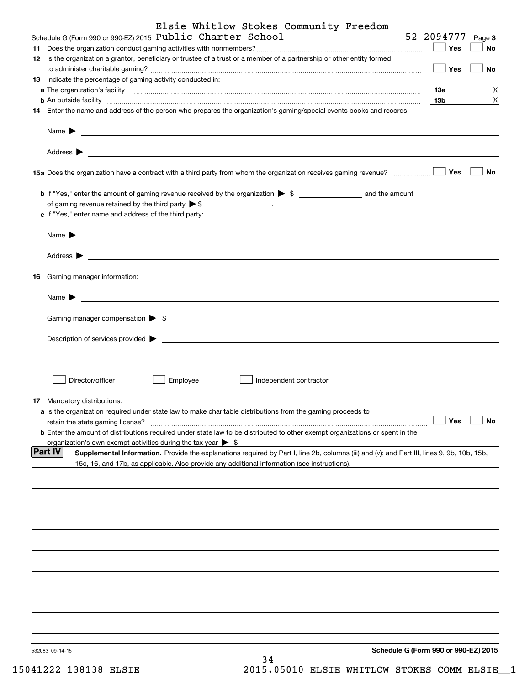| Elsie Whitlow Stokes Community Freedom                                                                                                                                                                                                                                |
|-----------------------------------------------------------------------------------------------------------------------------------------------------------------------------------------------------------------------------------------------------------------------|
| Schedule G (Form 990 or 990-EZ) 2015 Public Charter School<br>52-2094777<br><u> 1989 - Johann Barbara, martxa a</u><br>Page 3                                                                                                                                         |
| Yes<br><b>No</b>                                                                                                                                                                                                                                                      |
| 12 Is the organization a grantor, beneficiary or trustee of a trust or a member of a partnership or other entity formed<br>Yes<br>No                                                                                                                                  |
| 13 Indicate the percentage of gaming activity conducted in:                                                                                                                                                                                                           |
| 13а<br>%                                                                                                                                                                                                                                                              |
| %<br>13 <sub>b</sub><br><b>b</b> An outside facility <b>contract and the contract of the contract of the contract of the contract of the contract of the contract of the contract of the contract of the contract of the contract of the contract of the cont</b>     |
| 14 Enter the name and address of the person who prepares the organization's gaming/special events books and records:                                                                                                                                                  |
| Name $\blacktriangleright$<br><u> 1989 - Johann Barbara, martin amerikan basal dan berasal dan berasal dalam basal dalam basal dalam basal dala</u>                                                                                                                   |
| Address $\blacktriangleright$<br><u>some started and the started and the started and the started and the started and the started and the started and the started and the started and the started and the started and the started and the started and the started </u> |
| Yes<br>No<br>15a Does the organization have a contract with a third party from whom the organization receives gaming revenue?                                                                                                                                         |
|                                                                                                                                                                                                                                                                       |
| of gaming revenue retained by the third party $\triangleright$ \$ $\_\_\_\_\_\_\_\_\_\_\_\_\_$ .                                                                                                                                                                      |
| c If "Yes," enter name and address of the third party:                                                                                                                                                                                                                |
| Name $\blacktriangleright$                                                                                                                                                                                                                                            |
| Address $\blacktriangleright$<br><u> 1989 - Andrea Stadt Britain, amerikansk politiker (d. 1989)</u>                                                                                                                                                                  |
| <b>16</b> Gaming manager information:                                                                                                                                                                                                                                 |
| Name $\blacktriangleright$                                                                                                                                                                                                                                            |
| Gaming manager compensation > \$                                                                                                                                                                                                                                      |
| Description of services provided ><br><u> 1980 - Andrea Andrew Maria (h. 1980).</u>                                                                                                                                                                                   |
|                                                                                                                                                                                                                                                                       |
|                                                                                                                                                                                                                                                                       |
| Director/officer<br>Employee<br>Independent contractor                                                                                                                                                                                                                |
| 17 Mandatory distributions:                                                                                                                                                                                                                                           |
| a Is the organization required under state law to make charitable distributions from the gaming proceeds to                                                                                                                                                           |
| <b>No</b><br>Yes<br>retain the state gaming license?                                                                                                                                                                                                                  |
| <b>b</b> Enter the amount of distributions required under state law to be distributed to other exempt organizations or spent in the                                                                                                                                   |
| organization's own exempt activities during the tax year $\triangleright$ \$                                                                                                                                                                                          |
| <b>Part IV</b><br>Supplemental Information. Provide the explanations required by Part I, line 2b, columns (iii) and (v); and Part III, lines 9, 9b, 10b, 15b,                                                                                                         |
| 15c, 16, and 17b, as applicable. Also provide any additional information (see instructions).                                                                                                                                                                          |
|                                                                                                                                                                                                                                                                       |
|                                                                                                                                                                                                                                                                       |
|                                                                                                                                                                                                                                                                       |
|                                                                                                                                                                                                                                                                       |
|                                                                                                                                                                                                                                                                       |
|                                                                                                                                                                                                                                                                       |
|                                                                                                                                                                                                                                                                       |
|                                                                                                                                                                                                                                                                       |
|                                                                                                                                                                                                                                                                       |
| Schedule G (Form 990 or 990-EZ) 2015<br>532083 09-14-15                                                                                                                                                                                                               |
| 34                                                                                                                                                                                                                                                                    |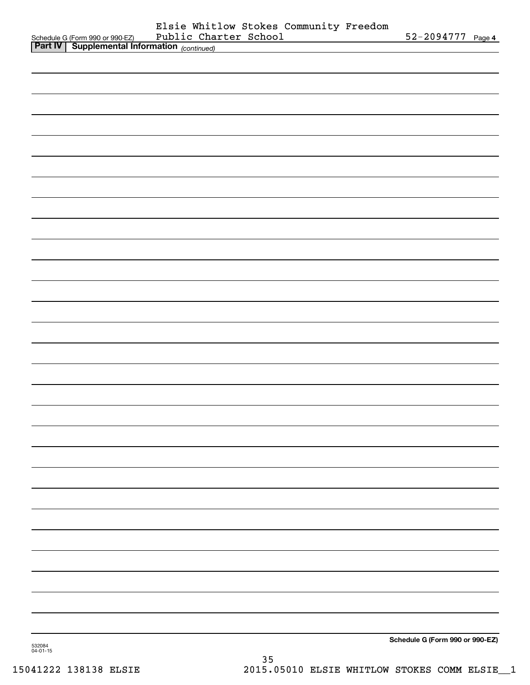|        | Schedule G (Form 990 or 990-EZ) Public Cha.<br><b>Part IV</b> Supplemental Information (continued) | Elsie Whitlow Stokes Community Freedom<br>Public Charter School | 52-2094777 Page 4               |  |
|--------|----------------------------------------------------------------------------------------------------|-----------------------------------------------------------------|---------------------------------|--|
|        |                                                                                                    |                                                                 |                                 |  |
|        |                                                                                                    |                                                                 |                                 |  |
|        |                                                                                                    |                                                                 |                                 |  |
|        |                                                                                                    |                                                                 |                                 |  |
|        |                                                                                                    |                                                                 |                                 |  |
|        |                                                                                                    |                                                                 |                                 |  |
|        |                                                                                                    |                                                                 |                                 |  |
|        |                                                                                                    |                                                                 |                                 |  |
|        |                                                                                                    |                                                                 |                                 |  |
|        |                                                                                                    |                                                                 |                                 |  |
|        |                                                                                                    |                                                                 |                                 |  |
|        |                                                                                                    |                                                                 |                                 |  |
|        |                                                                                                    |                                                                 |                                 |  |
|        |                                                                                                    |                                                                 |                                 |  |
|        |                                                                                                    |                                                                 |                                 |  |
|        |                                                                                                    |                                                                 |                                 |  |
|        |                                                                                                    |                                                                 |                                 |  |
|        |                                                                                                    |                                                                 |                                 |  |
|        |                                                                                                    |                                                                 |                                 |  |
|        |                                                                                                    |                                                                 |                                 |  |
|        |                                                                                                    |                                                                 |                                 |  |
|        |                                                                                                    |                                                                 |                                 |  |
|        |                                                                                                    |                                                                 |                                 |  |
|        |                                                                                                    |                                                                 |                                 |  |
|        |                                                                                                    |                                                                 |                                 |  |
|        |                                                                                                    |                                                                 |                                 |  |
|        |                                                                                                    |                                                                 |                                 |  |
|        |                                                                                                    |                                                                 |                                 |  |
|        |                                                                                                    |                                                                 |                                 |  |
|        |                                                                                                    |                                                                 |                                 |  |
|        |                                                                                                    |                                                                 |                                 |  |
|        |                                                                                                    |                                                                 |                                 |  |
|        |                                                                                                    |                                                                 |                                 |  |
| 532084 |                                                                                                    |                                                                 | Schedule G (Form 990 or 990-EZ) |  |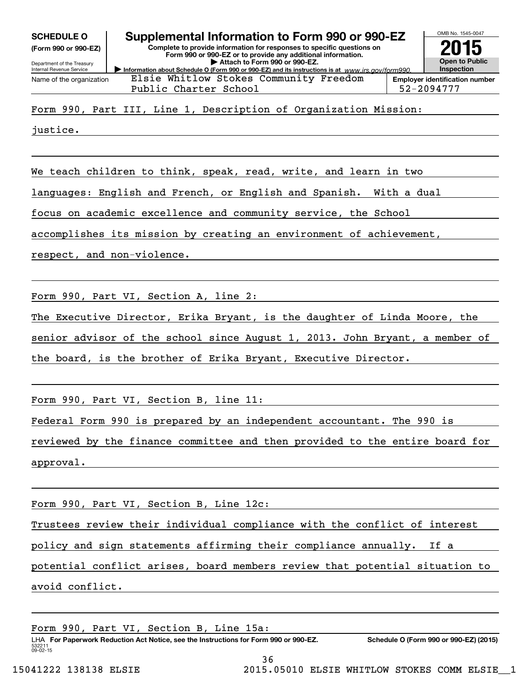**(Form 990 or 990-EZ)**

Department of the Treasury Internal Revenue Service Name of the organization



**Employer identification number** Public Charter School 52-2094777 Elsie Whitlow Stokes Community Freedom

Form 990, Part III, Line 1, Description of Organization Mission:

justice.

We teach children to think, speak, read, write, and learn in two

languages: English and French, or English and Spanish. With a dual

focus on academic excellence and community service, the School

accomplishes its mission by creating an environment of achievement,

respect, and non-violence.

Form 990, Part VI, Section A, line 2:

The Executive Director, Erika Bryant, is the daughter of Linda Moore, the

senior advisor of the school since August 1, 2013. John Bryant, a member of

the board, is the brother of Erika Bryant, Executive Director.

Form 990, Part VI, Section B, line 11:

Federal Form 990 is prepared by an independent accountant. The 990 is

reviewed by the finance committee and then provided to the entire board for approval.

Form 990, Part VI, Section B, Line 12c:

Trustees review their individual compliance with the conflict of interest

policy and sign statements affirming their compliance annually. If a

potential conflict arises, board members review that potential situation to

avoid conflict.

Form 990, Part VI, Section B, Line 15a:

532211 09-02-15 LHA For Paperwork Reduction Act Notice, see the Instructions for Form 990 or 990-EZ. Schedule O (Form 990 or 990-EZ) (2015)

36